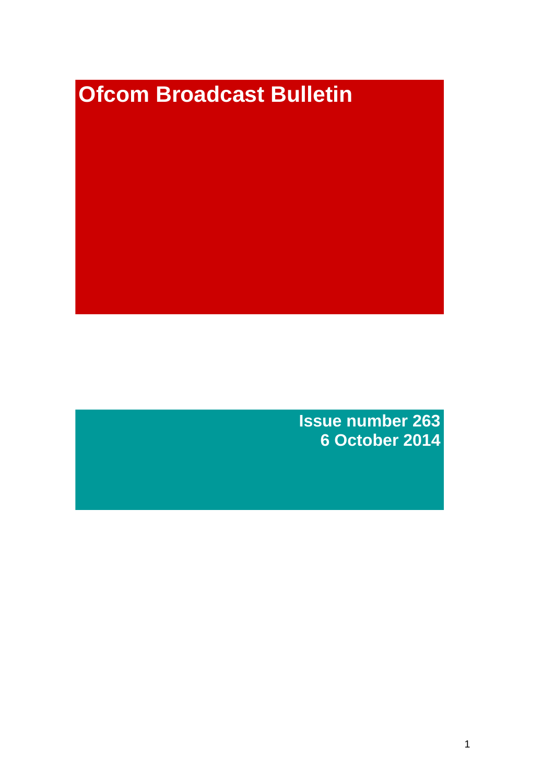# **Ofcom Broadcast Bulletin**

**Issue number 263 6 October 2014**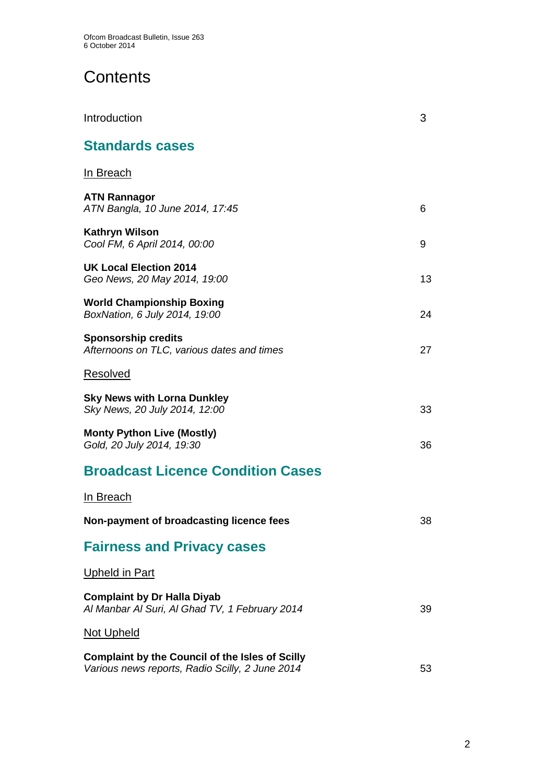# **Contents**

| Introduction                                                                                              | 3  |
|-----------------------------------------------------------------------------------------------------------|----|
| <b>Standards cases</b>                                                                                    |    |
| In Breach                                                                                                 |    |
| <b>ATN Rannagor</b><br>ATN Bangla, 10 June 2014, 17:45                                                    | 6  |
| Kathryn Wilson<br>Cool FM, 6 April 2014, 00:00                                                            | 9  |
| <b>UK Local Election 2014</b><br>Geo News, 20 May 2014, 19:00                                             | 13 |
| World Championship Boxing<br>BoxNation, 6 July 2014, 19:00                                                | 24 |
| <b>Sponsorship credits</b><br>Afternoons on TLC, various dates and times                                  | 27 |
| Resolved                                                                                                  |    |
| <b>Sky News with Lorna Dunkley</b><br>Sky News, 20 July 2014, 12:00                                       | 33 |
| <b>Monty Python Live (Mostly)</b><br>Gold, 20 July 2014, 19:30                                            | 36 |
| <b>Broadcast Licence Condition Cases</b>                                                                  |    |
| In Breach                                                                                                 |    |
| Non-payment of broadcasting licence fees                                                                  | 38 |
| <b>Fairness and Privacy cases</b>                                                                         |    |
| Upheld in Part                                                                                            |    |
| <b>Complaint by Dr Halla Diyab</b><br>Al Manbar Al Suri, Al Ghad TV, 1 February 2014                      | 39 |
| Not Upheld                                                                                                |    |
| <b>Complaint by the Council of the Isles of Scilly</b><br>Various news reports, Radio Scilly, 2 June 2014 | 53 |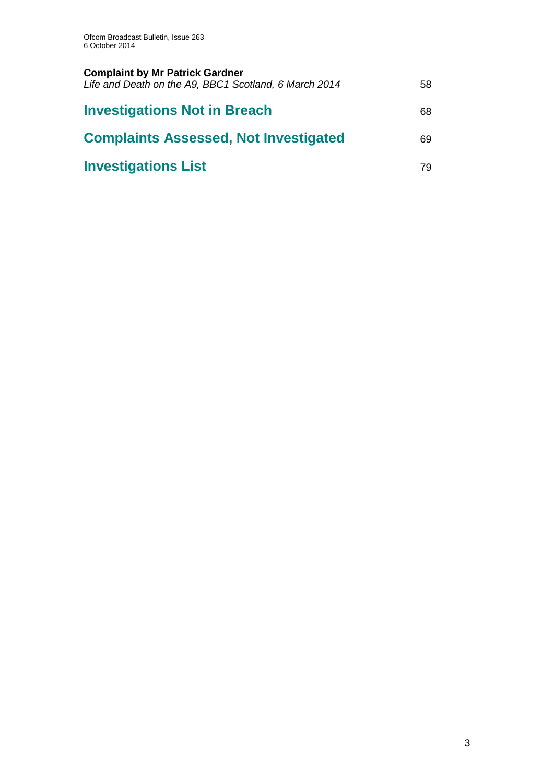| <b>Complaint by Mr Patrick Gardner</b><br>Life and Death on the A9, BBC1 Scotland, 6 March 2014 | 58 |
|-------------------------------------------------------------------------------------------------|----|
| <b>Investigations Not in Breach</b>                                                             | 68 |
| <b>Complaints Assessed, Not Investigated</b>                                                    | 69 |
| <b>Investigations List</b>                                                                      | 79 |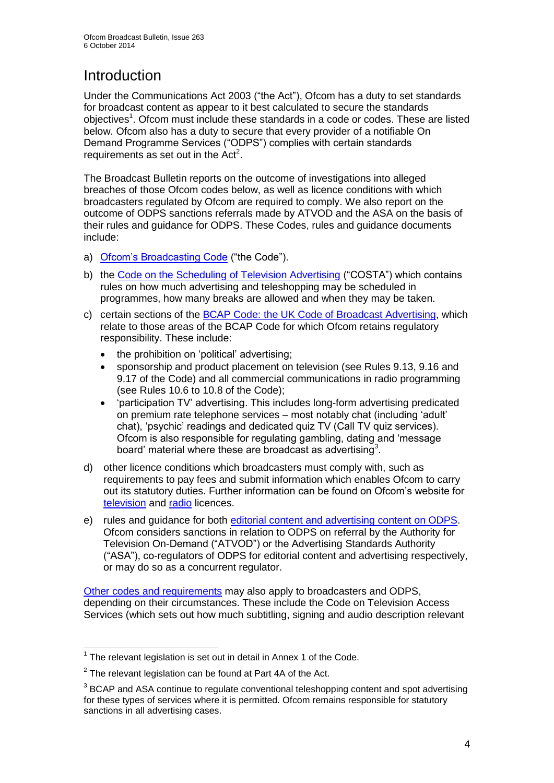# Introduction

Under the Communications Act 2003 ("the Act"), Ofcom has a duty to set standards for broadcast content as appear to it best calculated to secure the standards objectives<sup>1</sup>. Ofcom must include these standards in a code or codes. These are listed below. Ofcom also has a duty to secure that every provider of a notifiable On Demand Programme Services ("ODPS") complies with certain standards requirements as set out in the  $Act<sup>2</sup>$ .

The Broadcast Bulletin reports on the outcome of investigations into alleged breaches of those Ofcom codes below, as well as licence conditions with which broadcasters regulated by Ofcom are required to comply. We also report on the outcome of ODPS sanctions referrals made by ATVOD and the ASA on the basis of their rules and guidance for ODPS. These Codes, rules and guidance documents include:

- a) [Ofcom's Broadcasting Code](http://stakeholders.ofcom.org.uk/broadcasting/broadcast-codes/broadcast-code/) ("the Code").
- b) the [Code on the Scheduling of Television Advertising](http://stakeholders.ofcom.org.uk/broadcasting/broadcast-codes/advert-code/) ("COSTA") which contains rules on how much advertising and teleshopping may be scheduled in programmes, how many breaks are allowed and when they may be taken.
- c) certain sections of the [BCAP Code: the UK Code of Broadcast Advertising,](http://www.bcap.org.uk/Advertising-Codes/Broadcast-HTML.aspx) which relate to those areas of the BCAP Code for which Ofcom retains regulatory responsibility. These include:
	- the prohibition on 'political' advertising:
	- sponsorship and product placement on television (see Rules 9.13, 9.16 and 9.17 of the Code) and all commercial communications in radio programming (see Rules 10.6 to 10.8 of the Code);
	- 'participation TV' advertising. This includes long-form advertising predicated on premium rate telephone services – most notably chat (including 'adult' chat), 'psychic' readings and dedicated quiz TV (Call TV quiz services). Ofcom is also responsible for regulating gambling, dating and 'message board' material where these are broadcast as advertising<sup>3</sup>.
- d) other licence conditions which broadcasters must comply with, such as requirements to pay fees and submit information which enables Ofcom to carry out its statutory duties. Further information can be found on Ofcom's website for [television](http://licensing.ofcom.org.uk/tv-broadcast-licences/) and [radio](http://licensing.ofcom.org.uk/radio-broadcast-licensing/) licences.
- e) rules and guidance for both [editorial content and advertising content on ODPS.](http://www.atvod.co.uk/uploads/files/ATVOD_Rules_and_Guidance_Ed_2.0_May_2012.pdf) Ofcom considers sanctions in relation to ODPS on referral by the Authority for Television On-Demand ("ATVOD") or the Advertising Standards Authority ("ASA"), co-regulators of ODPS for editorial content and advertising respectively, or may do so as a concurrent regulator.

[Other codes and requirements](http://stakeholders.ofcom.org.uk/broadcasting/broadcast-codes/) may also apply to broadcasters and ODPS, depending on their circumstances. These include the Code on Television Access Services (which sets out how much subtitling, signing and audio description relevant

<sup>1</sup>  $1$  The relevant legislation is set out in detail in Annex 1 of the Code.

 $2$  The relevant legislation can be found at Part 4A of the Act.

 $3$  BCAP and ASA continue to regulate conventional teleshopping content and spot advertising for these types of services where it is permitted. Ofcom remains responsible for statutory sanctions in all advertising cases.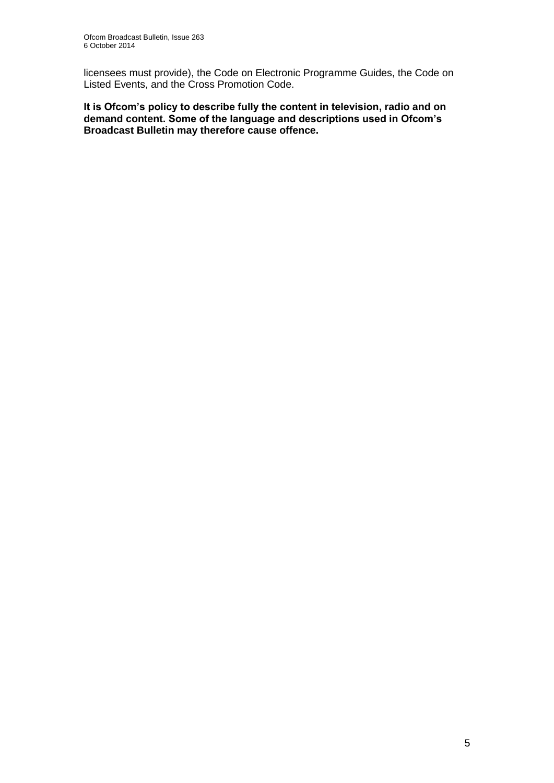licensees must provide), the Code on Electronic Programme Guides, the Code on Listed Events, and the Cross Promotion Code.

**It is Ofcom's policy to describe fully the content in television, radio and on demand content. Some of the language and descriptions used in Ofcom's Broadcast Bulletin may therefore cause offence.**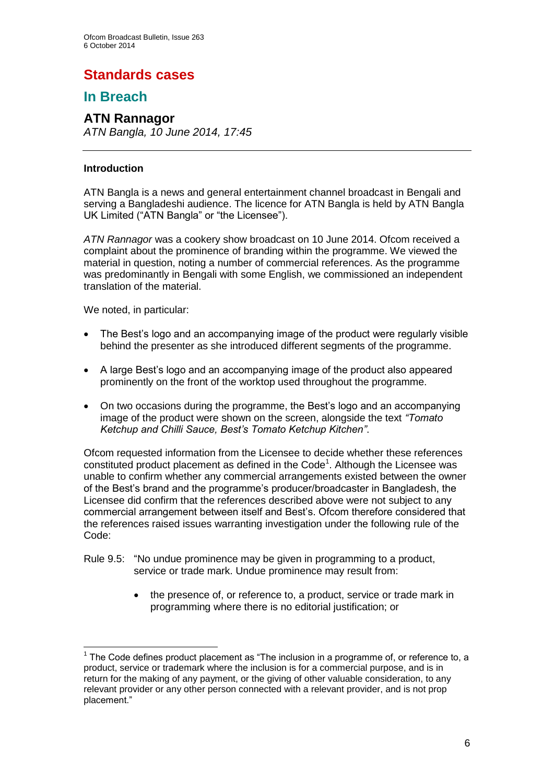## **Standards cases**

## **In Breach**

## **ATN Rannagor**

*ATN Bangla, 10 June 2014, 17:45*

#### **Introduction**

ATN Bangla is a news and general entertainment channel broadcast in Bengali and serving a Bangladeshi audience. The licence for ATN Bangla is held by ATN Bangla UK Limited ("ATN Bangla" or "the Licensee").

*ATN Rannagor* was a cookery show broadcast on 10 June 2014. Ofcom received a complaint about the prominence of branding within the programme. We viewed the material in question, noting a number of commercial references. As the programme was predominantly in Bengali with some English, we commissioned an independent translation of the material.

We noted, in particular:

- The Best's logo and an accompanying image of the product were regularly visible behind the presenter as she introduced different segments of the programme.
- A large Best's logo and an accompanying image of the product also appeared prominently on the front of the worktop used throughout the programme.
- On two occasions during the programme, the Best's logo and an accompanying image of the product were shown on the screen, alongside the text *"Tomato Ketchup and Chilli Sauce, Best's Tomato Ketchup Kitchen"*.

Ofcom requested information from the Licensee to decide whether these references constituted product placement as defined in the Code<sup>1</sup>. Although the Licensee was unable to confirm whether any commercial arrangements existed between the owner of the Best's brand and the programme's producer/broadcaster in Bangladesh, the Licensee did confirm that the references described above were not subject to any commercial arrangement between itself and Best's. Ofcom therefore considered that the references raised issues warranting investigation under the following rule of the Code:

- Rule 9.5: "No undue prominence may be given in programming to a product, service or trade mark. Undue prominence may result from:
	- the presence of, or reference to, a product, service or trade mark in programming where there is no editorial justification; or

<sup>1</sup>  $1$  The Code defines product placement as "The inclusion in a programme of, or reference to, a product, service or trademark where the inclusion is for a commercial purpose, and is in return for the making of any payment, or the giving of other valuable consideration, to any relevant provider or any other person connected with a relevant provider, and is not prop placement."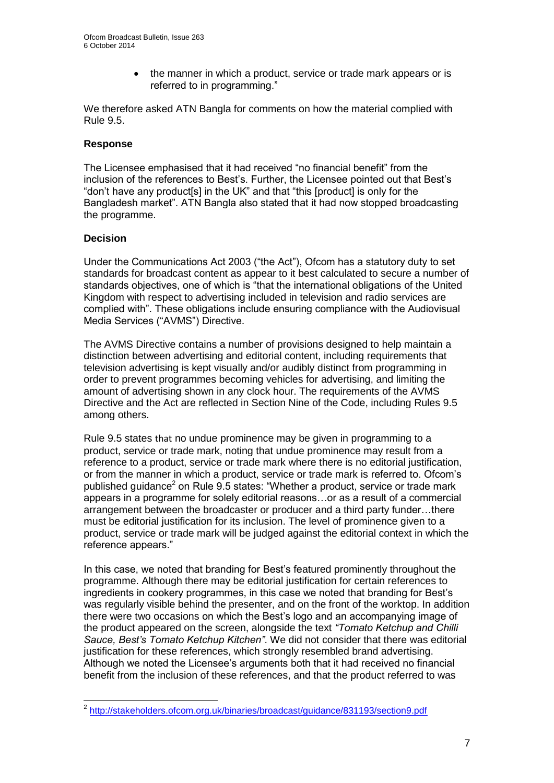• the manner in which a product, service or trade mark appears or is referred to in programming."

We therefore asked ATN Bangla for comments on how the material complied with Rule 9.5.

#### **Response**

The Licensee emphasised that it had received "no financial benefit" from the inclusion of the references to Best's. Further, the Licensee pointed out that Best's "don't have any product[s] in the UK" and that "this [product] is only for the Bangladesh market". ATN Bangla also stated that it had now stopped broadcasting the programme.

#### **Decision**

Under the Communications Act 2003 ("the Act"), Ofcom has a statutory duty to set standards for broadcast content as appear to it best calculated to secure a number of standards objectives, one of which is "that the international obligations of the United Kingdom with respect to advertising included in television and radio services are complied with". These obligations include ensuring compliance with the Audiovisual Media Services ("AVMS") Directive.

The AVMS Directive contains a number of provisions designed to help maintain a distinction between advertising and editorial content, including requirements that television advertising is kept visually and/or audibly distinct from programming in order to prevent programmes becoming vehicles for advertising, and limiting the amount of advertising shown in any clock hour. The requirements of the AVMS Directive and the Act are reflected in Section Nine of the Code, including Rules 9.5 among others.

Rule 9.5 states that no undue prominence may be given in programming to a product, service or trade mark, noting that undue prominence may result from a reference to a product, service or trade mark where there is no editorial justification, or from the manner in which a product, service or trade mark is referred to. Ofcom's published guidance<sup>2</sup> on Rule 9.5 states: "Whether a product, service or trade mark appears in a programme for solely editorial reasons…or as a result of a commercial arrangement between the broadcaster or producer and a third party funder…there must be editorial justification for its inclusion. The level of prominence given to a product, service or trade mark will be judged against the editorial context in which the reference appears."

In this case, we noted that branding for Best's featured prominently throughout the programme. Although there may be editorial justification for certain references to ingredients in cookery programmes, in this case we noted that branding for Best's was regularly visible behind the presenter, and on the front of the worktop. In addition there were two occasions on which the Best's logo and an accompanying image of the product appeared on the screen, alongside the text *"Tomato Ketchup and Chilli Sauce, Best's Tomato Ketchup Kitchen"*. We did not consider that there was editorial justification for these references, which strongly resembled brand advertising. Although we noted the Licensee's arguments both that it had received no financial benefit from the inclusion of these references, and that the product referred to was

 2 <http://stakeholders.ofcom.org.uk/binaries/broadcast/guidance/831193/section9.pdf>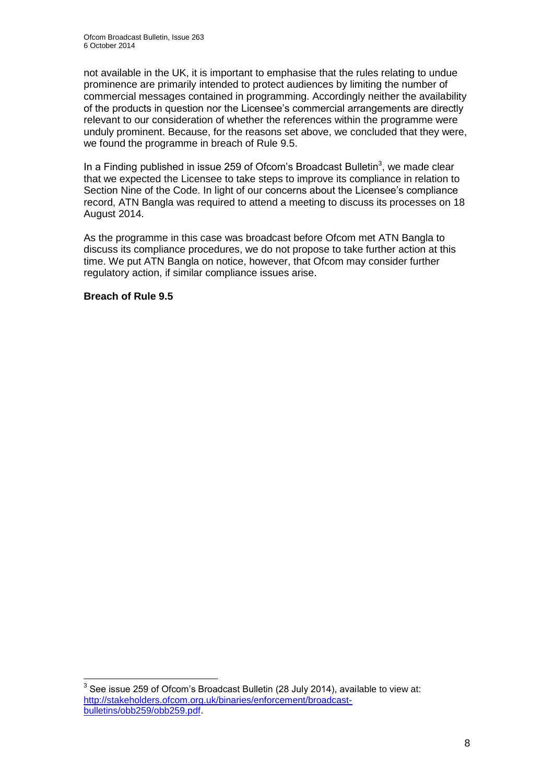not available in the UK, it is important to emphasise that the rules relating to undue prominence are primarily intended to protect audiences by limiting the number of commercial messages contained in programming. Accordingly neither the availability of the products in question nor the Licensee's commercial arrangements are directly relevant to our consideration of whether the references within the programme were unduly prominent. Because, for the reasons set above, we concluded that they were, we found the programme in breach of Rule 9.5.

In a Finding published in issue 259 of Ofcom's Broadcast Bulletin<sup>3</sup>, we made clear that we expected the Licensee to take steps to improve its compliance in relation to Section Nine of the Code. In light of our concerns about the Licensee's compliance record, ATN Bangla was required to attend a meeting to discuss its processes on 18 August 2014.

As the programme in this case was broadcast before Ofcom met ATN Bangla to discuss its compliance procedures, we do not propose to take further action at this time. We put ATN Bangla on notice, however, that Ofcom may consider further regulatory action, if similar compliance issues arise.

#### **Breach of Rule 9.5**

1

 $3$  See issue 259 of Ofcom's Broadcast Bulletin (28 July 2014), available to view at: [http://stakeholders.ofcom.org.uk/binaries/enforcement/broadcast](http://stakeholders.ofcom.org.uk/binaries/enforcement/broadcast-bulletins/obb259/obb259.pdf)[bulletins/obb259/obb259.pdf.](http://stakeholders.ofcom.org.uk/binaries/enforcement/broadcast-bulletins/obb259/obb259.pdf)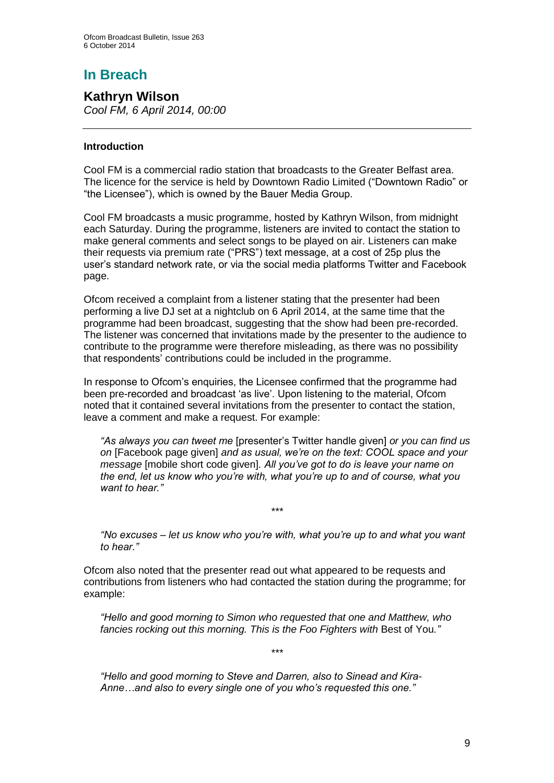# **In Breach**

**Kathryn Wilson** *Cool FM, 6 April 2014, 00:00*

#### **Introduction**

Cool FM is a commercial radio station that broadcasts to the Greater Belfast area. The licence for the service is held by Downtown Radio Limited ("Downtown Radio" or "the Licensee"), which is owned by the Bauer Media Group.

Cool FM broadcasts a music programme, hosted by Kathryn Wilson, from midnight each Saturday. During the programme, listeners are invited to contact the station to make general comments and select songs to be played on air. Listeners can make their requests via premium rate ("PRS") text message, at a cost of 25p plus the user's standard network rate, or via the social media platforms Twitter and Facebook page.

Ofcom received a complaint from a listener stating that the presenter had been performing a live DJ set at a nightclub on 6 April 2014, at the same time that the programme had been broadcast, suggesting that the show had been pre-recorded. The listener was concerned that invitations made by the presenter to the audience to contribute to the programme were therefore misleading, as there was no possibility that respondents' contributions could be included in the programme.

In response to Ofcom's enquiries, the Licensee confirmed that the programme had been pre-recorded and broadcast 'as live'. Upon listening to the material, Ofcom noted that it contained several invitations from the presenter to contact the station, leave a comment and make a request. For example:

*"As always you can tweet me* [presenter's Twitter handle given] *or you can find us on* [Facebook page given] *and as usual, we're on the text: COOL space and your message* [mobile short code given]*. All you've got to do is leave your name on the end, let us know who you're with, what you're up to and of course, what you want to hear."*

*"No excuses – let us know who you're with, what you're up to and what you want to hear."*

*\*\*\**

Ofcom also noted that the presenter read out what appeared to be requests and contributions from listeners who had contacted the station during the programme; for example:

*"Hello and good morning to Simon who requested that one and Matthew, who fancies rocking out this morning. This is the Foo Fighters with* Best of You*."*

*\*\*\**

*"Hello and good morning to Steve and Darren, also to Sinead and Kira-Anne…and also to every single one of you who's requested this one."*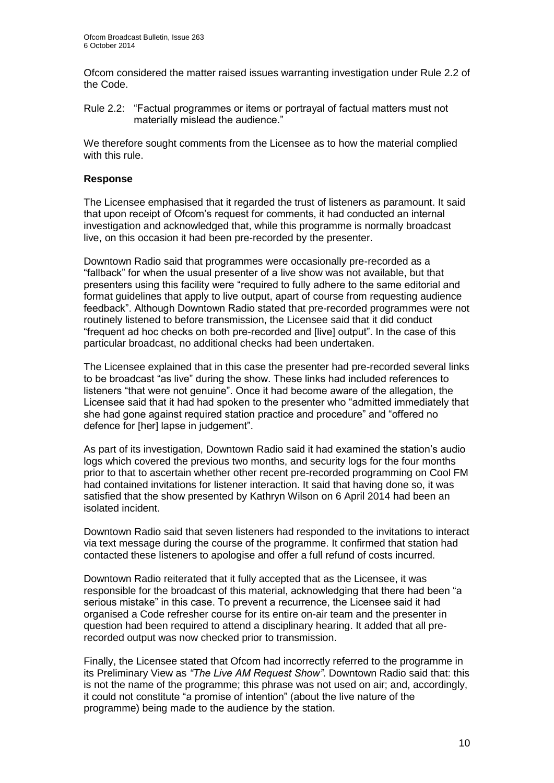Ofcom considered the matter raised issues warranting investigation under Rule 2.2 of the Code.

Rule 2.2: "Factual programmes or items or portrayal of factual matters must not materially mislead the audience."

We therefore sought comments from the Licensee as to how the material complied with this rule.

#### **Response**

The Licensee emphasised that it regarded the trust of listeners as paramount. It said that upon receipt of Ofcom's request for comments, it had conducted an internal investigation and acknowledged that, while this programme is normally broadcast live, on this occasion it had been pre-recorded by the presenter.

Downtown Radio said that programmes were occasionally pre-recorded as a "fallback" for when the usual presenter of a live show was not available, but that presenters using this facility were "required to fully adhere to the same editorial and format guidelines that apply to live output, apart of course from requesting audience feedback". Although Downtown Radio stated that pre-recorded programmes were not routinely listened to before transmission, the Licensee said that it did conduct "frequent ad hoc checks on both pre-recorded and [live] output". In the case of this particular broadcast, no additional checks had been undertaken.

The Licensee explained that in this case the presenter had pre-recorded several links to be broadcast "as live" during the show. These links had included references to listeners "that were not genuine". Once it had become aware of the allegation, the Licensee said that it had had spoken to the presenter who "admitted immediately that she had gone against required station practice and procedure" and "offered no defence for [her] lapse in judgement".

As part of its investigation, Downtown Radio said it had examined the station's audio logs which covered the previous two months, and security logs for the four months prior to that to ascertain whether other recent pre-recorded programming on Cool FM had contained invitations for listener interaction. It said that having done so, it was satisfied that the show presented by Kathryn Wilson on 6 April 2014 had been an isolated incident.

Downtown Radio said that seven listeners had responded to the invitations to interact via text message during the course of the programme. It confirmed that station had contacted these listeners to apologise and offer a full refund of costs incurred.

Downtown Radio reiterated that it fully accepted that as the Licensee, it was responsible for the broadcast of this material, acknowledging that there had been "a serious mistake" in this case. To prevent a recurrence, the Licensee said it had organised a Code refresher course for its entire on-air team and the presenter in question had been required to attend a disciplinary hearing. It added that all prerecorded output was now checked prior to transmission.

Finally, the Licensee stated that Ofcom had incorrectly referred to the programme in its Preliminary View as *"The Live AM Request Show"*. Downtown Radio said that: this is not the name of the programme; this phrase was not used on air; and, accordingly, it could not constitute "a promise of intention" (about the live nature of the programme) being made to the audience by the station.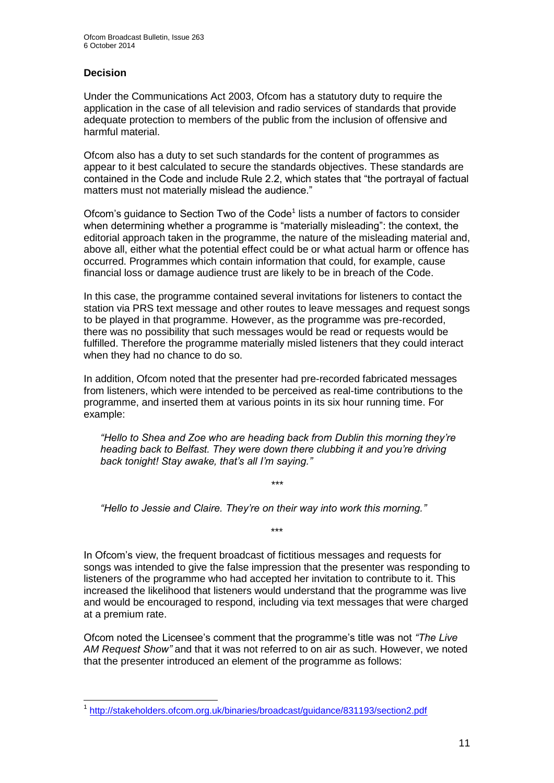#### **Decision**

Under the Communications Act 2003, Ofcom has a statutory duty to require the application in the case of all television and radio services of standards that provide adequate protection to members of the public from the inclusion of offensive and harmful material.

Ofcom also has a duty to set such standards for the content of programmes as appear to it best calculated to secure the standards objectives. These standards are contained in the Code and include Rule 2.2, which states that "the portrayal of factual matters must not materially mislead the audience."

Ofcom's guidance to Section Two of the Code<sup>1</sup> lists a number of factors to consider when determining whether a programme is "materially misleading": the context, the editorial approach taken in the programme, the nature of the misleading material and, above all, either what the potential effect could be or what actual harm or offence has occurred. Programmes which contain information that could, for example, cause financial loss or damage audience trust are likely to be in breach of the Code.

In this case, the programme contained several invitations for listeners to contact the station via PRS text message and other routes to leave messages and request songs to be played in that programme. However, as the programme was pre-recorded, there was no possibility that such messages would be read or requests would be fulfilled. Therefore the programme materially misled listeners that they could interact when they had no chance to do so.

In addition, Ofcom noted that the presenter had pre-recorded fabricated messages from listeners, which were intended to be perceived as real-time contributions to the programme, and inserted them at various points in its six hour running time. For example:

*"Hello to Shea and Zoe who are heading back from Dublin this morning they're heading back to Belfast. They were down there clubbing it and you're driving back tonight! Stay awake, that's all I'm saying."*

*\*\*\**

\*\*\*

*"Hello to Jessie and Claire. They're on their way into work this morning."*

In Ofcom's view, the frequent broadcast of fictitious messages and requests for songs was intended to give the false impression that the presenter was responding to listeners of the programme who had accepted her invitation to contribute to it. This increased the likelihood that listeners would understand that the programme was live and would be encouraged to respond, including via text messages that were charged at a premium rate.

Ofcom noted the Licensee's comment that the programme's title was not *"The Live AM Request Show"* and that it was not referred to on air as such. However, we noted that the presenter introduced an element of the programme as follows:

<sup>1</sup> 1 <http://stakeholders.ofcom.org.uk/binaries/broadcast/guidance/831193/section2.pdf>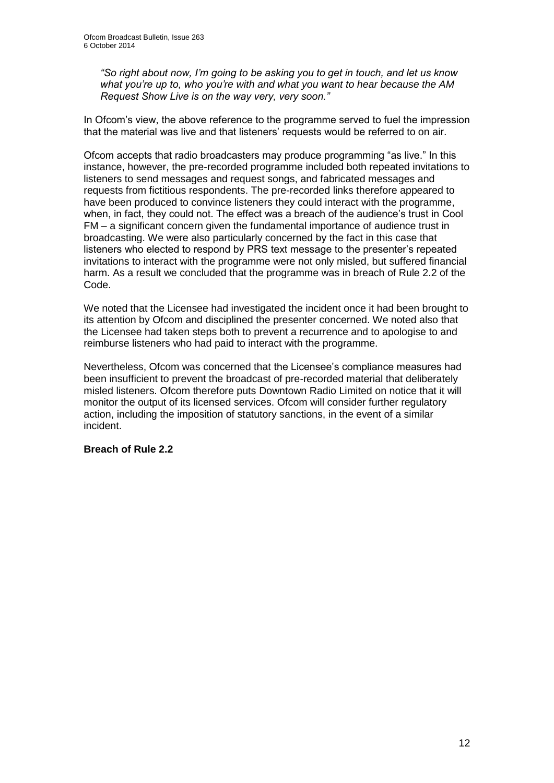*"So right about now, I'm going to be asking you to get in touch, and let us know what you're up to, who you're with and what you want to hear because the AM Request Show Live is on the way very, very soon."*

In Ofcom's view, the above reference to the programme served to fuel the impression that the material was live and that listeners' requests would be referred to on air.

Ofcom accepts that radio broadcasters may produce programming "as live." In this instance, however, the pre-recorded programme included both repeated invitations to listeners to send messages and request songs, and fabricated messages and requests from fictitious respondents. The pre-recorded links therefore appeared to have been produced to convince listeners they could interact with the programme, when, in fact, they could not. The effect was a breach of the audience's trust in Cool FM – a significant concern given the fundamental importance of audience trust in broadcasting. We were also particularly concerned by the fact in this case that listeners who elected to respond by PRS text message to the presenter's repeated invitations to interact with the programme were not only misled, but suffered financial harm. As a result we concluded that the programme was in breach of Rule 2.2 of the Code.

We noted that the Licensee had investigated the incident once it had been brought to its attention by Ofcom and disciplined the presenter concerned. We noted also that the Licensee had taken steps both to prevent a recurrence and to apologise to and reimburse listeners who had paid to interact with the programme.

Nevertheless, Ofcom was concerned that the Licensee's compliance measures had been insufficient to prevent the broadcast of pre-recorded material that deliberately misled listeners. Ofcom therefore puts Downtown Radio Limited on notice that it will monitor the output of its licensed services. Ofcom will consider further regulatory action, including the imposition of statutory sanctions, in the event of a similar incident.

#### **Breach of Rule 2.2**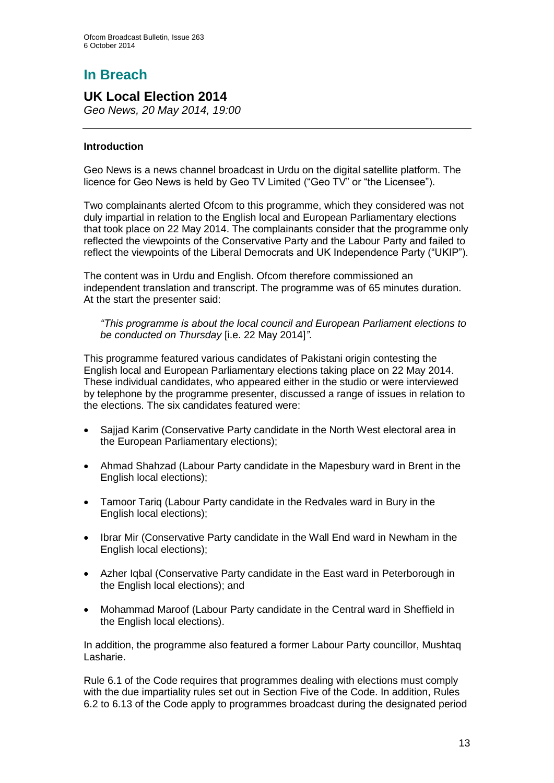# **In Breach**

## **UK Local Election 2014**

*Geo News, 20 May 2014, 19:00*

#### **Introduction**

Geo News is a news channel broadcast in Urdu on the digital satellite platform. The licence for Geo News is held by Geo TV Limited ("Geo TV" or "the Licensee").

Two complainants alerted Ofcom to this programme, which they considered was not duly impartial in relation to the English local and European Parliamentary elections that took place on 22 May 2014. The complainants consider that the programme only reflected the viewpoints of the Conservative Party and the Labour Party and failed to reflect the viewpoints of the Liberal Democrats and UK Independence Party ("UKIP").

The content was in Urdu and English. Ofcom therefore commissioned an independent translation and transcript. The programme was of 65 minutes duration. At the start the presenter said:

*"This programme is about the local council and European Parliament elections to be conducted on Thursday* [i.e. 22 May 2014]*"*.

This programme featured various candidates of Pakistani origin contesting the English local and European Parliamentary elections taking place on 22 May 2014. These individual candidates, who appeared either in the studio or were interviewed by telephone by the programme presenter, discussed a range of issues in relation to the elections. The six candidates featured were:

- Sajjad Karim (Conservative Party candidate in the North West electoral area in the European Parliamentary elections);
- Ahmad Shahzad (Labour Party candidate in the Mapesbury ward in Brent in the English local elections);
- Tamoor Tariq (Labour Party candidate in the Redvales ward in Bury in the English local elections);
- Ibrar Mir (Conservative Party candidate in the Wall End ward in Newham in the English local elections);
- Azher Iqbal (Conservative Party candidate in the East ward in Peterborough in the English local elections); and
- Mohammad Maroof (Labour Party candidate in the Central ward in Sheffield in the English local elections).

In addition, the programme also featured a former Labour Party councillor, Mushtaq Lasharie.

Rule 6.1 of the Code requires that programmes dealing with elections must comply with the due impartiality rules set out in Section Five of the Code. In addition, Rules 6.2 to 6.13 of the Code apply to programmes broadcast during the designated period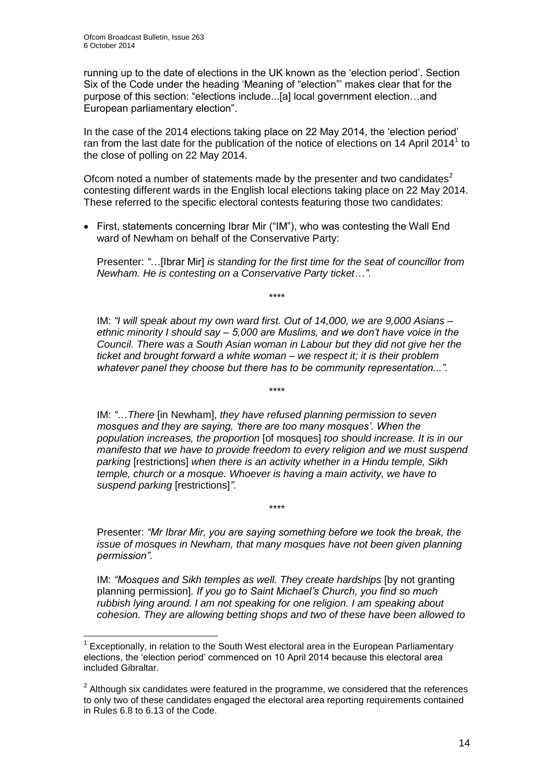running up to the date of elections in the UK known as the 'election period'. Section Six of the Code under the heading 'Meaning of "election"' makes clear that for the purpose of this section: "elections include...[a] local government election…and European parliamentary election".

In the case of the 2014 elections taking place on 22 May 2014, the 'election period' ran from the last date for the publication of the notice of elections on 14 April 2014 $<sup>1</sup>$  to</sup> the close of polling on 22 May 2014.

Ofcom noted a number of statements made by the presenter and two candidates<sup>2</sup> contesting different wards in the English local elections taking place on 22 May 2014. These referred to the specific electoral contests featuring those two candidates:

• First, statements concerning Ibrar Mir ("IM"), who was contesting the Wall End ward of Newham on behalf of the Conservative Party:

Presenter: *"*…[Ibrar Mir] *is standing for the first time for the seat of councillor from Newham. He is contesting on a Conservative Party ticket*…*"*.

\*\*\*\*

IM: *"I will speak about my own ward first. Out of 14,000, we are 9,000 Asians – ethnic minority I should say – 5,000 are Muslims, and we don't have voice in the Council. There was a South Asian woman in Labour but they did not give her the ticket and brought forward a white woman – we respect it; it is their problem whatever panel they choose but there has to be community representation...".*

\*\*\*\*

IM: *"*…*There* [in Newham], *they have refused planning permission to seven mosques and they are saying, 'there are too many mosques'. When the population increases, the proportion* [of mosques] *too should increase. It is in our manifesto that we have to provide freedom to every religion and we must suspend parking* [restrictions] *when there is an activity whether in a Hindu temple, Sikh temple, church or a mosque. Whoever is having a main activity, we have to suspend parking* [restrictions]*"*.

Presenter: *"Mr Ibrar Mir, you are saying something before we took the break, the issue of mosques in Newham, that many mosques have not been given planning permission"*.

\*\*\*\*

IM: *"Mosques and Sikh temples as well. They create hardships* [by not granting planning permission]*. If you go to Saint Michael's Church, you find so much rubbish lying around. I am not speaking for one religion. I am speaking about cohesion. They are allowing betting shops and two of these have been allowed to* 

<sup>1</sup> 1 Exceptionally, in relation to the South West electoral area in the European Parliamentary elections, the 'election period' commenced on 10 April 2014 because this electoral area included Gibraltar.

 $2$  Although six candidates were featured in the programme, we considered that the references to only two of these candidates engaged the electoral area reporting requirements contained in Rules 6.8 to 6.13 of the Code.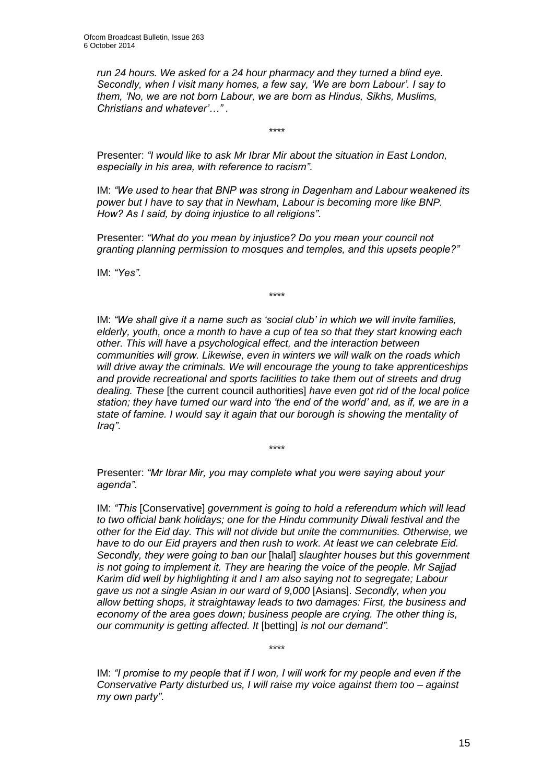*run 24 hours. We asked for a 24 hour pharmacy and they turned a blind eye. Secondly, when I visit many homes, a few say, 'We are born Labour'. I say to them, 'No, we are not born Labour, we are born as Hindus, Sikhs, Muslims, Christians and whatever'…"* .

\*\*\*\*

Presenter: *"I would like to ask Mr Ibrar Mir about the situation in East London, especially in his area, with reference to racism"*.

IM: *"We used to hear that BNP was strong in Dagenham and Labour weakened its power but I have to say that in Newham, Labour is becoming more like BNP. How? As I said, by doing injustice to all religions"*.

Presenter: *"What do you mean by injustice? Do you mean your council not granting planning permission to mosques and temples, and this upsets people?"*

IM: *"Yes"*.

\*\*\*\*

IM: *"We shall give it a name such as 'social club' in which we will invite families, elderly, youth, once a month to have a cup of tea so that they start knowing each other. This will have a psychological effect, and the interaction between communities will grow. Likewise, even in winters we will walk on the roads which will drive away the criminals. We will encourage the young to take apprenticeships and provide recreational and sports facilities to take them out of streets and drug dealing. These* [the current council authorities] *have even got rid of the local police station; they have turned our ward into 'the end of the world' and, as if, we are in a state of famine. I would say it again that our borough is showing the mentality of Iraq"*.

Presenter: *"Mr Ibrar Mir, you may complete what you were saying about your agenda".*

\*\*\*\*

IM: *"This* [Conservative] *government is going to hold a referendum which will lead to two official bank holidays; one for the Hindu community Diwali festival and the other for the Eid day. This will not divide but unite the communities. Otherwise, we have to do our Eid prayers and then rush to work. At least we can celebrate Eid. Secondly, they were going to ban our* [halal] *slaughter houses but this government is not going to implement it. They are hearing the voice of the people. Mr Sajjad Karim did well by highlighting it and I am also saying not to segregate; Labour gave us not a single Asian in our ward of 9,000* [Asians]. *Secondly, when you allow betting shops, it straightaway leads to two damages: First, the business and economy of the area goes down; business people are crying. The other thing is, our community is getting affected. It* [betting] *is not our demand".* 

IM: *"I promise to my people that if I won, I will work for my people and even if the Conservative Party disturbed us, I will raise my voice against them too – against my own party"*.

\*\*\*\*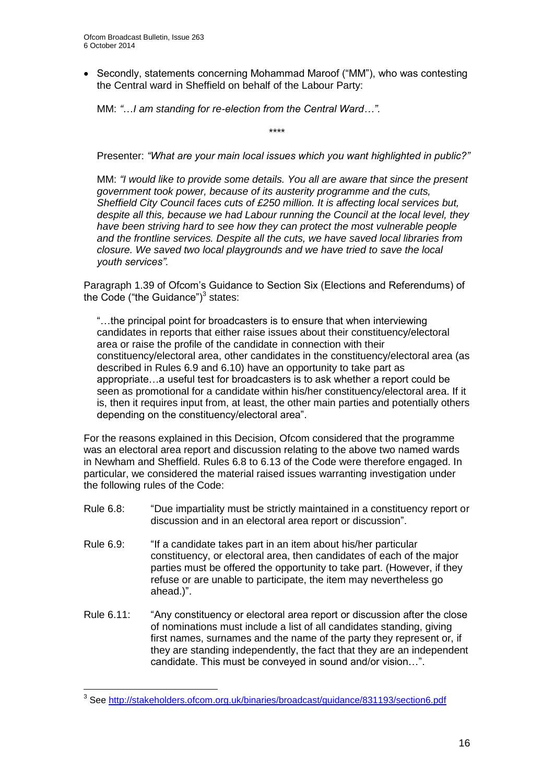Secondly, statements concerning Mohammad Maroof ("MM"), who was contesting the Central ward in Sheffield on behalf of the Labour Party:

MM: *"*…*I am standing for re-election from the Central Ward…"*.

\*\*\*\*

Presenter: *"What are your main local issues which you want highlighted in public?"*

MM: *"I would like to provide some details. You all are aware that since the present government took power, because of its austerity programme and the cuts, Sheffield City Council faces cuts of £250 million. It is affecting local services but, despite all this, because we had Labour running the Council at the local level, they have been striving hard to see how they can protect the most vulnerable people and the frontline services. Despite all the cuts, we have saved local libraries from closure. We saved two local playgrounds and we have tried to save the local youth services".* 

Paragraph 1.39 of Ofcom's Guidance to Section Six (Elections and Referendums) of the Code ("the Guidance") $3$  states:

"…the principal point for broadcasters is to ensure that when interviewing candidates in reports that either raise issues about their constituency/electoral area or raise the profile of the candidate in connection with their constituency/electoral area, other candidates in the constituency/electoral area (as described in Rules 6.9 and 6.10) have an opportunity to take part as appropriate…a useful test for broadcasters is to ask whether a report could be seen as promotional for a candidate within his/her constituency/electoral area. If it is, then it requires input from, at least, the other main parties and potentially others depending on the constituency/electoral area".

For the reasons explained in this Decision, Ofcom considered that the programme was an electoral area report and discussion relating to the above two named wards in Newham and Sheffield. Rules 6.8 to 6.13 of the Code were therefore engaged. In particular, we considered the material raised issues warranting investigation under the following rules of the Code:

- Rule 6.8: "Due impartiality must be strictly maintained in a constituency report or discussion and in an electoral area report or discussion".
- Rule 6.9: "If a candidate takes part in an item about his/her particular constituency, or electoral area, then candidates of each of the major parties must be offered the opportunity to take part. (However, if they refuse or are unable to participate, the item may nevertheless go ahead.)".
- Rule 6.11: "Any constituency or electoral area report or discussion after the close of nominations must include a list of all candidates standing, giving first names, surnames and the name of the party they represent or, if they are standing independently, the fact that they are an independent candidate. This must be conveyed in sound and/or vision…".

1

<sup>&</sup>lt;sup>3</sup> See<http://stakeholders.ofcom.org.uk/binaries/broadcast/guidance/831193/section6.pdf>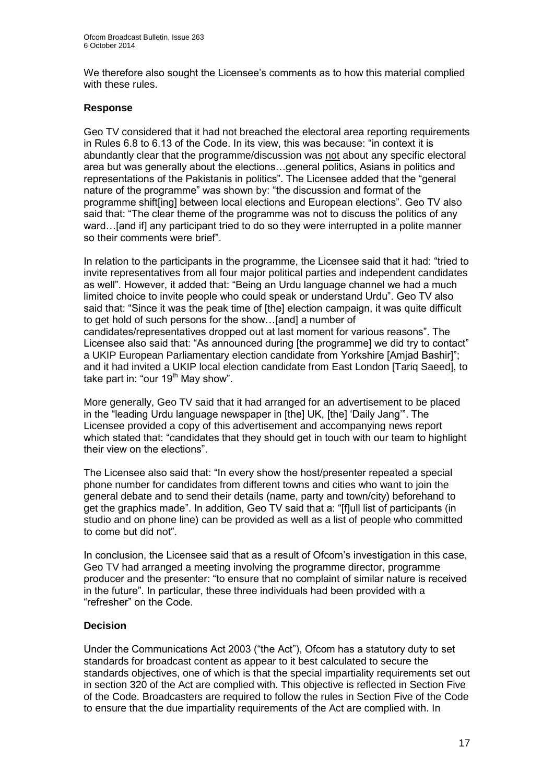We therefore also sought the Licensee's comments as to how this material complied with these rules.

#### **Response**

Geo TV considered that it had not breached the electoral area reporting requirements in Rules 6.8 to 6.13 of the Code. In its view, this was because: "in context it is abundantly clear that the programme/discussion was not about any specific electoral area but was generally about the elections…general politics, Asians in politics and representations of the Pakistanis in politics". The Licensee added that the "general nature of the programme" was shown by: "the discussion and format of the programme shift[ing] between local elections and European elections". Geo TV also said that: "The clear theme of the programme was not to discuss the politics of any ward…[and if] any participant tried to do so they were interrupted in a polite manner so their comments were brief".

In relation to the participants in the programme, the Licensee said that it had: "tried to invite representatives from all four major political parties and independent candidates as well". However, it added that: "Being an Urdu language channel we had a much limited choice to invite people who could speak or understand Urdu". Geo TV also said that: "Since it was the peak time of [the] election campaign, it was quite difficult to get hold of such persons for the show…[and] a number of candidates/representatives dropped out at last moment for various reasons". The Licensee also said that: "As announced during [the programme] we did try to contact" a UKIP European Parliamentary election candidate from Yorkshire [Amjad Bashir]"; and it had invited a UKIP local election candidate from East London [Tariq Saeed], to take part in: "our  $19<sup>th</sup>$  May show".

More generally, Geo TV said that it had arranged for an advertisement to be placed in the "leading Urdu language newspaper in [the] UK, [the] 'Daily Jang'". The Licensee provided a copy of this advertisement and accompanying news report which stated that: "candidates that they should get in touch with our team to highlight their view on the elections".

The Licensee also said that: "In every show the host/presenter repeated a special phone number for candidates from different towns and cities who want to join the general debate and to send their details (name, party and town/city) beforehand to get the graphics made". In addition, Geo TV said that a: "[f]ull list of participants (in studio and on phone line) can be provided as well as a list of people who committed to come but did not".

In conclusion, the Licensee said that as a result of Ofcom's investigation in this case, Geo TV had arranged a meeting involving the programme director, programme producer and the presenter: "to ensure that no complaint of similar nature is received in the future". In particular, these three individuals had been provided with a "refresher" on the Code.

#### **Decision**

Under the Communications Act 2003 ("the Act"), Ofcom has a statutory duty to set standards for broadcast content as appear to it best calculated to secure the standards objectives, one of which is that the special impartiality requirements set out in section 320 of the Act are complied with. This objective is reflected in Section Five of the Code. Broadcasters are required to follow the rules in Section Five of the Code to ensure that the due impartiality requirements of the Act are complied with. In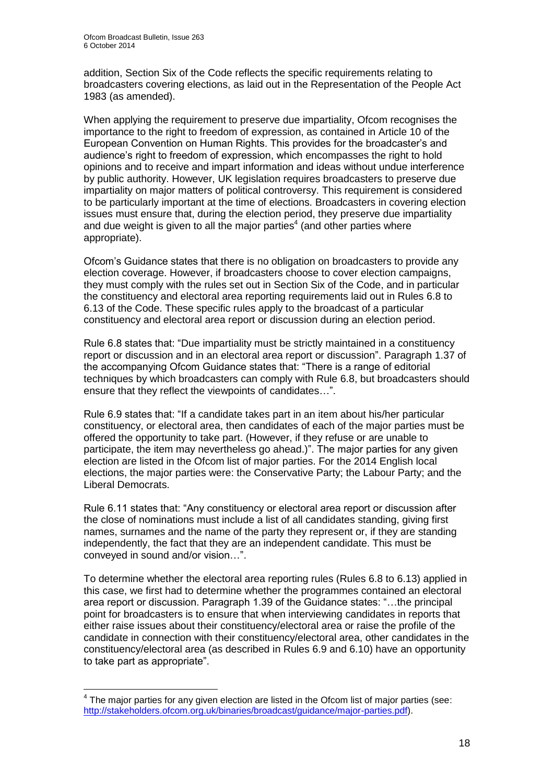addition, Section Six of the Code reflects the specific requirements relating to broadcasters covering elections, as laid out in the Representation of the People Act 1983 (as amended).

When applying the requirement to preserve due impartiality. Ofcom recognises the importance to the right to freedom of expression, as contained in Article 10 of the European Convention on Human Rights. This provides for the broadcaster's and audience's right to freedom of expression, which encompasses the right to hold opinions and to receive and impart information and ideas without undue interference by public authority. However, UK legislation requires broadcasters to preserve due impartiality on major matters of political controversy. This requirement is considered to be particularly important at the time of elections. Broadcasters in covering election issues must ensure that, during the election period, they preserve due impartiality and due weight is given to all the major parties<sup>4</sup> (and other parties where appropriate).

Ofcom's Guidance states that there is no obligation on broadcasters to provide any election coverage. However, if broadcasters choose to cover election campaigns, they must comply with the rules set out in Section Six of the Code, and in particular the constituency and electoral area reporting requirements laid out in Rules 6.8 to 6.13 of the Code. These specific rules apply to the broadcast of a particular constituency and electoral area report or discussion during an election period.

Rule 6.8 states that: "Due impartiality must be strictly maintained in a constituency report or discussion and in an electoral area report or discussion". Paragraph 1.37 of the accompanying Ofcom Guidance states that: "There is a range of editorial techniques by which broadcasters can comply with Rule 6.8, but broadcasters should ensure that they reflect the viewpoints of candidates…".

Rule 6.9 states that: "If a candidate takes part in an item about his/her particular constituency, or electoral area, then candidates of each of the major parties must be offered the opportunity to take part. (However, if they refuse or are unable to participate, the item may nevertheless go ahead.)". The major parties for any given election are listed in the Ofcom list of major parties. For the 2014 English local elections, the major parties were: the Conservative Party; the Labour Party; and the Liberal Democrats.

Rule 6.11 states that: "Any constituency or electoral area report or discussion after the close of nominations must include a list of all candidates standing, giving first names, surnames and the name of the party they represent or, if they are standing independently, the fact that they are an independent candidate. This must be conveyed in sound and/or vision…".

To determine whether the electoral area reporting rules (Rules 6.8 to 6.13) applied in this case, we first had to determine whether the programmes contained an electoral area report or discussion. Paragraph 1.39 of the Guidance states: "…the principal point for broadcasters is to ensure that when interviewing candidates in reports that either raise issues about their constituency/electoral area or raise the profile of the candidate in connection with their constituency/electoral area, other candidates in the constituency/electoral area (as described in Rules 6.9 and 6.10) have an opportunity to take part as appropriate".

1

 $4$  The major parties for any given election are listed in the Ofcom list of major parties (see: [http://stakeholders.ofcom.org.uk/binaries/broadcast/guidance/major-parties.pdf\)](http://stakeholders.ofcom.org.uk/binaries/broadcast/guidance/major-parties.pdf).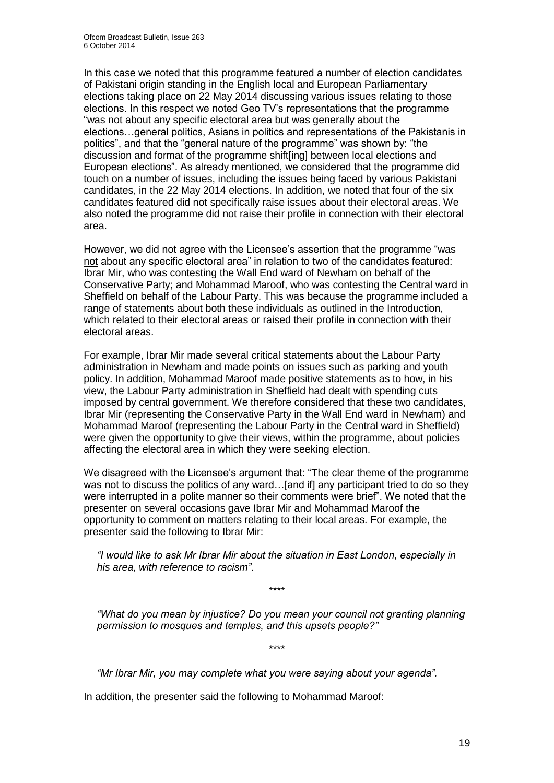In this case we noted that this programme featured a number of election candidates of Pakistani origin standing in the English local and European Parliamentary elections taking place on 22 May 2014 discussing various issues relating to those elections. In this respect we noted Geo TV's representations that the programme "was not about any specific electoral area but was generally about the elections…general politics, Asians in politics and representations of the Pakistanis in politics", and that the "general nature of the programme" was shown by: "the discussion and format of the programme shift[ing] between local elections and European elections". As already mentioned, we considered that the programme did touch on a number of issues, including the issues being faced by various Pakistani candidates, in the 22 May 2014 elections. In addition, we noted that four of the six candidates featured did not specifically raise issues about their electoral areas. We also noted the programme did not raise their profile in connection with their electoral area.

However, we did not agree with the Licensee's assertion that the programme "was not about any specific electoral area" in relation to two of the candidates featured: Ibrar Mir, who was contesting the Wall End ward of Newham on behalf of the Conservative Party; and Mohammad Maroof, who was contesting the Central ward in Sheffield on behalf of the Labour Party. This was because the programme included a range of statements about both these individuals as outlined in the Introduction, which related to their electoral areas or raised their profile in connection with their electoral areas.

For example, Ibrar Mir made several critical statements about the Labour Party administration in Newham and made points on issues such as parking and youth policy. In addition, Mohammad Maroof made positive statements as to how, in his view, the Labour Party administration in Sheffield had dealt with spending cuts imposed by central government. We therefore considered that these two candidates, Ibrar Mir (representing the Conservative Party in the Wall End ward in Newham) and Mohammad Maroof (representing the Labour Party in the Central ward in Sheffield) were given the opportunity to give their views, within the programme, about policies affecting the electoral area in which they were seeking election.

We disagreed with the Licensee's argument that: "The clear theme of the programme was not to discuss the politics of any ward...[and if] any participant tried to do so they were interrupted in a polite manner so their comments were brief". We noted that the presenter on several occasions gave Ibrar Mir and Mohammad Maroof the opportunity to comment on matters relating to their local areas. For example, the presenter said the following to Ibrar Mir:

*"I would like to ask Mr Ibrar Mir about the situation in East London, especially in his area, with reference to racism"*.

\*\*\*\*

*"What do you mean by injustice? Do you mean your council not granting planning permission to mosques and temples, and this upsets people?"*

\*\*\*\*

*"Mr Ibrar Mir, you may complete what you were saying about your agenda".*

In addition, the presenter said the following to Mohammad Maroof: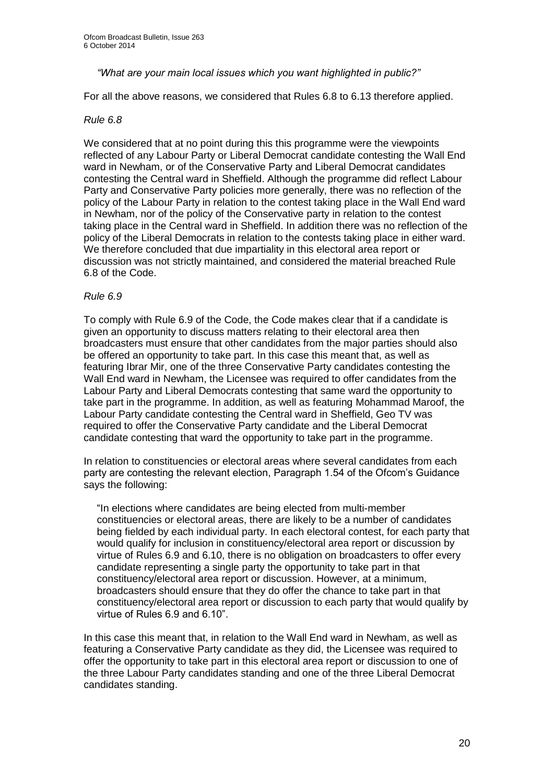#### *"What are your main local issues which you want highlighted in public?"*

For all the above reasons, we considered that Rules 6.8 to 6.13 therefore applied.

#### *Rule 6.8*

We considered that at no point during this this programme were the viewpoints reflected of any Labour Party or Liberal Democrat candidate contesting the Wall End ward in Newham, or of the Conservative Party and Liberal Democrat candidates contesting the Central ward in Sheffield. Although the programme did reflect Labour Party and Conservative Party policies more generally, there was no reflection of the policy of the Labour Party in relation to the contest taking place in the Wall End ward in Newham, nor of the policy of the Conservative party in relation to the contest taking place in the Central ward in Sheffield. In addition there was no reflection of the policy of the Liberal Democrats in relation to the contests taking place in either ward. We therefore concluded that due impartiality in this electoral area report or discussion was not strictly maintained, and considered the material breached Rule 6.8 of the Code.

#### *Rule 6.9*

To comply with Rule 6.9 of the Code, the Code makes clear that if a candidate is given an opportunity to discuss matters relating to their electoral area then broadcasters must ensure that other candidates from the major parties should also be offered an opportunity to take part. In this case this meant that, as well as featuring Ibrar Mir, one of the three Conservative Party candidates contesting the Wall End ward in Newham, the Licensee was required to offer candidates from the Labour Party and Liberal Democrats contesting that same ward the opportunity to take part in the programme. In addition, as well as featuring Mohammad Maroof, the Labour Party candidate contesting the Central ward in Sheffield, Geo TV was required to offer the Conservative Party candidate and the Liberal Democrat candidate contesting that ward the opportunity to take part in the programme.

In relation to constituencies or electoral areas where several candidates from each party are contesting the relevant election, Paragraph 1.54 of the Ofcom's Guidance says the following:

"In elections where candidates are being elected from multi-member constituencies or electoral areas, there are likely to be a number of candidates being fielded by each individual party. In each electoral contest, for each party that would qualify for inclusion in constituency/electoral area report or discussion by virtue of Rules 6.9 and 6.10, there is no obligation on broadcasters to offer every candidate representing a single party the opportunity to take part in that constituency/electoral area report or discussion. However, at a minimum, broadcasters should ensure that they do offer the chance to take part in that constituency/electoral area report or discussion to each party that would qualify by virtue of Rules 6.9 and 6.10".

In this case this meant that, in relation to the Wall End ward in Newham, as well as featuring a Conservative Party candidate as they did, the Licensee was required to offer the opportunity to take part in this electoral area report or discussion to one of the three Labour Party candidates standing and one of the three Liberal Democrat candidates standing.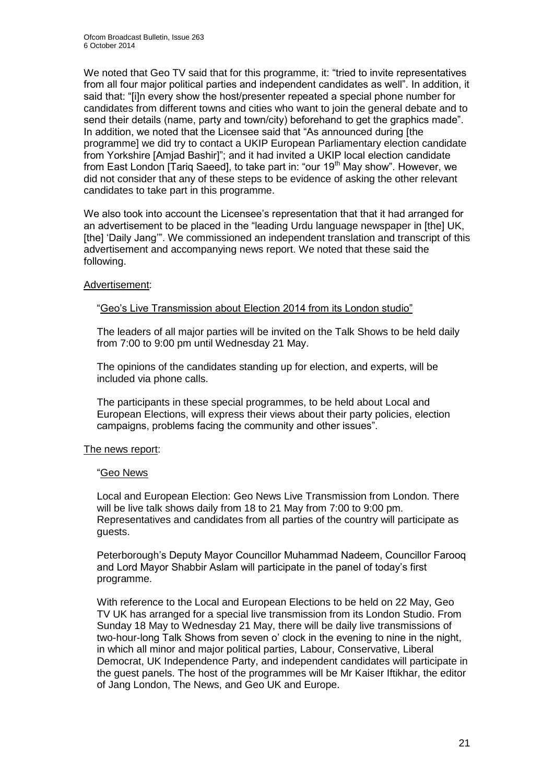We noted that Geo TV said that for this programme, it: "tried to invite representatives" from all four major political parties and independent candidates as well". In addition, it said that: "[i]n every show the host/presenter repeated a special phone number for candidates from different towns and cities who want to join the general debate and to send their details (name, party and town/city) beforehand to get the graphics made". In addition, we noted that the Licensee said that "As announced during [the programme] we did try to contact a UKIP European Parliamentary election candidate from Yorkshire [Amjad Bashir]"; and it had invited a UKIP local election candidate from East London [Tariq Saeed], to take part in: "our 19<sup>th</sup> May show". However, we did not consider that any of these steps to be evidence of asking the other relevant candidates to take part in this programme.

We also took into account the Licensee's representation that that it had arranged for an advertisement to be placed in the "leading Urdu language newspaper in [the] UK, [the] 'Daily Jang'". We commissioned an independent translation and transcript of this advertisement and accompanying news report. We noted that these said the following.

#### Advertisement:

#### "Geo's Live Transmission about Election 2014 from its London studio"

The leaders of all major parties will be invited on the Talk Shows to be held daily from 7:00 to 9:00 pm until Wednesday 21 May.

The opinions of the candidates standing up for election, and experts, will be included via phone calls.

The participants in these special programmes, to be held about Local and European Elections, will express their views about their party policies, election campaigns, problems facing the community and other issues".

#### The news report:

#### "Geo News

Local and European Election: Geo News Live Transmission from London. There will be live talk shows daily from 18 to 21 May from 7:00 to 9:00 pm. Representatives and candidates from all parties of the country will participate as guests.

Peterborough's Deputy Mayor Councillor Muhammad Nadeem, Councillor Farooq and Lord Mayor Shabbir Aslam will participate in the panel of today's first programme.

With reference to the Local and European Elections to be held on 22 May, Geo TV UK has arranged for a special live transmission from its London Studio. From Sunday 18 May to Wednesday 21 May, there will be daily live transmissions of two-hour-long Talk Shows from seven o' clock in the evening to nine in the night, in which all minor and major political parties, Labour, Conservative, Liberal Democrat, UK Independence Party, and independent candidates will participate in the guest panels. The host of the programmes will be Mr Kaiser Iftikhar, the editor of Jang London, The News, and Geo UK and Europe.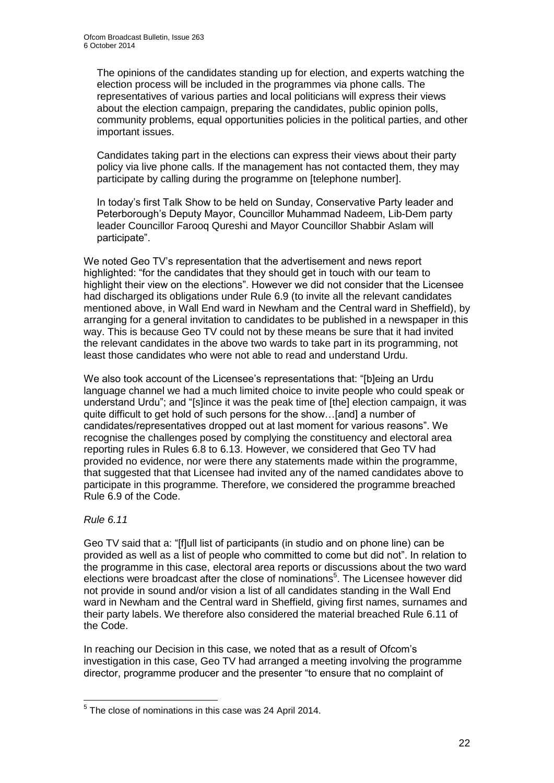The opinions of the candidates standing up for election, and experts watching the election process will be included in the programmes via phone calls. The representatives of various parties and local politicians will express their views about the election campaign, preparing the candidates, public opinion polls, community problems, equal opportunities policies in the political parties, and other important issues.

Candidates taking part in the elections can express their views about their party policy via live phone calls. If the management has not contacted them, they may participate by calling during the programme on [telephone number].

In today's first Talk Show to be held on Sunday, Conservative Party leader and Peterborough's Deputy Mayor, Councillor Muhammad Nadeem, Lib-Dem party leader Councillor Farooq Qureshi and Mayor Councillor Shabbir Aslam will participate".

We noted Geo TV's representation that the advertisement and news report highlighted: "for the candidates that they should get in touch with our team to highlight their view on the elections". However we did not consider that the Licensee had discharged its obligations under Rule 6.9 (to invite all the relevant candidates mentioned above, in Wall End ward in Newham and the Central ward in Sheffield), by arranging for a general invitation to candidates to be published in a newspaper in this way. This is because Geo TV could not by these means be sure that it had invited the relevant candidates in the above two wards to take part in its programming, not least those candidates who were not able to read and understand Urdu.

We also took account of the Licensee's representations that: "[b]eing an Urdu language channel we had a much limited choice to invite people who could speak or understand Urdu"; and "[s]ince it was the peak time of [the] election campaign, it was quite difficult to get hold of such persons for the show…[and] a number of candidates/representatives dropped out at last moment for various reasons". We recognise the challenges posed by complying the constituency and electoral area reporting rules in Rules 6.8 to 6.13. However, we considered that Geo TV had provided no evidence, nor were there any statements made within the programme, that suggested that that Licensee had invited any of the named candidates above to participate in this programme. Therefore, we considered the programme breached Rule 6.9 of the Code.

*Rule 6.11*

Geo TV said that a: "[f]ull list of participants (in studio and on phone line) can be provided as well as a list of people who committed to come but did not". In relation to the programme in this case, electoral area reports or discussions about the two ward elections were broadcast after the close of nominations<sup>5</sup>. The Licensee however did not provide in sound and/or vision a list of all candidates standing in the Wall End ward in Newham and the Central ward in Sheffield, giving first names, surnames and their party labels. We therefore also considered the material breached Rule 6.11 of the Code.

In reaching our Decision in this case, we noted that as a result of Ofcom's investigation in this case, Geo TV had arranged a meeting involving the programme director, programme producer and the presenter "to ensure that no complaint of

 5 The close of nominations in this case was 24 April 2014.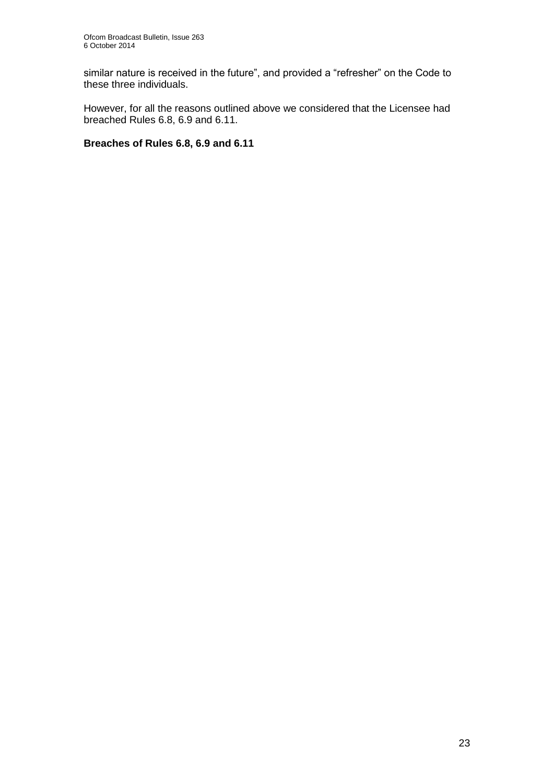similar nature is received in the future", and provided a "refresher" on the Code to these three individuals.

However, for all the reasons outlined above we considered that the Licensee had breached Rules 6.8, 6.9 and 6.11.

#### **Breaches of Rules 6.8, 6.9 and 6.11**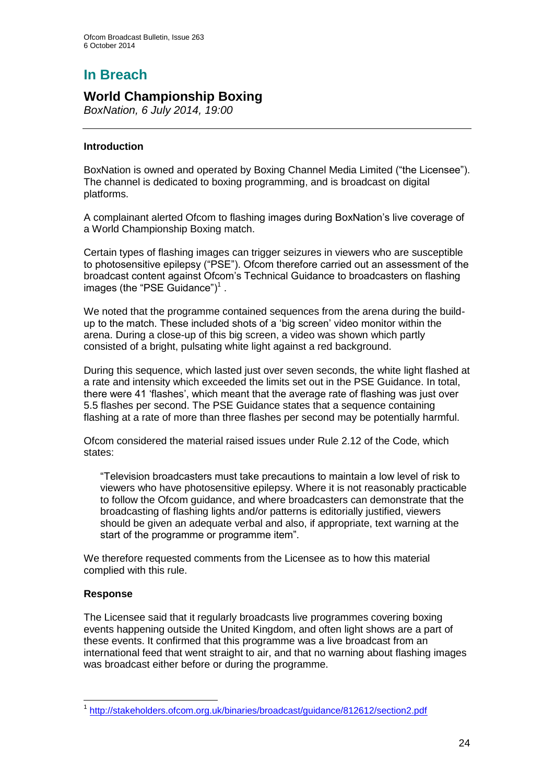# **In Breach**

## **World Championship Boxing**

*BoxNation, 6 July 2014, 19:00*

#### **Introduction**

BoxNation is owned and operated by Boxing Channel Media Limited ("the Licensee"). The channel is dedicated to boxing programming, and is broadcast on digital platforms.

A complainant alerted Ofcom to flashing images during BoxNation's live coverage of a World Championship Boxing match.

Certain types of flashing images can trigger seizures in viewers who are susceptible to photosensitive epilepsy ("PSE"). Ofcom therefore carried out an assessment of the broadcast content against Ofcom's Technical Guidance to broadcasters on flashing images (the "PSE Guidance") $<sup>1</sup>$ .</sup>

We noted that the programme contained sequences from the arena during the buildup to the match. These included shots of a 'big screen' video monitor within the arena. During a close-up of this big screen, a video was shown which partly consisted of a bright, pulsating white light against a red background.

During this sequence, which lasted just over seven seconds, the white light flashed at a rate and intensity which exceeded the limits set out in the PSE Guidance. In total, there were 41 'flashes', which meant that the average rate of flashing was just over 5.5 flashes per second. The PSE Guidance states that a sequence containing flashing at a rate of more than three flashes per second may be potentially harmful.

Ofcom considered the material raised issues under Rule 2.12 of the Code, which states:

"Television broadcasters must take precautions to maintain a low level of risk to viewers who have photosensitive epilepsy. Where it is not reasonably practicable to follow the Ofcom guidance, and where broadcasters can demonstrate that the broadcasting of flashing lights and/or patterns is editorially justified, viewers should be given an adequate verbal and also, if appropriate, text warning at the start of the programme or programme item".

We therefore requested comments from the Licensee as to how this material complied with this rule.

#### **Response**

The Licensee said that it regularly broadcasts live programmes covering boxing events happening outside the United Kingdom, and often light shows are a part of these events. It confirmed that this programme was a live broadcast from an international feed that went straight to air, and that no warning about flashing images was broadcast either before or during the programme.

<sup>1</sup> <sup>1</sup> <http://stakeholders.ofcom.org.uk/binaries/broadcast/guidance/812612/section2.pdf>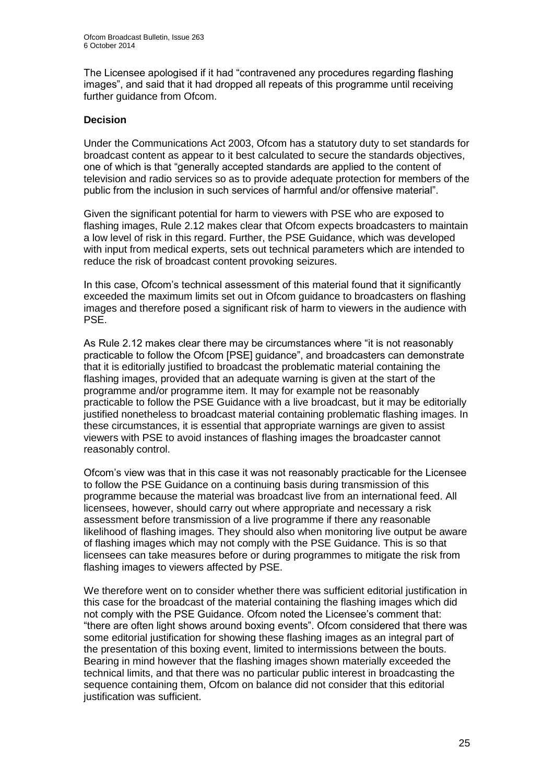The Licensee apologised if it had "contravened any procedures regarding flashing images", and said that it had dropped all repeats of this programme until receiving further quidance from Ofcom.

#### **Decision**

Under the Communications Act 2003, Ofcom has a statutory duty to set standards for broadcast content as appear to it best calculated to secure the standards objectives, one of which is that "generally accepted standards are applied to the content of television and radio services so as to provide adequate protection for members of the public from the inclusion in such services of harmful and/or offensive material".

Given the significant potential for harm to viewers with PSE who are exposed to flashing images, Rule 2.12 makes clear that Ofcom expects broadcasters to maintain a low level of risk in this regard. Further, the PSE Guidance, which was developed with input from medical experts, sets out technical parameters which are intended to reduce the risk of broadcast content provoking seizures.

In this case, Ofcom's technical assessment of this material found that it significantly exceeded the maximum limits set out in Ofcom guidance to broadcasters on flashing images and therefore posed a significant risk of harm to viewers in the audience with PSE.

As Rule 2.12 makes clear there may be circumstances where "it is not reasonably practicable to follow the Ofcom [PSE] guidance", and broadcasters can demonstrate that it is editorially justified to broadcast the problematic material containing the flashing images, provided that an adequate warning is given at the start of the programme and/or programme item. It may for example not be reasonably practicable to follow the PSE Guidance with a live broadcast, but it may be editorially justified nonetheless to broadcast material containing problematic flashing images. In these circumstances, it is essential that appropriate warnings are given to assist viewers with PSE to avoid instances of flashing images the broadcaster cannot reasonably control.

Ofcom's view was that in this case it was not reasonably practicable for the Licensee to follow the PSE Guidance on a continuing basis during transmission of this programme because the material was broadcast live from an international feed. All licensees, however, should carry out where appropriate and necessary a risk assessment before transmission of a live programme if there any reasonable likelihood of flashing images. They should also when monitoring live output be aware of flashing images which may not comply with the PSE Guidance. This is so that licensees can take measures before or during programmes to mitigate the risk from flashing images to viewers affected by PSE.

We therefore went on to consider whether there was sufficient editorial justification in this case for the broadcast of the material containing the flashing images which did not comply with the PSE Guidance. Ofcom noted the Licensee's comment that: "there are often light shows around boxing events". Ofcom considered that there was some editorial justification for showing these flashing images as an integral part of the presentation of this boxing event, limited to intermissions between the bouts. Bearing in mind however that the flashing images shown materially exceeded the technical limits, and that there was no particular public interest in broadcasting the sequence containing them, Ofcom on balance did not consider that this editorial justification was sufficient.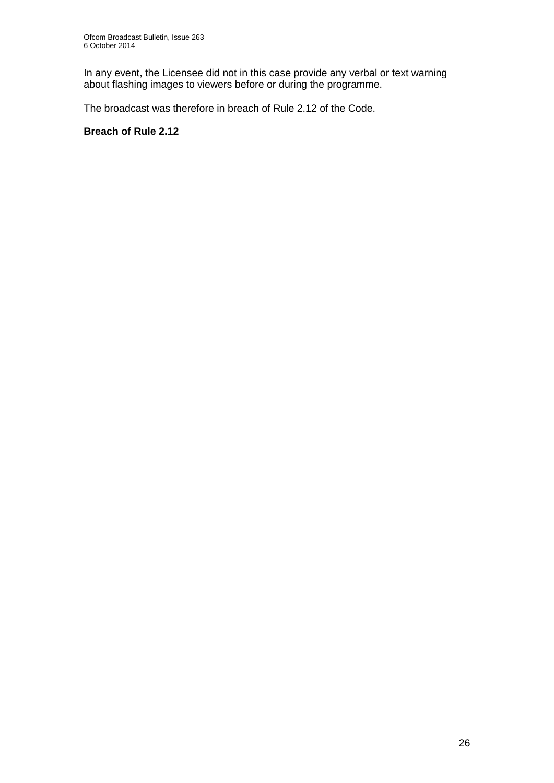In any event, the Licensee did not in this case provide any verbal or text warning about flashing images to viewers before or during the programme.

The broadcast was therefore in breach of Rule 2.12 of the Code.

#### **Breach of Rule 2.12**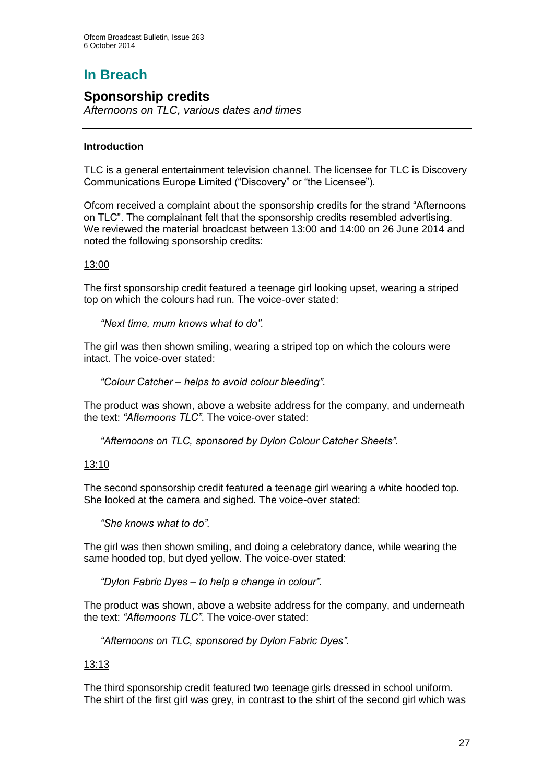# **In Breach**

## **Sponsorship credits**

*Afternoons on TLC, various dates and times*

#### **Introduction**

TLC is a general entertainment television channel. The licensee for TLC is Discovery Communications Europe Limited ("Discovery" or "the Licensee").

Ofcom received a complaint about the sponsorship credits for the strand "Afternoons on TLC". The complainant felt that the sponsorship credits resembled advertising. We reviewed the material broadcast between 13:00 and 14:00 on 26 June 2014 and noted the following sponsorship credits:

#### 13:00

The first sponsorship credit featured a teenage girl looking upset, wearing a striped top on which the colours had run. The voice-over stated:

*"Next time, mum knows what to do".*

The girl was then shown smiling, wearing a striped top on which the colours were intact. The voice-over stated:

*"Colour Catcher – helps to avoid colour bleeding".*

The product was shown, above a website address for the company, and underneath the text: *"Afternoons TLC"*. The voice-over stated:

*"Afternoons on TLC, sponsored by Dylon Colour Catcher Sheets".*

#### 13:10

The second sponsorship credit featured a teenage girl wearing a white hooded top. She looked at the camera and sighed. The voice-over stated:

*"She knows what to do".*

The girl was then shown smiling, and doing a celebratory dance, while wearing the same hooded top, but dyed yellow. The voice-over stated:

*"Dylon Fabric Dyes – to help a change in colour".*

The product was shown, above a website address for the company, and underneath the text: *"Afternoons TLC"*. The voice-over stated:

*"Afternoons on TLC, sponsored by Dylon Fabric Dyes".*

#### 13:13

The third sponsorship credit featured two teenage girls dressed in school uniform. The shirt of the first girl was grey, in contrast to the shirt of the second girl which was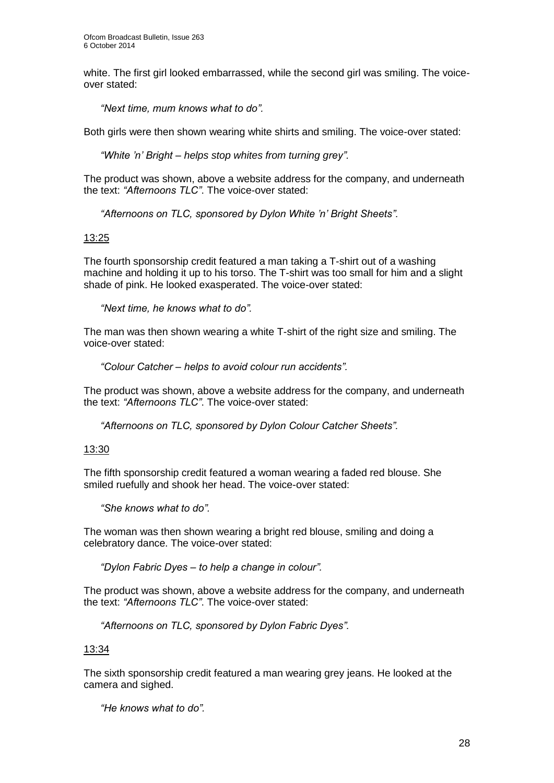white. The first girl looked embarrassed, while the second girl was smiling. The voiceover stated:

*"Next time, mum knows what to do".*

Both girls were then shown wearing white shirts and smiling. The voice-over stated:

*"White 'n' Bright – helps stop whites from turning grey".*

The product was shown, above a website address for the company, and underneath the text: *"Afternoons TLC"*. The voice-over stated:

*"Afternoons on TLC, sponsored by Dylon White 'n' Bright Sheets".*

#### 13:25

The fourth sponsorship credit featured a man taking a T-shirt out of a washing machine and holding it up to his torso. The T-shirt was too small for him and a slight shade of pink. He looked exasperated. The voice-over stated:

*"Next time, he knows what to do".*

The man was then shown wearing a white T-shirt of the right size and smiling. The voice-over stated:

*"Colour Catcher – helps to avoid colour run accidents".*

The product was shown, above a website address for the company, and underneath the text: *"Afternoons TLC"*. The voice-over stated:

*"Afternoons on TLC, sponsored by Dylon Colour Catcher Sheets".*

#### 13:30

The fifth sponsorship credit featured a woman wearing a faded red blouse. She smiled ruefully and shook her head. The voice-over stated:

*"She knows what to do".*

The woman was then shown wearing a bright red blouse, smiling and doing a celebratory dance. The voice-over stated:

*"Dylon Fabric Dyes – to help a change in colour".*

The product was shown, above a website address for the company, and underneath the text: *"Afternoons TLC"*. The voice-over stated:

*"Afternoons on TLC, sponsored by Dylon Fabric Dyes".*

#### 13:34

The sixth sponsorship credit featured a man wearing grey jeans. He looked at the camera and sighed.

*"He knows what to do".*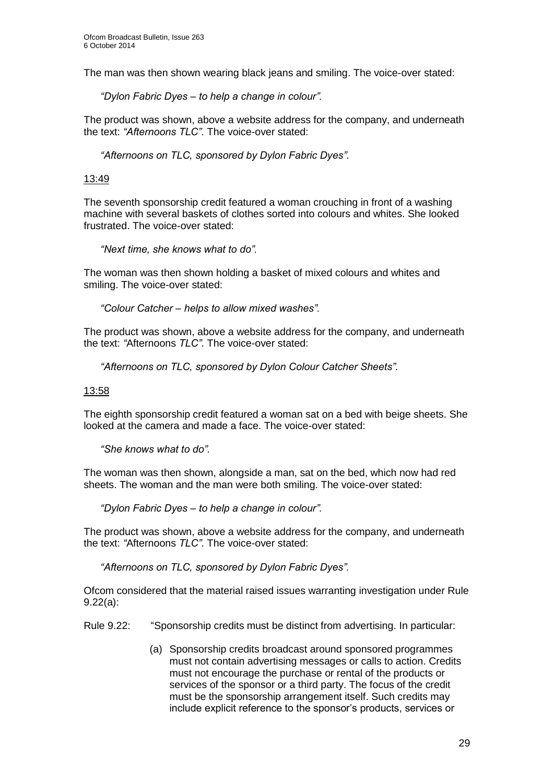The man was then shown wearing black jeans and smiling. The voice-over stated:

*"Dylon Fabric Dyes – to help a change in colour".*

The product was shown, above a website address for the company, and underneath the text: *"Afternoons TLC"*. The voice-over stated:

*"Afternoons on TLC, sponsored by Dylon Fabric Dyes".*

#### 13:49

The seventh sponsorship credit featured a woman crouching in front of a washing machine with several baskets of clothes sorted into colours and whites. She looked frustrated. The voice-over stated:

*"Next time, she knows what to do".*

The woman was then shown holding a basket of mixed colours and whites and smiling. The voice-over stated:

*"Colour Catcher – helps to allow mixed washes".*

The product was shown, above a website address for the company, and underneath the text: *"*Afternoons *TLC"*. The voice-over stated:

*"Afternoons on TLC, sponsored by Dylon Colour Catcher Sheets".*

13:58

The eighth sponsorship credit featured a woman sat on a bed with beige sheets. She looked at the camera and made a face. The voice-over stated:

*"She knows what to do".*

The woman was then shown, alongside a man, sat on the bed, which now had red sheets. The woman and the man were both smiling. The voice-over stated:

*"Dylon Fabric Dyes – to help a change in colour".*

The product was shown, above a website address for the company, and underneath the text: *"*Afternoons *TLC"*. The voice-over stated:

*"Afternoons on TLC, sponsored by Dylon Fabric Dyes".*

Ofcom considered that the material raised issues warranting investigation under Rule 9.22(a):

Rule 9.22: "Sponsorship credits must be distinct from advertising. In particular:

(a) Sponsorship credits broadcast around sponsored programmes must not contain advertising messages or calls to action. Credits must not encourage the purchase or rental of the products or services of the sponsor or a third party. The focus of the credit must be the sponsorship arrangement itself. Such credits may include explicit reference to the sponsor's products, services or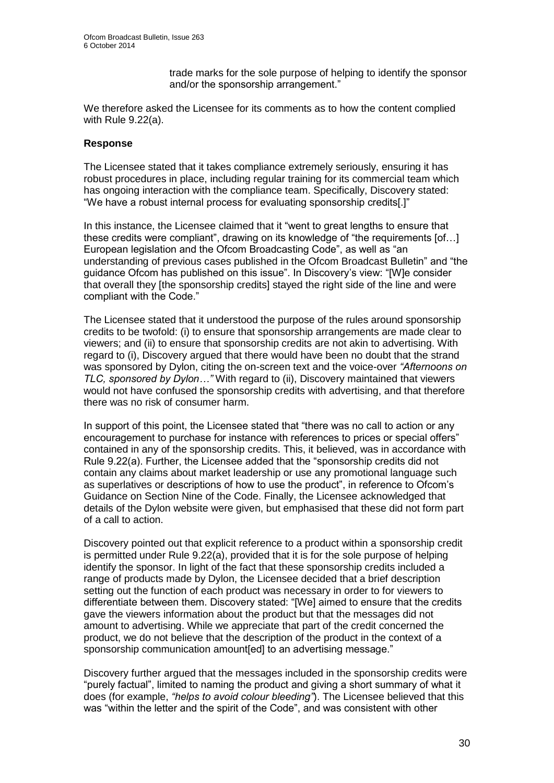trade marks for the sole purpose of helping to identify the sponsor and/or the sponsorship arrangement."

We therefore asked the Licensee for its comments as to how the content complied with Rule 9.22(a).

#### **Response**

The Licensee stated that it takes compliance extremely seriously, ensuring it has robust procedures in place, including regular training for its commercial team which has ongoing interaction with the compliance team. Specifically, Discovery stated: "We have a robust internal process for evaluating sponsorship credits[.]"

In this instance, the Licensee claimed that it "went to great lengths to ensure that these credits were compliant", drawing on its knowledge of "the requirements [of…] European legislation and the Ofcom Broadcasting Code", as well as "an understanding of previous cases published in the Ofcom Broadcast Bulletin" and "the guidance Ofcom has published on this issue". In Discovery's view: "[W]e consider that overall they [the sponsorship credits] stayed the right side of the line and were compliant with the Code."

The Licensee stated that it understood the purpose of the rules around sponsorship credits to be twofold: (i) to ensure that sponsorship arrangements are made clear to viewers; and (ii) to ensure that sponsorship credits are not akin to advertising. With regard to (i), Discovery argued that there would have been no doubt that the strand was sponsored by Dylon, citing the on-screen text and the voice-over *"Afternoons on TLC, sponsored by Dylon…"* With regard to (ii), Discovery maintained that viewers would not have confused the sponsorship credits with advertising, and that therefore there was no risk of consumer harm.

In support of this point, the Licensee stated that "there was no call to action or any encouragement to purchase for instance with references to prices or special offers" contained in any of the sponsorship credits. This, it believed, was in accordance with Rule 9.22(a). Further, the Licensee added that the "sponsorship credits did not contain any claims about market leadership or use any promotional language such as superlatives or descriptions of how to use the product", in reference to Ofcom's Guidance on Section Nine of the Code. Finally, the Licensee acknowledged that details of the Dylon website were given, but emphasised that these did not form part of a call to action.

Discovery pointed out that explicit reference to a product within a sponsorship credit is permitted under Rule 9.22(a), provided that it is for the sole purpose of helping identify the sponsor. In light of the fact that these sponsorship credits included a range of products made by Dylon, the Licensee decided that a brief description setting out the function of each product was necessary in order to for viewers to differentiate between them. Discovery stated: "[We] aimed to ensure that the credits gave the viewers information about the product but that the messages did not amount to advertising. While we appreciate that part of the credit concerned the product, we do not believe that the description of the product in the context of a sponsorship communication amount [ed] to an advertising message."

Discovery further argued that the messages included in the sponsorship credits were "purely factual", limited to naming the product and giving a short summary of what it does (for example, *"helps to avoid colour bleeding"*). The Licensee believed that this was "within the letter and the spirit of the Code", and was consistent with other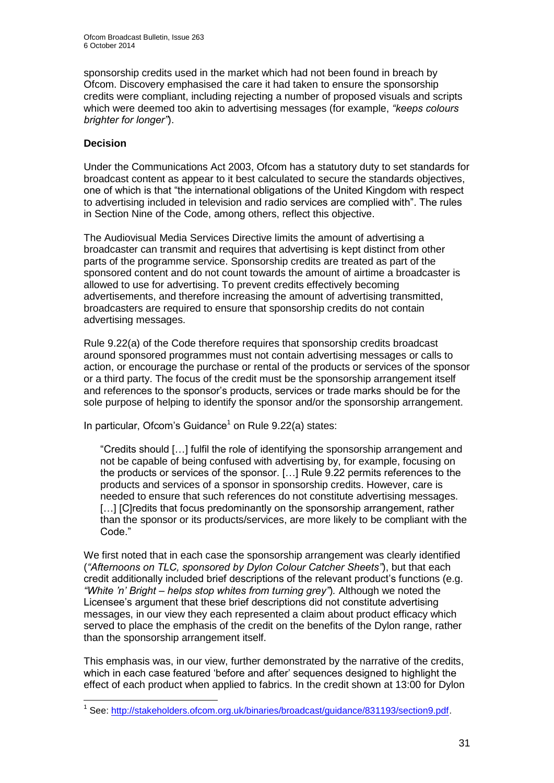sponsorship credits used in the market which had not been found in breach by Ofcom. Discovery emphasised the care it had taken to ensure the sponsorship credits were compliant, including rejecting a number of proposed visuals and scripts which were deemed too akin to advertising messages (for example, *"keeps colours brighter for longer"*).

#### **Decision**

Under the Communications Act 2003, Ofcom has a statutory duty to set standards for broadcast content as appear to it best calculated to secure the standards objectives, one of which is that "the international obligations of the United Kingdom with respect to advertising included in television and radio services are complied with". The rules in Section Nine of the Code, among others, reflect this objective.

The Audiovisual Media Services Directive limits the amount of advertising a broadcaster can transmit and requires that advertising is kept distinct from other parts of the programme service. Sponsorship credits are treated as part of the sponsored content and do not count towards the amount of airtime a broadcaster is allowed to use for advertising. To prevent credits effectively becoming advertisements, and therefore increasing the amount of advertising transmitted, broadcasters are required to ensure that sponsorship credits do not contain advertising messages.

Rule 9.22(a) of the Code therefore requires that sponsorship credits broadcast around sponsored programmes must not contain advertising messages or calls to action, or encourage the purchase or rental of the products or services of the sponsor or a third party. The focus of the credit must be the sponsorship arrangement itself and references to the sponsor's products, services or trade marks should be for the sole purpose of helping to identify the sponsor and/or the sponsorship arrangement.

In particular, Ofcom's Guidance<sup>1</sup> on Rule 9.22(a) states:

"Credits should […] fulfil the role of identifying the sponsorship arrangement and not be capable of being confused with advertising by, for example, focusing on the products or services of the sponsor. […] Rule 9.22 permits references to the products and services of a sponsor in sponsorship credits. However, care is needed to ensure that such references do not constitute advertising messages. [...] [C] redits that focus predominantly on the sponsorship arrangement, rather than the sponsor or its products/services, are more likely to be compliant with the Code."

We first noted that in each case the sponsorship arrangement was clearly identified (*"Afternoons on TLC, sponsored by Dylon Colour Catcher Sheets"*), but that each credit additionally included brief descriptions of the relevant product's functions (e.g. *"White 'n' Bright – helps stop whites from turning grey"*)*.* Although we noted the Licensee's argument that these brief descriptions did not constitute advertising messages, in our view they each represented a claim about product efficacy which served to place the emphasis of the credit on the benefits of the Dylon range, rather than the sponsorship arrangement itself.

This emphasis was, in our view, further demonstrated by the narrative of the credits, which in each case featured 'before and after' sequences designed to highlight the effect of each product when applied to fabrics. In the credit shown at 13:00 for Dylon

<sup>1</sup> <sup>1</sup> See: [http://stakeholders.ofcom.org.uk/binaries/broadcast/guidance/831193/section9.pdf.](http://stakeholders.ofcom.org.uk/binaries/broadcast/guidance/831193/section9.pdf)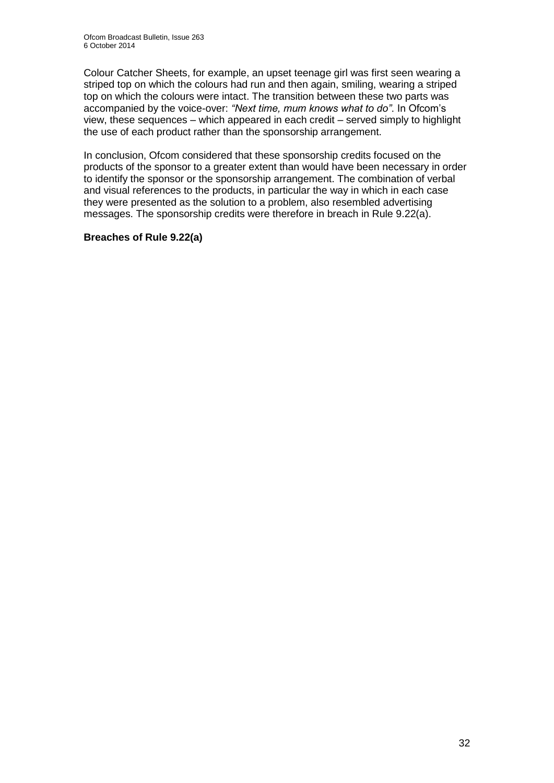Colour Catcher Sheets, for example, an upset teenage girl was first seen wearing a striped top on which the colours had run and then again, smiling, wearing a striped top on which the colours were intact. The transition between these two parts was accompanied by the voice-over: *"Next time, mum knows what to do"*. In Ofcom's view, these sequences – which appeared in each credit – served simply to highlight the use of each product rather than the sponsorship arrangement.

In conclusion, Ofcom considered that these sponsorship credits focused on the products of the sponsor to a greater extent than would have been necessary in order to identify the sponsor or the sponsorship arrangement. The combination of verbal and visual references to the products, in particular the way in which in each case they were presented as the solution to a problem, also resembled advertising messages. The sponsorship credits were therefore in breach in Rule 9.22(a).

#### **Breaches of Rule 9.22(a)**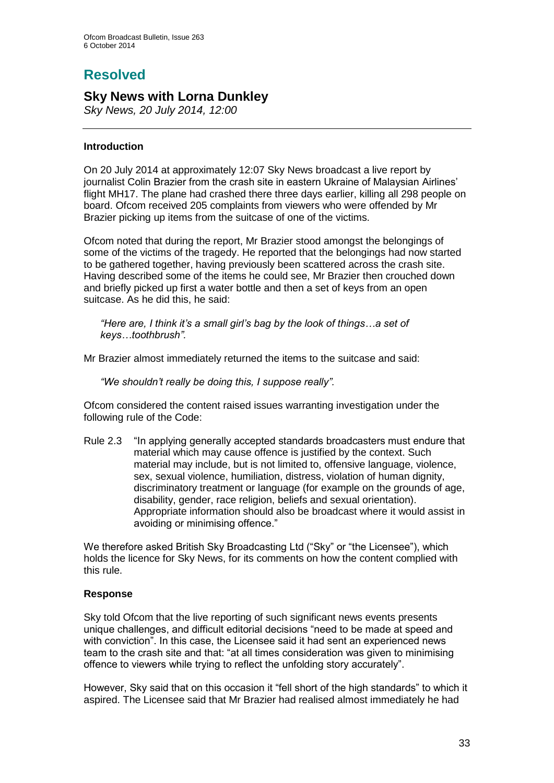## **Resolved**

### **Sky News with Lorna Dunkley**

*Sky News, 20 July 2014, 12:00*

#### **Introduction**

On 20 July 2014 at approximately 12:07 Sky News broadcast a live report by journalist Colin Brazier from the crash site in eastern Ukraine of Malaysian Airlines' flight MH17. The plane had crashed there three days earlier, killing all 298 people on board. Ofcom received 205 complaints from viewers who were offended by Mr Brazier picking up items from the suitcase of one of the victims.

Ofcom noted that during the report, Mr Brazier stood amongst the belongings of some of the victims of the tragedy. He reported that the belongings had now started to be gathered together, having previously been scattered across the crash site. Having described some of the items he could see, Mr Brazier then crouched down and briefly picked up first a water bottle and then a set of keys from an open suitcase. As he did this, he said:

*"Here are, I think it's a small girl's bag by the look of things…a set of keys…toothbrush".*

Mr Brazier almost immediately returned the items to the suitcase and said:

*"We shouldn't really be doing this, I suppose really".*

Ofcom considered the content raised issues warranting investigation under the following rule of the Code:

Rule 2.3 "In applying generally accepted standards broadcasters must endure that material which may cause offence is justified by the context. Such material may include, but is not limited to, offensive language, violence, sex, sexual violence, humiliation, distress, violation of human dignity, discriminatory treatment or language (for example on the grounds of age, disability, gender, race religion, beliefs and sexual orientation). Appropriate information should also be broadcast where it would assist in avoiding or minimising offence."

We therefore asked British Sky Broadcasting Ltd ("Sky" or "the Licensee"), which holds the licence for Sky News, for its comments on how the content complied with this rule.

#### **Response**

Sky told Ofcom that the live reporting of such significant news events presents unique challenges, and difficult editorial decisions "need to be made at speed and with conviction". In this case, the Licensee said it had sent an experienced news team to the crash site and that: "at all times consideration was given to minimising offence to viewers while trying to reflect the unfolding story accurately".

However, Sky said that on this occasion it "fell short of the high standards" to which it aspired. The Licensee said that Mr Brazier had realised almost immediately he had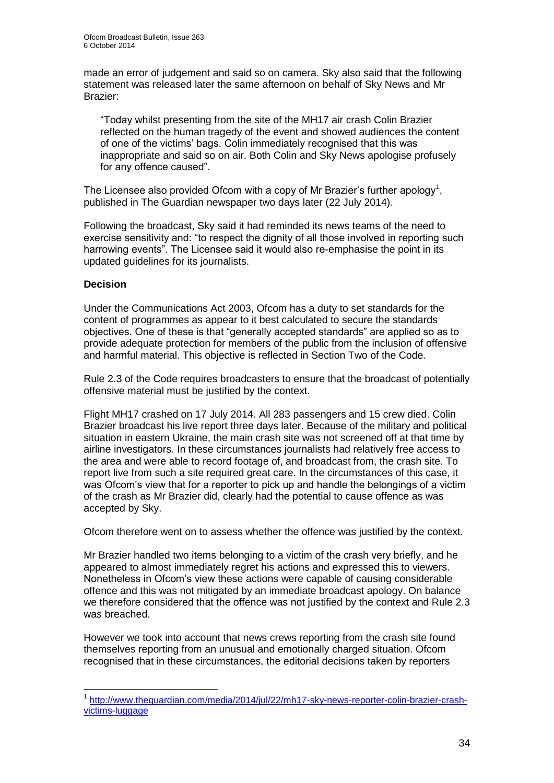made an error of judgement and said so on camera. Sky also said that the following statement was released later the same afternoon on behalf of Sky News and Mr Brazier:

"Today whilst presenting from the site of the MH17 air crash Colin Brazier reflected on the human tragedy of the event and showed audiences the content of one of the victims' bags. Colin immediately recognised that this was inappropriate and said so on air. Both Colin and Sky News apologise profusely for any offence caused".

The Licensee also provided Ofcom with a copy of Mr Brazier's further apology<sup>1</sup>, published in The Guardian newspaper two days later (22 July 2014).

Following the broadcast, Sky said it had reminded its news teams of the need to exercise sensitivity and: "to respect the dignity of all those involved in reporting such harrowing events". The Licensee said it would also re-emphasise the point in its updated guidelines for its journalists.

#### **Decision**

1

Under the Communications Act 2003, Ofcom has a duty to set standards for the content of programmes as appear to it best calculated to secure the standards objectives. One of these is that "generally accepted standards" are applied so as to provide adequate protection for members of the public from the inclusion of offensive and harmful material. This objective is reflected in Section Two of the Code.

Rule 2.3 of the Code requires broadcasters to ensure that the broadcast of potentially offensive material must be justified by the context.

Flight MH17 crashed on 17 July 2014. All 283 passengers and 15 crew died. Colin Brazier broadcast his live report three days later. Because of the military and political situation in eastern Ukraine, the main crash site was not screened off at that time by airline investigators. In these circumstances journalists had relatively free access to the area and were able to record footage of, and broadcast from, the crash site. To report live from such a site required great care. In the circumstances of this case, it was Ofcom's view that for a reporter to pick up and handle the belongings of a victim of the crash as Mr Brazier did, clearly had the potential to cause offence as was accepted by Sky.

Ofcom therefore went on to assess whether the offence was justified by the context.

Mr Brazier handled two items belonging to a victim of the crash very briefly, and he appeared to almost immediately regret his actions and expressed this to viewers. Nonetheless in Ofcom's view these actions were capable of causing considerable offence and this was not mitigated by an immediate broadcast apology. On balance we therefore considered that the offence was not justified by the context and Rule 2.3 was breached.

However we took into account that news crews reporting from the crash site found themselves reporting from an unusual and emotionally charged situation. Ofcom recognised that in these circumstances, the editorial decisions taken by reporters

<sup>1</sup> [http://www.theguardian.com/media/2014/jul/22/mh17-sky-news-reporter-colin-brazier-crash](http://www.theguardian.com/media/2014/jul/22/mh17-sky-news-reporter-colin-brazier-crash-victims-luggage)[victims-luggage](http://www.theguardian.com/media/2014/jul/22/mh17-sky-news-reporter-colin-brazier-crash-victims-luggage)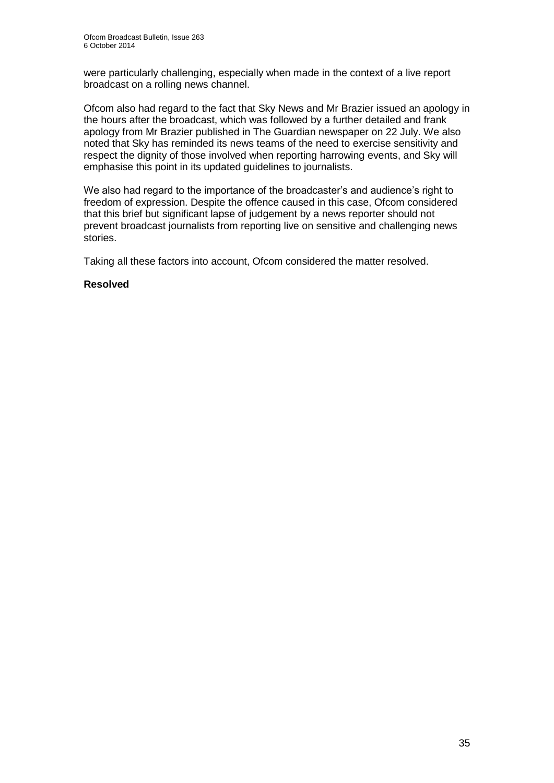were particularly challenging, especially when made in the context of a live report broadcast on a rolling news channel.

Ofcom also had regard to the fact that Sky News and Mr Brazier issued an apology in the hours after the broadcast, which was followed by a further detailed and frank apology from Mr Brazier published in The Guardian newspaper on 22 July. We also noted that Sky has reminded its news teams of the need to exercise sensitivity and respect the dignity of those involved when reporting harrowing events, and Sky will emphasise this point in its updated guidelines to journalists.

We also had regard to the importance of the broadcaster's and audience's right to freedom of expression. Despite the offence caused in this case, Ofcom considered that this brief but significant lapse of judgement by a news reporter should not prevent broadcast journalists from reporting live on sensitive and challenging news stories.

Taking all these factors into account, Ofcom considered the matter resolved.

#### **Resolved**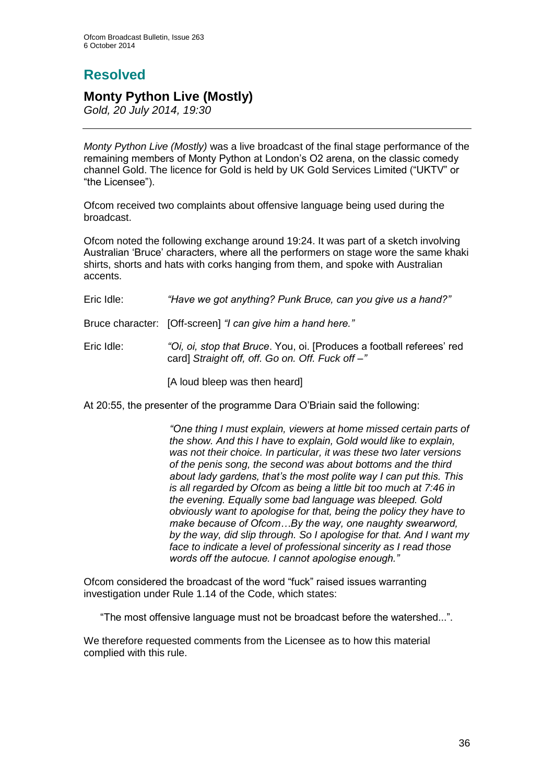# **Resolved**

## **Monty Python Live (Mostly)**

*Gold, 20 July 2014, 19:30*

*Monty Python Live (Mostly)* was a live broadcast of the final stage performance of the remaining members of Monty Python at London's O2 arena, on the classic comedy channel Gold. The licence for Gold is held by UK Gold Services Limited ("UKTV" or "the Licensee").

Ofcom received two complaints about offensive language being used during the broadcast.

Ofcom noted the following exchange around 19:24. It was part of a sketch involving Australian 'Bruce' characters, where all the performers on stage wore the same khaki shirts, shorts and hats with corks hanging from them, and spoke with Australian accents.

| "Have we got anything? Punk Bruce, can you give us a hand?"                                                               |
|---------------------------------------------------------------------------------------------------------------------------|
| Bruce character: [Off-screen] "I can give him a hand here."                                                               |
| "Oi, oi, stop that Bruce. You, oi. [Produces a football referees' red<br>card] Straight off, off. Go on. Off. Fuck off -" |
| [A loud bleep was then heard]                                                                                             |
|                                                                                                                           |

At 20:55, the presenter of the programme Dara O'Briain said the following:

*"One thing I must explain, viewers at home missed certain parts of the show. And this I have to explain, Gold would like to explain, was not their choice. In particular, it was these two later versions of the penis song, the second was about bottoms and the third about lady gardens, that's the most polite way I can put this. This is all regarded by Ofcom as being a little bit too much at 7:46 in the evening. Equally some bad language was bleeped. Gold obviously want to apologise for that, being the policy they have to make because of Ofcom…By the way, one naughty swearword, by the way, did slip through. So I apologise for that. And I want my face to indicate a level of professional sincerity as I read those words off the autocue. I cannot apologise enough."* 

Ofcom considered the broadcast of the word "fuck" raised issues warranting investigation under Rule 1.14 of the Code, which states:

"The most offensive language must not be broadcast before the watershed...".

We therefore requested comments from the Licensee as to how this material complied with this rule.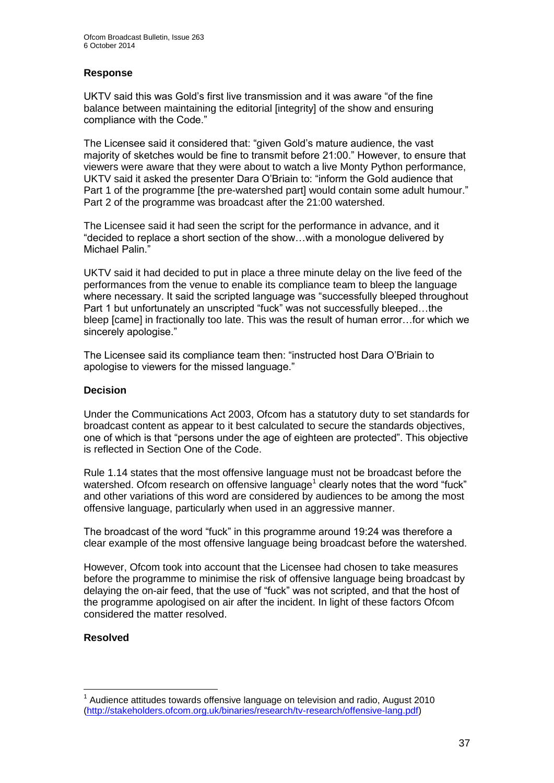# **Response**

UKTV said this was Gold's first live transmission and it was aware "of the fine balance between maintaining the editorial [integrity] of the show and ensuring compliance with the Code."

The Licensee said it considered that: "given Gold's mature audience, the vast majority of sketches would be fine to transmit before 21:00." However, to ensure that viewers were aware that they were about to watch a live Monty Python performance, UKTV said it asked the presenter Dara O'Briain to: "inform the Gold audience that Part 1 of the programme [the pre-watershed part] would contain some adult humour." Part 2 of the programme was broadcast after the 21:00 watershed.

The Licensee said it had seen the script for the performance in advance, and it "decided to replace a short section of the show…with a monologue delivered by Michael Palin."

UKTV said it had decided to put in place a three minute delay on the live feed of the performances from the venue to enable its compliance team to bleep the language where necessary. It said the scripted language was "successfully bleeped throughout Part 1 but unfortunately an unscripted "fuck" was not successfully bleeped…the bleep [came] in fractionally too late. This was the result of human error…for which we sincerely apologise."

The Licensee said its compliance team then: "instructed host Dara O'Briain to apologise to viewers for the missed language."

#### **Decision**

Under the Communications Act 2003, Ofcom has a statutory duty to set standards for broadcast content as appear to it best calculated to secure the standards objectives, one of which is that "persons under the age of eighteen are protected". This objective is reflected in Section One of the Code.

Rule 1.14 states that the most offensive language must not be broadcast before the watershed. Ofcom research on offensive language<sup>1</sup> clearly notes that the word "fuck" and other variations of this word are considered by audiences to be among the most offensive language, particularly when used in an aggressive manner.

The broadcast of the word "fuck" in this programme around 19:24 was therefore a clear example of the most offensive language being broadcast before the watershed.

However, Ofcom took into account that the Licensee had chosen to take measures before the programme to minimise the risk of offensive language being broadcast by delaying the on-air feed, that the use of "fuck" was not scripted, and that the host of the programme apologised on air after the incident. In light of these factors Ofcom considered the matter resolved.

#### **Resolved**

1

 $1$  Audience attitudes towards offensive language on television and radio, August 2010 [\(http://stakeholders.ofcom.org.uk/binaries/research/tv-research/offensive-lang.pdf\)](http://stakeholders.ofcom.org.uk/binaries/research/tv-research/offensive-lang.pdf)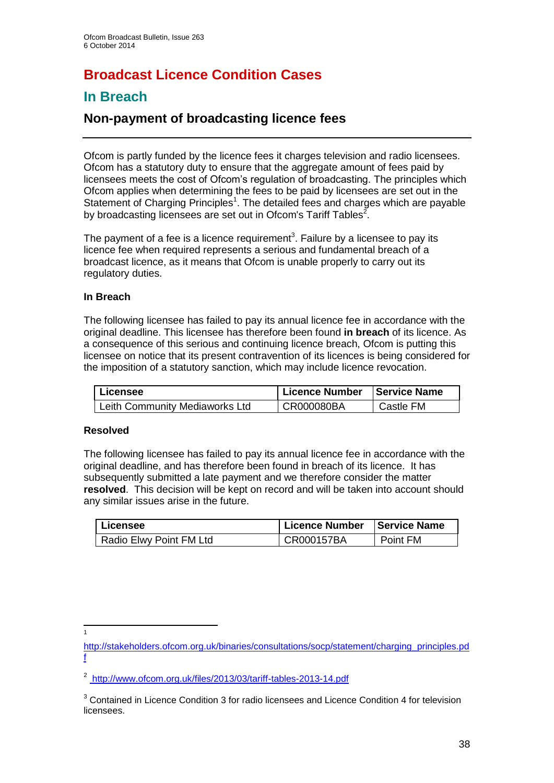# **Broadcast Licence Condition Cases**

# **In Breach**

# **Non-payment of broadcasting licence fees**

Ofcom is partly funded by the licence fees it charges television and radio licensees. Ofcom has a statutory duty to ensure that the aggregate amount of fees paid by licensees meets the cost of Ofcom's regulation of broadcasting. The principles which Ofcom applies when determining the fees to be paid by licensees are set out in the Statement of Charging Principles<sup>1</sup>. The detailed fees and charges which are payable by broadcasting licensees are set out in Ofcom's Tariff Tables<sup>2</sup>.

The payment of a fee is a licence requirement<sup>3</sup>. Failure by a licensee to pay its licence fee when required represents a serious and fundamental breach of a broadcast licence, as it means that Ofcom is unable properly to carry out its regulatory duties.

# **In Breach**

The following licensee has failed to pay its annual licence fee in accordance with the original deadline. This licensee has therefore been found **in breach** of its licence. As a consequence of this serious and continuing licence breach, Ofcom is putting this licensee on notice that its present contravention of its licences is being considered for the imposition of a statutory sanction, which may include licence revocation.

| Licensee                       | Licence Number | Service Name |
|--------------------------------|----------------|--------------|
| Leith Community Mediaworks Ltd | I CR000080BA   | Castle FM    |

# **Resolved**

The following licensee has failed to pay its annual licence fee in accordance with the original deadline, and has therefore been found in breach of its licence. It has subsequently submitted a late payment and we therefore consider the matter **resolved**. This decision will be kept on record and will be taken into account should any similar issues arise in the future.

| I Licensee                           | Licence Number   Service Name |          |  |
|--------------------------------------|-------------------------------|----------|--|
| <sup>1</sup> Radio Elwy Point FM Ltd | CR000157BA                    | Point FM |  |

 $\frac{1}{1}$ 

[http://stakeholders.ofcom.org.uk/binaries/consultations/socp/statement/charging\\_principles.pd](http://stakeholders.ofcom.org.uk/binaries/consultations/socp/statement/charging_principles.pdf) [f](http://stakeholders.ofcom.org.uk/binaries/consultations/socp/statement/charging_principles.pdf)

<sup>2</sup> <http://www.ofcom.org.uk/files/2013/03/tariff-tables-2013-14.pdf>

<sup>&</sup>lt;sup>3</sup> Contained in Licence Condition 3 for radio licensees and Licence Condition 4 for television licensees.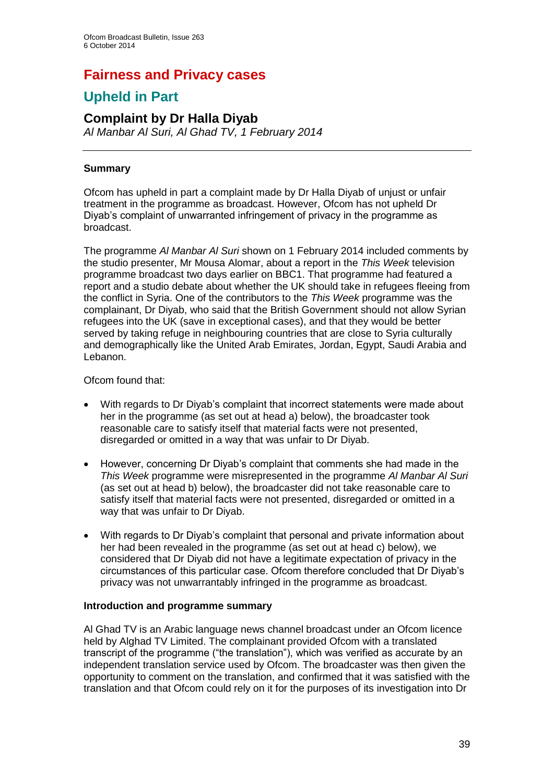# **Fairness and Privacy cases**

# **Upheld in Part**

# **Complaint by Dr Halla Diyab**

*Al Manbar Al Suri, Al Ghad TV, 1 February 2014*

# **Summary**

Ofcom has upheld in part a complaint made by Dr Halla Diyab of unjust or unfair treatment in the programme as broadcast. However, Ofcom has not upheld Dr Diyab's complaint of unwarranted infringement of privacy in the programme as broadcast.

The programme *Al Manbar Al Suri* shown on 1 February 2014 included comments by the studio presenter, Mr Mousa Alomar, about a report in the *This Week* television programme broadcast two days earlier on BBC1. That programme had featured a report and a studio debate about whether the UK should take in refugees fleeing from the conflict in Syria. One of the contributors to the *This Week* programme was the complainant, Dr Diyab, who said that the British Government should not allow Syrian refugees into the UK (save in exceptional cases), and that they would be better served by taking refuge in neighbouring countries that are close to Syria culturally and demographically like the United Arab Emirates, Jordan, Egypt, Saudi Arabia and Lebanon.

# Ofcom found that:

- With regards to Dr Divab's complaint that incorrect statements were made about her in the programme (as set out at head a) below), the broadcaster took reasonable care to satisfy itself that material facts were not presented, disregarded or omitted in a way that was unfair to Dr Diyab.
- However, concerning Dr Diyab's complaint that comments she had made in the *This Week* programme were misrepresented in the programme *Al Manbar Al Suri* (as set out at head b) below), the broadcaster did not take reasonable care to satisfy itself that material facts were not presented, disregarded or omitted in a way that was unfair to Dr Diyab.
- With regards to Dr Diyab's complaint that personal and private information about her had been revealed in the programme (as set out at head c) below), we considered that Dr Diyab did not have a legitimate expectation of privacy in the circumstances of this particular case. Ofcom therefore concluded that Dr Diyab's privacy was not unwarrantably infringed in the programme as broadcast.

# **Introduction and programme summary**

Al Ghad TV is an Arabic language news channel broadcast under an Ofcom licence held by Alghad TV Limited. The complainant provided Ofcom with a translated transcript of the programme ("the translation"), which was verified as accurate by an independent translation service used by Ofcom. The broadcaster was then given the opportunity to comment on the translation, and confirmed that it was satisfied with the translation and that Ofcom could rely on it for the purposes of its investigation into Dr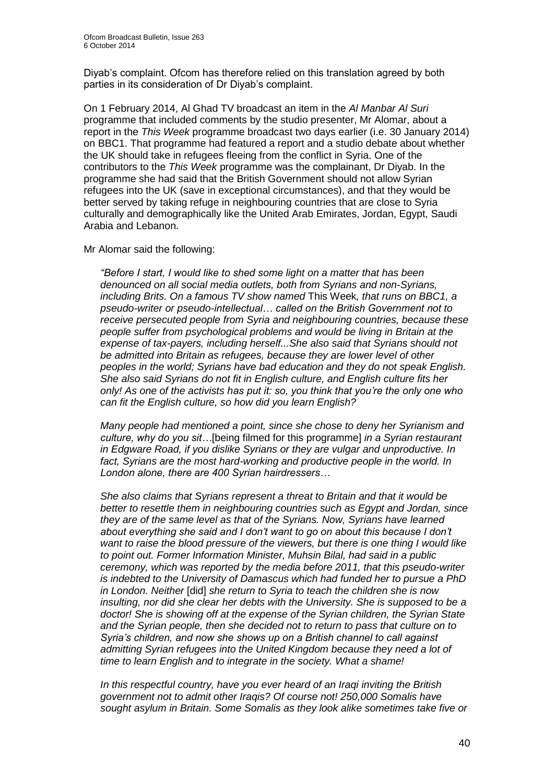Diyab's complaint. Ofcom has therefore relied on this translation agreed by both parties in its consideration of Dr Diyab's complaint.

On 1 February 2014, Al Ghad TV broadcast an item in the *Al Manbar Al Suri* programme that included comments by the studio presenter, Mr Alomar, about a report in the *This Week* programme broadcast two days earlier (i.e. 30 January 2014) on BBC1. That programme had featured a report and a studio debate about whether the UK should take in refugees fleeing from the conflict in Syria. One of the contributors to the *This Week* programme was the complainant, Dr Diyab. In the programme she had said that the British Government should not allow Syrian refugees into the UK (save in exceptional circumstances), and that they would be better served by taking refuge in neighbouring countries that are close to Syria culturally and demographically like the United Arab Emirates, Jordan, Egypt, Saudi Arabia and Lebanon.

Mr Alomar said the following:

*"Before I start, I would like to shed some light on a matter that has been denounced on all social media outlets, both from Syrians and non-Syrians, including Brits. On a famous TV show named* This Week*, that runs on BBC1, a pseudo-writer or pseudo-intellectual… called on the British Government not to receive persecuted people from Syria and neighbouring countries, because these people suffer from psychological problems and would be living in Britain at the expense of tax-payers, including herself...She also said that Syrians should not be admitted into Britain as refugees, because they are lower level of other peoples in the world; Syrians have bad education and they do not speak English. She also said Syrians do not fit in English culture, and English culture fits her only! As one of the activists has put it: so, you think that you're the only one who can fit the English culture, so how did you learn English?*

*Many people had mentioned a point, since she chose to deny her Syrianism and culture, why do you sit…*[being filmed for this programme] *in a Syrian restaurant in Edgware Road, if you dislike Syrians or they are vulgar and unproductive. In*  fact, Syrians are the most hard-working and productive people in the world. In *London alone, there are 400 Syrian hairdressers…* 

*She also claims that Syrians represent a threat to Britain and that it would be better to resettle them in neighbouring countries such as Egypt and Jordan, since they are of the same level as that of the Syrians. Now, Syrians have learned about everything she said and I don't want to go on about this because I don't want to raise the blood pressure of the viewers, but there is one thing I would like to point out. Former Information Minister, Muhsin Bilal, had said in a public ceremony, which was reported by the media before 2011, that this pseudo-writer is indebted to the University of Damascus which had funded her to pursue a PhD in London. Neither* [did] *she return to Syria to teach the children she is now insulting, nor did she clear her debts with the University. She is supposed to be a doctor! She is showing off at the expense of the Syrian children, the Syrian State and the Syrian people, then she decided not to return to pass that culture on to Syria's children, and now she shows up on a British channel to call against admitting Syrian refugees into the United Kingdom because they need a lot of time to learn English and to integrate in the society. What a shame!*

*In this respectful country, have you ever heard of an Iraqi inviting the British government not to admit other Iraqis? Of course not! 250,000 Somalis have sought asylum in Britain. Some Somalis as they look alike sometimes take five or*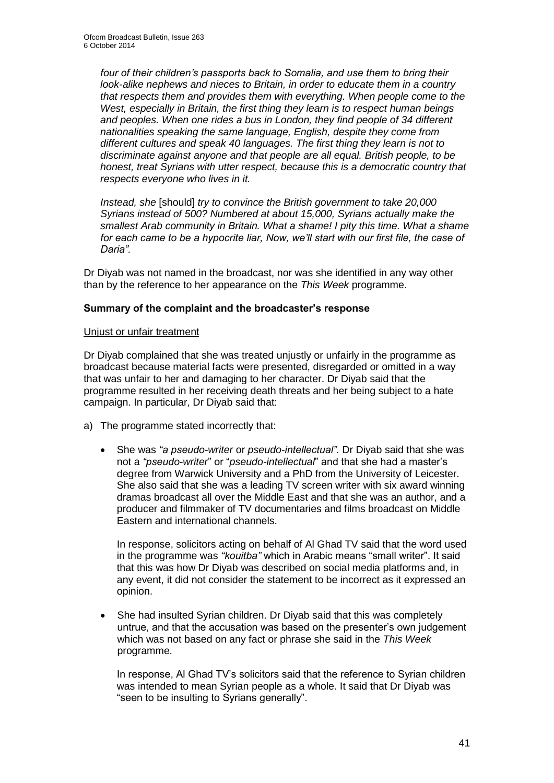*four of their children's passports back to Somalia, and use them to bring their look-alike nephews and nieces to Britain, in order to educate them in a country that respects them and provides them with everything. When people come to the West, especially in Britain, the first thing they learn is to respect human beings and peoples. When one rides a bus in London, they find people of 34 different nationalities speaking the same language, English, despite they come from different cultures and speak 40 languages. The first thing they learn is not to discriminate against anyone and that people are all equal. British people, to be honest, treat Syrians with utter respect, because this is a democratic country that respects everyone who lives in it.*

*Instead, she* [should] *try to convince the British government to take 20,000 Syrians instead of 500? Numbered at about 15,000, Syrians actually make the smallest Arab community in Britain. What a shame! I pity this time. What a shame for each came to be a hypocrite liar, Now, we'll start with our first file, the case of Daria".*

Dr Diyab was not named in the broadcast, nor was she identified in any way other than by the reference to her appearance on the *This Week* programme.

# **Summary of the complaint and the broadcaster's response**

#### Unjust or unfair treatment

Dr Diyab complained that she was treated unjustly or unfairly in the programme as broadcast because material facts were presented, disregarded or omitted in a way that was unfair to her and damaging to her character. Dr Diyab said that the programme resulted in her receiving death threats and her being subject to a hate campaign. In particular, Dr Diyab said that:

- a) The programme stated incorrectly that:
	- She was *"a pseudo-writer* or *pseudo-intellectual".* Dr Diyab said that she was not a *"pseudo-writer*" or "*pseudo-intellectual*" and that she had a master's degree from Warwick University and a PhD from the University of Leicester. She also said that she was a leading TV screen writer with six award winning dramas broadcast all over the Middle East and that she was an author, and a producer and filmmaker of TV documentaries and films broadcast on Middle Eastern and international channels.

In response, solicitors acting on behalf of Al Ghad TV said that the word used in the programme was *"kouitba"* which in Arabic means "small writer". It said that this was how Dr Diyab was described on social media platforms and, in any event, it did not consider the statement to be incorrect as it expressed an opinion.

 She had insulted Syrian children. Dr Diyab said that this was completely untrue, and that the accusation was based on the presenter's own judgement which was not based on any fact or phrase she said in the *This Week* programme.

In response, Al Ghad TV's solicitors said that the reference to Syrian children was intended to mean Syrian people as a whole. It said that Dr Diyab was "seen to be insulting to Syrians generally".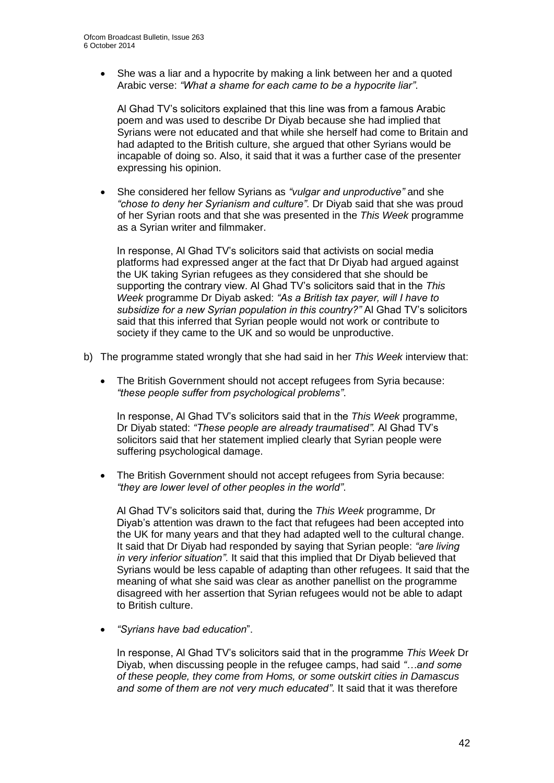She was a liar and a hypocrite by making a link between her and a quoted Arabic verse: *"What a shame for each came to be a hypocrite liar"*.

Al Ghad TV's solicitors explained that this line was from a famous Arabic poem and was used to describe Dr Diyab because she had implied that Syrians were not educated and that while she herself had come to Britain and had adapted to the British culture, she argued that other Syrians would be incapable of doing so. Also, it said that it was a further case of the presenter expressing his opinion.

 She considered her fellow Syrians as *"vulgar and unproductive"* and she *"chose to deny her Syrianism and culture"*. Dr Diyab said that she was proud of her Syrian roots and that she was presented in the *This Week* programme as a Syrian writer and filmmaker.

In response, Al Ghad TV's solicitors said that activists on social media platforms had expressed anger at the fact that Dr Diyab had argued against the UK taking Syrian refugees as they considered that she should be supporting the contrary view. Al Ghad TV's solicitors said that in the *This Week* programme Dr Diyab asked: *"As a British tax payer, will I have to subsidize for a new Syrian population in this country?"* Al Ghad TV's solicitors said that this inferred that Syrian people would not work or contribute to society if they came to the UK and so would be unproductive.

- b) The programme stated wrongly that she had said in her *This Week* interview that:
	- The British Government should not accept refugees from Syria because: *"these people suffer from psychological problems"*.

In response, Al Ghad TV's solicitors said that in the *This Week* programme, Dr Diyab stated: *"These people are already traumatised".* Al Ghad TV's solicitors said that her statement implied clearly that Syrian people were suffering psychological damage.

• The British Government should not accept refugees from Syria because: *"they are lower level of other peoples in the world"*.

Al Ghad TV's solicitors said that, during the *This Week* programme, Dr Diyab's attention was drawn to the fact that refugees had been accepted into the UK for many years and that they had adapted well to the cultural change. It said that Dr Diyab had responded by saying that Syrian people: *"are living in very inferior situation"*. It said that this implied that Dr Diyab believed that Syrians would be less capable of adapting than other refugees. It said that the meaning of what she said was clear as another panellist on the programme disagreed with her assertion that Syrian refugees would not be able to adapt to British culture.

*"Syrians have bad education*".

In response, Al Ghad TV's solicitors said that in the programme *This Week* Dr Diyab, when discussing people in the refugee camps, had said *"…and some of these people, they come from Homs, or some outskirt cities in Damascus and some of them are not very much educated"*. It said that it was therefore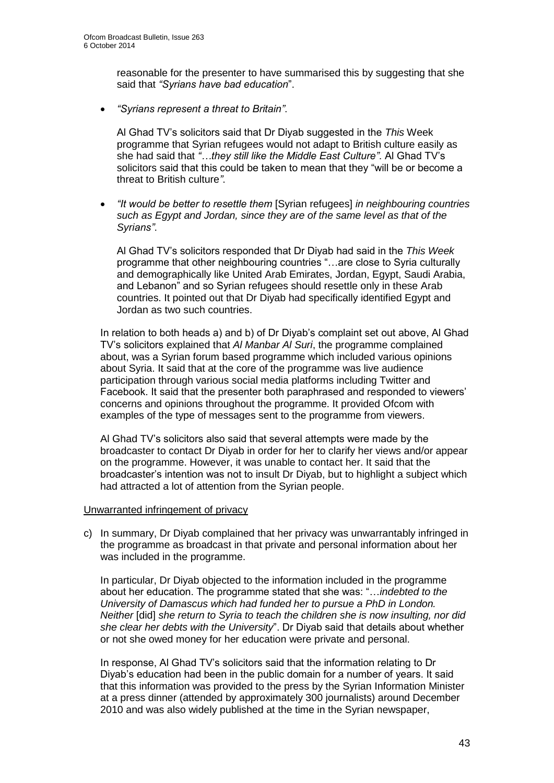reasonable for the presenter to have summarised this by suggesting that she said that *"Syrians have bad education*".

*"Syrians represent a threat to Britain"*.

Al Ghad TV's solicitors said that Dr Diyab suggested in the *This* Week programme that Syrian refugees would not adapt to British culture easily as she had said that *"…they still like the Middle East Culture"*. Al Ghad TV's solicitors said that this could be taken to mean that they "will be or become a threat to British culture*"*.

 *"It would be better to resettle them* [Syrian refugees] *in neighbouring countries such as Egypt and Jordan, since they are of the same level as that of the Syrians"*.

Al Ghad TV's solicitors responded that Dr Diyab had said in the *This Week*  programme that other neighbouring countries "…are close to Syria culturally and demographically like United Arab Emirates, Jordan, Egypt, Saudi Arabia, and Lebanon" and so Syrian refugees should resettle only in these Arab countries. It pointed out that Dr Diyab had specifically identified Egypt and Jordan as two such countries.

In relation to both heads a) and b) of Dr Diyab's complaint set out above, Al Ghad TV's solicitors explained that *Al Manbar Al Suri*, the programme complained about, was a Syrian forum based programme which included various opinions about Syria. It said that at the core of the programme was live audience participation through various social media platforms including Twitter and Facebook. It said that the presenter both paraphrased and responded to viewers' concerns and opinions throughout the programme. It provided Ofcom with examples of the type of messages sent to the programme from viewers.

Al Ghad TV's solicitors also said that several attempts were made by the broadcaster to contact Dr Diyab in order for her to clarify her views and/or appear on the programme. However, it was unable to contact her. It said that the broadcaster's intention was not to insult Dr Diyab, but to highlight a subject which had attracted a lot of attention from the Syrian people.

#### Unwarranted infringement of privacy

c) In summary, Dr Diyab complained that her privacy was unwarrantably infringed in the programme as broadcast in that private and personal information about her was included in the programme.

In particular, Dr Diyab objected to the information included in the programme about her education. The programme stated that she was: "…*indebted to the University of Damascus which had funded her to pursue a PhD in London. Neither* [did] *she return to Syria to teach the children she is now insulting, nor did she clear her debts with the University*". Dr Diyab said that details about whether or not she owed money for her education were private and personal.

In response, Al Ghad TV's solicitors said that the information relating to Dr Diyab's education had been in the public domain for a number of years. It said that this information was provided to the press by the Syrian Information Minister at a press dinner (attended by approximately 300 journalists) around December 2010 and was also widely published at the time in the Syrian newspaper,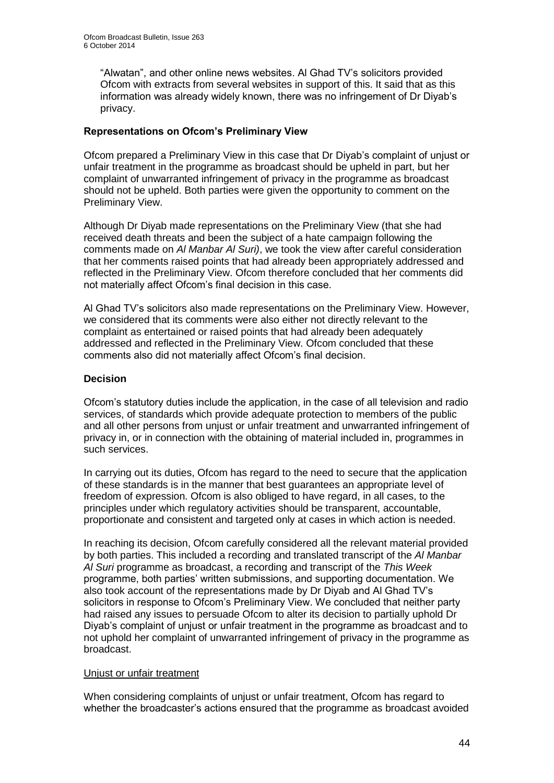"Alwatan", and other online news websites. Al Ghad TV's solicitors provided Ofcom with extracts from several websites in support of this. It said that as this information was already widely known, there was no infringement of Dr Diyab's privacy.

# **Representations on Ofcom's Preliminary View**

Ofcom prepared a Preliminary View in this case that Dr Diyab's complaint of unjust or unfair treatment in the programme as broadcast should be upheld in part, but her complaint of unwarranted infringement of privacy in the programme as broadcast should not be upheld. Both parties were given the opportunity to comment on the Preliminary View.

Although Dr Diyab made representations on the Preliminary View (that she had received death threats and been the subject of a hate campaign following the comments made on *Al Manbar Al Suri)*, we took the view after careful consideration that her comments raised points that had already been appropriately addressed and reflected in the Preliminary View. Ofcom therefore concluded that her comments did not materially affect Ofcom's final decision in this case.

Al Ghad TV's solicitors also made representations on the Preliminary View. However, we considered that its comments were also either not directly relevant to the complaint as entertained or raised points that had already been adequately addressed and reflected in the Preliminary View. Ofcom concluded that these comments also did not materially affect Ofcom's final decision.

# **Decision**

Ofcom's statutory duties include the application, in the case of all television and radio services, of standards which provide adequate protection to members of the public and all other persons from unjust or unfair treatment and unwarranted infringement of privacy in, or in connection with the obtaining of material included in, programmes in such services.

In carrying out its duties, Ofcom has regard to the need to secure that the application of these standards is in the manner that best guarantees an appropriate level of freedom of expression. Ofcom is also obliged to have regard, in all cases, to the principles under which regulatory activities should be transparent, accountable, proportionate and consistent and targeted only at cases in which action is needed.

In reaching its decision, Ofcom carefully considered all the relevant material provided by both parties. This included a recording and translated transcript of the *Al Manbar Al Suri* programme as broadcast, a recording and transcript of the *This Week* programme, both parties' written submissions, and supporting documentation. We also took account of the representations made by Dr Diyab and Al Ghad TV's solicitors in response to Ofcom's Preliminary View. We concluded that neither party had raised any issues to persuade Ofcom to alter its decision to partially uphold Dr Diyab's complaint of unjust or unfair treatment in the programme as broadcast and to not uphold her complaint of unwarranted infringement of privacy in the programme as broadcast.

# Uniust or unfair treatment

When considering complaints of unjust or unfair treatment, Ofcom has regard to whether the broadcaster's actions ensured that the programme as broadcast avoided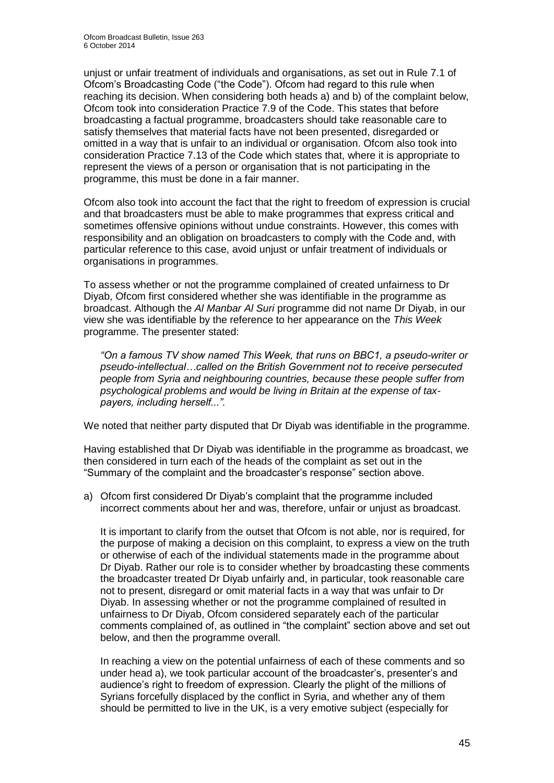unjust or unfair treatment of individuals and organisations, as set out in Rule 7.1 of Ofcom's Broadcasting Code ("the Code"). Ofcom had regard to this rule when reaching its decision. When considering both heads a) and b) of the complaint below, Ofcom took into consideration Practice 7.9 of the Code. This states that before broadcasting a factual programme, broadcasters should take reasonable care to satisfy themselves that material facts have not been presented, disregarded or omitted in a way that is unfair to an individual or organisation. Ofcom also took into consideration Practice 7.13 of the Code which states that, where it is appropriate to represent the views of a person or organisation that is not participating in the programme, this must be done in a fair manner.

Ofcom also took into account the fact that the right to freedom of expression is crucial and that broadcasters must be able to make programmes that express critical and sometimes offensive opinions without undue constraints. However, this comes with responsibility and an obligation on broadcasters to comply with the Code and, with particular reference to this case, avoid unjust or unfair treatment of individuals or organisations in programmes.

To assess whether or not the programme complained of created unfairness to Dr Diyab, Ofcom first considered whether she was identifiable in the programme as broadcast. Although the *Al Manbar Al Suri* programme did not name Dr Diyab, in our view she was identifiable by the reference to her appearance on the *This Week* programme. The presenter stated:

*"On a famous TV show named This Week, that runs on BBC1, a pseudo-writer or pseudo-intellectual…called on the British Government not to receive persecuted people from Syria and neighbouring countries, because these people suffer from psychological problems and would be living in Britain at the expense of taxpayers, including herself...".*

We noted that neither party disputed that Dr Diyab was identifiable in the programme.

Having established that Dr Diyab was identifiable in the programme as broadcast, we then considered in turn each of the heads of the complaint as set out in the "Summary of the complaint and the broadcaster's response" section above.

a) Ofcom first considered Dr Diyab's complaint that the programme included incorrect comments about her and was, therefore, unfair or unjust as broadcast.

It is important to clarify from the outset that Ofcom is not able, nor is required, for the purpose of making a decision on this complaint, to express a view on the truth or otherwise of each of the individual statements made in the programme about Dr Diyab. Rather our role is to consider whether by broadcasting these comments the broadcaster treated Dr Diyab unfairly and, in particular, took reasonable care not to present, disregard or omit material facts in a way that was unfair to Dr Diyab. In assessing whether or not the programme complained of resulted in unfairness to Dr Diyab, Ofcom considered separately each of the particular comments complained of, as outlined in "the complaint" section above and set out below, and then the programme overall.

In reaching a view on the potential unfairness of each of these comments and so under head a), we took particular account of the broadcaster's, presenter's and audience's right to freedom of expression. Clearly the plight of the millions of Syrians forcefully displaced by the conflict in Syria, and whether any of them should be permitted to live in the UK, is a very emotive subject (especially for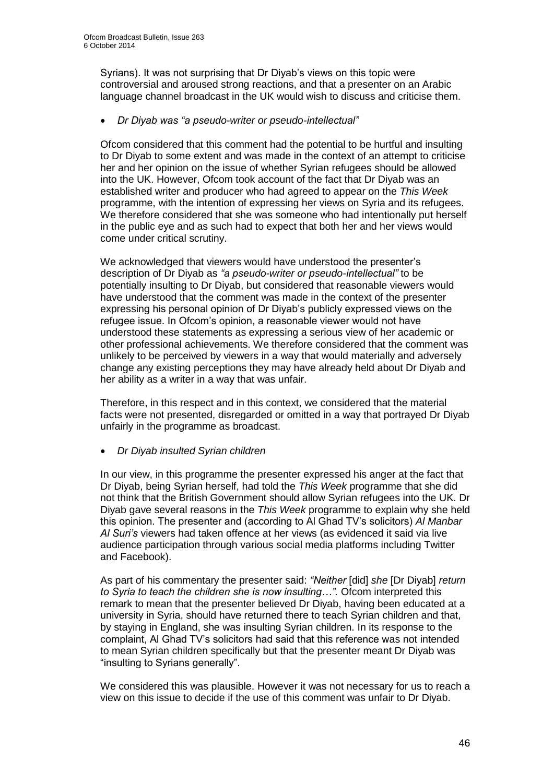Syrians). It was not surprising that Dr Diyab's views on this topic were controversial and aroused strong reactions, and that a presenter on an Arabic language channel broadcast in the UK would wish to discuss and criticise them.

# *Dr Diyab was "a pseudo-writer or pseudo-intellectual"*

Ofcom considered that this comment had the potential to be hurtful and insulting to Dr Diyab to some extent and was made in the context of an attempt to criticise her and her opinion on the issue of whether Syrian refugees should be allowed into the UK. However, Ofcom took account of the fact that Dr Diyab was an established writer and producer who had agreed to appear on the *This Week* programme, with the intention of expressing her views on Syria and its refugees. We therefore considered that she was someone who had intentionally put herself in the public eye and as such had to expect that both her and her views would come under critical scrutiny.

We acknowledged that viewers would have understood the presenter's description of Dr Diyab as *"a pseudo-writer or pseudo-intellectual"* to be potentially insulting to Dr Diyab, but considered that reasonable viewers would have understood that the comment was made in the context of the presenter expressing his personal opinion of Dr Diyab's publicly expressed views on the refugee issue. In Ofcom's opinion, a reasonable viewer would not have understood these statements as expressing a serious view of her academic or other professional achievements. We therefore considered that the comment was unlikely to be perceived by viewers in a way that would materially and adversely change any existing perceptions they may have already held about Dr Diyab and her ability as a writer in a way that was unfair.

Therefore, in this respect and in this context, we considered that the material facts were not presented, disregarded or omitted in a way that portrayed Dr Diyab unfairly in the programme as broadcast.

*Dr Diyab insulted Syrian children*

In our view, in this programme the presenter expressed his anger at the fact that Dr Diyab, being Syrian herself, had told the *This Week* programme that she did not think that the British Government should allow Syrian refugees into the UK. Dr Diyab gave several reasons in the *This Week* programme to explain why she held this opinion. The presenter and (according to Al Ghad TV's solicitors) *Al Manbar Al Suri's* viewers had taken offence at her views (as evidenced it said via live audience participation through various social media platforms including Twitter and Facebook).

As part of his commentary the presenter said: *"Neither* [did] *she* [Dr Diyab] *return to Syria to teach the children she is now insulting…".* Ofcom interpreted this remark to mean that the presenter believed Dr Diyab, having been educated at a university in Syria, should have returned there to teach Syrian children and that, by staying in England, she was insulting Syrian children. In its response to the complaint, Al Ghad TV's solicitors had said that this reference was not intended to mean Syrian children specifically but that the presenter meant Dr Diyab was "insulting to Syrians generally".

We considered this was plausible. However it was not necessary for us to reach a view on this issue to decide if the use of this comment was unfair to Dr Diyab.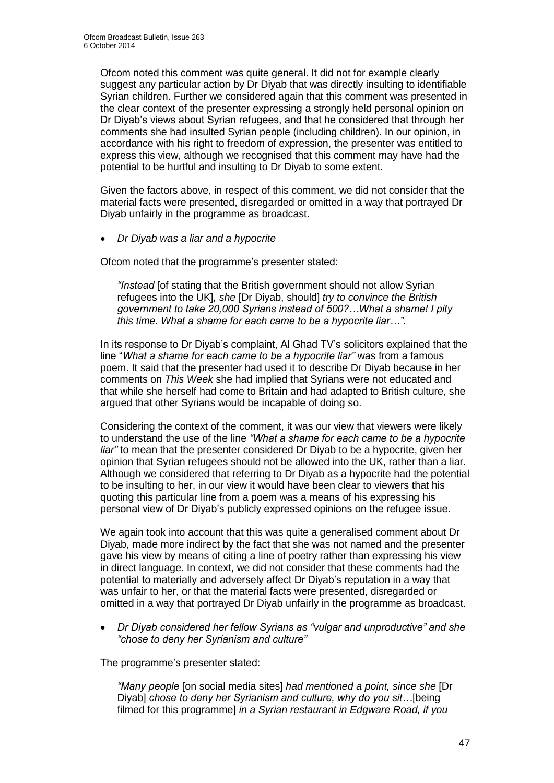Ofcom noted this comment was quite general. It did not for example clearly suggest any particular action by Dr Diyab that was directly insulting to identifiable Syrian children. Further we considered again that this comment was presented in the clear context of the presenter expressing a strongly held personal opinion on Dr Diyab's views about Syrian refugees, and that he considered that through her comments she had insulted Syrian people (including children). In our opinion, in accordance with his right to freedom of expression, the presenter was entitled to express this view, although we recognised that this comment may have had the potential to be hurtful and insulting to Dr Diyab to some extent.

Given the factors above, in respect of this comment, we did not consider that the material facts were presented, disregarded or omitted in a way that portrayed Dr Diyab unfairly in the programme as broadcast.

*Dr Diyab was a liar and a hypocrite* 

Ofcom noted that the programme's presenter stated:

*"Instead* [of stating that the British government should not allow Syrian refugees into the UK]*, she* [Dr Diyab, should] *try to convince the British government to take 20,000 Syrians instead of 500?…What a shame! I pity this time. What a shame for each came to be a hypocrite liar…".*

In its response to Dr Diyab's complaint, Al Ghad TV's solicitors explained that the line "*What a shame for each came to be a hypocrite liar"* was from a famous poem. It said that the presenter had used it to describe Dr Diyab because in her comments on *This Week* she had implied that Syrians were not educated and that while she herself had come to Britain and had adapted to British culture, she argued that other Syrians would be incapable of doing so.

Considering the context of the comment, it was our view that viewers were likely to understand the use of the line *"What a shame for each came to be a hypocrite liar"* to mean that the presenter considered Dr Diyab to be a hypocrite, given her opinion that Syrian refugees should not be allowed into the UK, rather than a liar. Although we considered that referring to Dr Diyab as a hypocrite had the potential to be insulting to her, in our view it would have been clear to viewers that his quoting this particular line from a poem was a means of his expressing his personal view of Dr Diyab's publicly expressed opinions on the refugee issue.

We again took into account that this was quite a generalised comment about Dr Diyab, made more indirect by the fact that she was not named and the presenter gave his view by means of citing a line of poetry rather than expressing his view in direct language. In context, we did not consider that these comments had the potential to materially and adversely affect Dr Diyab's reputation in a way that was unfair to her, or that the material facts were presented, disregarded or omitted in a way that portrayed Dr Diyab unfairly in the programme as broadcast.

 *Dr Diyab considered her fellow Syrians as "vulgar and unproductive" and she "chose to deny her Syrianism and culture"* 

The programme's presenter stated:

*"Many people* [on social media sites] *had mentioned a point, since she* [Dr Diyab] *chose to deny her Syrianism and culture, why do you sit…*[being filmed for this programme] *in a Syrian restaurant in Edgware Road, if you*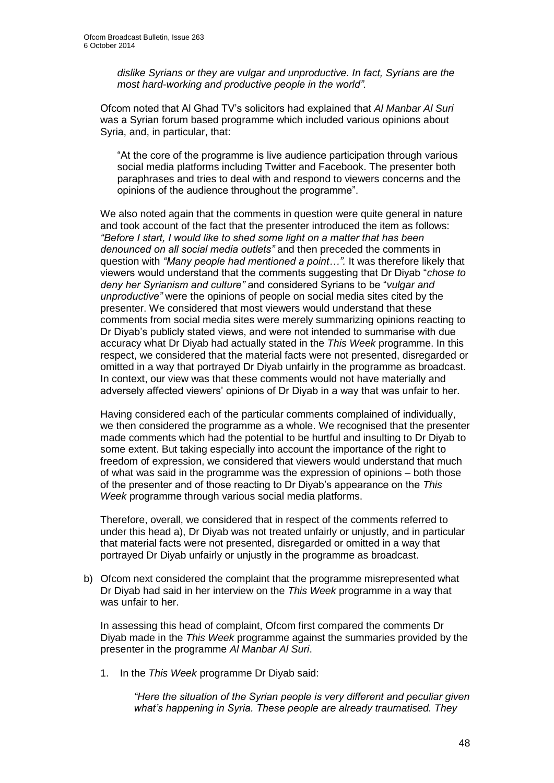*dislike Syrians or they are vulgar and unproductive. In fact, Syrians are the most hard-working and productive people in the world".* 

Ofcom noted that Al Ghad TV's solicitors had explained that *Al Manbar Al Suri* was a Syrian forum based programme which included various opinions about Syria, and, in particular, that:

"At the core of the programme is live audience participation through various social media platforms including Twitter and Facebook. The presenter both paraphrases and tries to deal with and respond to viewers concerns and the opinions of the audience throughout the programme".

We also noted again that the comments in question were quite general in nature and took account of the fact that the presenter introduced the item as follows: *"Before I start, I would like to shed some light on a matter that has been denounced on all social media outlets"* and then preceded the comments in question with *"Many people had mentioned a point…".* It was therefore likely that viewers would understand that the comments suggesting that Dr Diyab "*chose to deny her Syrianism and culture"* and considered Syrians to be "*vulgar and unproductive"* were the opinions of people on social media sites cited by the presenter. We considered that most viewers would understand that these comments from social media sites were merely summarizing opinions reacting to Dr Diyab's publicly stated views, and were not intended to summarise with due accuracy what Dr Diyab had actually stated in the *This Week* programme. In this respect, we considered that the material facts were not presented, disregarded or omitted in a way that portrayed Dr Diyab unfairly in the programme as broadcast. In context, our view was that these comments would not have materially and adversely affected viewers' opinions of Dr Diyab in a way that was unfair to her.

Having considered each of the particular comments complained of individually, we then considered the programme as a whole. We recognised that the presenter made comments which had the potential to be hurtful and insulting to Dr Diyab to some extent. But taking especially into account the importance of the right to freedom of expression, we considered that viewers would understand that much of what was said in the programme was the expression of opinions – both those of the presenter and of those reacting to Dr Diyab's appearance on the *This Week* programme through various social media platforms.

Therefore, overall, we considered that in respect of the comments referred to under this head a), Dr Diyab was not treated unfairly or unjustly, and in particular that material facts were not presented, disregarded or omitted in a way that portrayed Dr Diyab unfairly or unjustly in the programme as broadcast.

b) Ofcom next considered the complaint that the programme misrepresented what Dr Diyab had said in her interview on the *This Week* programme in a way that was unfair to her.

In assessing this head of complaint, Ofcom first compared the comments Dr Diyab made in the *This Week* programme against the summaries provided by the presenter in the programme *Al Manbar Al Suri*.

1. In the *This Week* programme Dr Diyab said:

*"Here the situation of the Syrian people is very different and peculiar given what's happening in Syria. These people are already traumatised. They*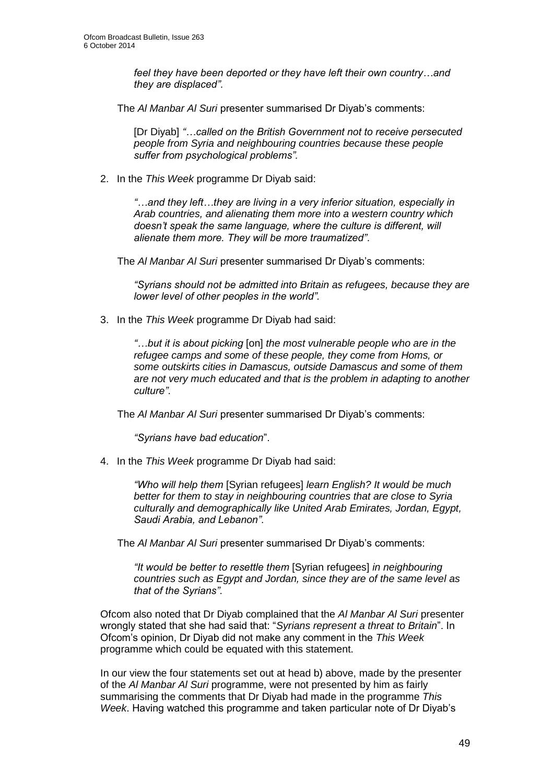*feel they have been deported or they have left their own country…and they are displaced"*.

The *Al Manbar Al Suri* presenter summarised Dr Diyab's comments:

[Dr Diyab] "...called on the British Government not to receive persecuted *people from Syria and neighbouring countries because these people suffer from psychological problems".*

2. In the *This Week* programme Dr Diyab said:

*"…and they left…they are living in a very inferior situation, especially in Arab countries, and alienating them more into a western country which doesn't speak the same language, where the culture is different, will alienate them more. They will be more traumatized"*.

The *Al Manbar Al Suri* presenter summarised Dr Diyab's comments:

*"Syrians should not be admitted into Britain as refugees, because they are lower level of other peoples in the world".* 

3. In the *This Week* programme Dr Diyab had said:

*"…but it is about picking* [on] *the most vulnerable people who are in the refugee camps and some of these people, they come from Homs, or some outskirts cities in Damascus, outside Damascus and some of them are not very much educated and that is the problem in adapting to another culture"*.

The *Al Manbar Al Suri* presenter summarised Dr Diyab's comments:

*"Syrians have bad education*".

4. In the *This Week* programme Dr Diyab had said:

*"Who will help them* [Syrian refugees] *learn English? It would be much better for them to stay in neighbouring countries that are close to Syria culturally and demographically like United Arab Emirates, Jordan, Egypt, Saudi Arabia, and Lebanon"*.

The *Al Manbar Al Suri* presenter summarised Dr Diyab's comments:

*"It would be better to resettle them* [Syrian refugees] *in neighbouring countries such as Egypt and Jordan, since they are of the same level as that of the Syrians"*.

Ofcom also noted that Dr Diyab complained that the *Al Manbar Al Suri* presenter wrongly stated that she had said that: "*Syrians represent a threat to Britain*". In Ofcom's opinion, Dr Diyab did not make any comment in the *This Week* programme which could be equated with this statement.

In our view the four statements set out at head b) above, made by the presenter of the *Al Manbar Al Suri* programme, were not presented by him as fairly summarising the comments that Dr Diyab had made in the programme *This Week*. Having watched this programme and taken particular note of Dr Diyab's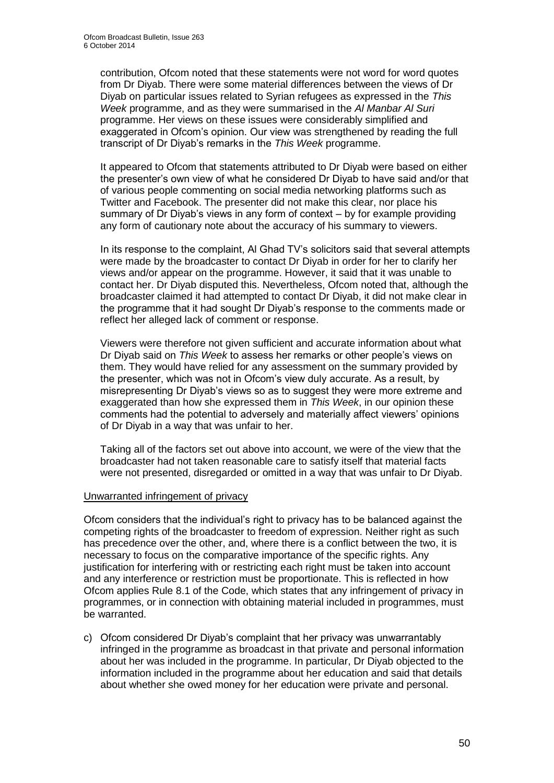contribution, Ofcom noted that these statements were not word for word quotes from Dr Diyab. There were some material differences between the views of Dr Diyab on particular issues related to Syrian refugees as expressed in the *This Week* programme, and as they were summarised in the *Al Manbar Al Suri* programme. Her views on these issues were considerably simplified and exaggerated in Ofcom's opinion. Our view was strengthened by reading the full transcript of Dr Diyab's remarks in the *This Week* programme.

It appeared to Ofcom that statements attributed to Dr Diyab were based on either the presenter's own view of what he considered Dr Diyab to have said and/or that of various people commenting on social media networking platforms such as Twitter and Facebook. The presenter did not make this clear, nor place his summary of Dr Diyab's views in any form of context – by for example providing any form of cautionary note about the accuracy of his summary to viewers.

In its response to the complaint, Al Ghad TV's solicitors said that several attempts were made by the broadcaster to contact Dr Diyab in order for her to clarify her views and/or appear on the programme. However, it said that it was unable to contact her. Dr Diyab disputed this. Nevertheless, Ofcom noted that, although the broadcaster claimed it had attempted to contact Dr Diyab, it did not make clear in the programme that it had sought Dr Diyab's response to the comments made or reflect her alleged lack of comment or response.

Viewers were therefore not given sufficient and accurate information about what Dr Diyab said on *This Week* to assess her remarks or other people's views on them. They would have relied for any assessment on the summary provided by the presenter, which was not in Ofcom's view duly accurate. As a result, by misrepresenting Dr Diyab's views so as to suggest they were more extreme and exaggerated than how she expressed them in *This Week*, in our opinion these comments had the potential to adversely and materially affect viewers' opinions of Dr Diyab in a way that was unfair to her.

Taking all of the factors set out above into account, we were of the view that the broadcaster had not taken reasonable care to satisfy itself that material facts were not presented, disregarded or omitted in a way that was unfair to Dr Diyab.

#### Unwarranted infringement of privacy

Ofcom considers that the individual's right to privacy has to be balanced against the competing rights of the broadcaster to freedom of expression. Neither right as such has precedence over the other, and, where there is a conflict between the two, it is necessary to focus on the comparative importance of the specific rights. Any justification for interfering with or restricting each right must be taken into account and any interference or restriction must be proportionate. This is reflected in how Ofcom applies Rule 8.1 of the Code, which states that any infringement of privacy in programmes, or in connection with obtaining material included in programmes, must be warranted.

c) Ofcom considered Dr Diyab's complaint that her privacy was unwarrantably infringed in the programme as broadcast in that private and personal information about her was included in the programme. In particular, Dr Diyab objected to the information included in the programme about her education and said that details about whether she owed money for her education were private and personal.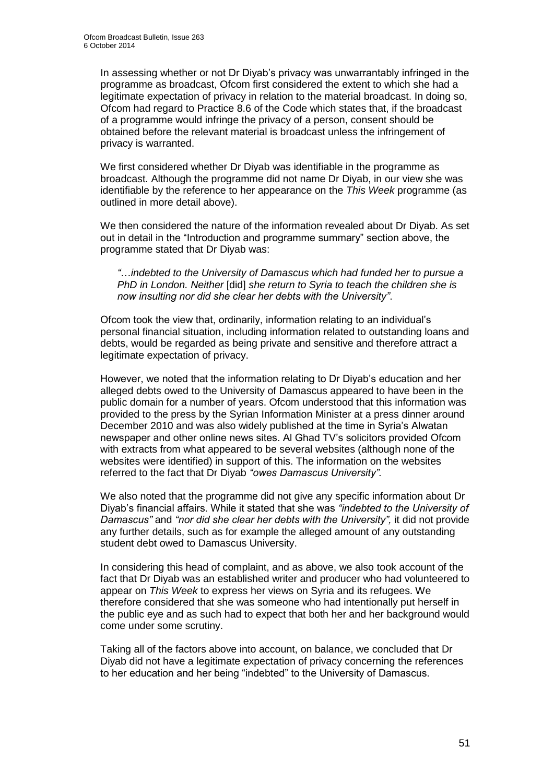In assessing whether or not Dr Diyab's privacy was unwarrantably infringed in the programme as broadcast, Ofcom first considered the extent to which she had a legitimate expectation of privacy in relation to the material broadcast. In doing so, Ofcom had regard to Practice 8.6 of the Code which states that, if the broadcast of a programme would infringe the privacy of a person, consent should be obtained before the relevant material is broadcast unless the infringement of privacy is warranted.

We first considered whether Dr Diyab was identifiable in the programme as broadcast. Although the programme did not name Dr Diyab, in our view she was identifiable by the reference to her appearance on the *This Week* programme (as outlined in more detail above).

We then considered the nature of the information revealed about Dr Diyab. As set out in detail in the "Introduction and programme summary" section above, the programme stated that Dr Diyab was:

*"*…*indebted to the University of Damascus which had funded her to pursue a PhD in London. Neither* [did] *she return to Syria to teach the children she is now insulting nor did she clear her debts with the University"*.

Ofcom took the view that, ordinarily, information relating to an individual's personal financial situation, including information related to outstanding loans and debts, would be regarded as being private and sensitive and therefore attract a legitimate expectation of privacy.

However, we noted that the information relating to Dr Diyab's education and her alleged debts owed to the University of Damascus appeared to have been in the public domain for a number of years. Ofcom understood that this information was provided to the press by the Syrian Information Minister at a press dinner around December 2010 and was also widely published at the time in Syria's Alwatan newspaper and other online news sites. Al Ghad TV's solicitors provided Ofcom with extracts from what appeared to be several websites (although none of the websites were identified) in support of this. The information on the websites referred to the fact that Dr Diyab *"owes Damascus University".*

We also noted that the programme did not give any specific information about Dr Diyab's financial affairs. While it stated that she was *"indebted to the University of Damascus"* and *"nor did she clear her debts with the University",* it did not provide any further details, such as for example the alleged amount of any outstanding student debt owed to Damascus University.

In considering this head of complaint, and as above, we also took account of the fact that Dr Diyab was an established writer and producer who had volunteered to appear on *This Week* to express her views on Syria and its refugees. We therefore considered that she was someone who had intentionally put herself in the public eye and as such had to expect that both her and her background would come under some scrutiny.

Taking all of the factors above into account, on balance, we concluded that Dr Diyab did not have a legitimate expectation of privacy concerning the references to her education and her being "indebted" to the University of Damascus.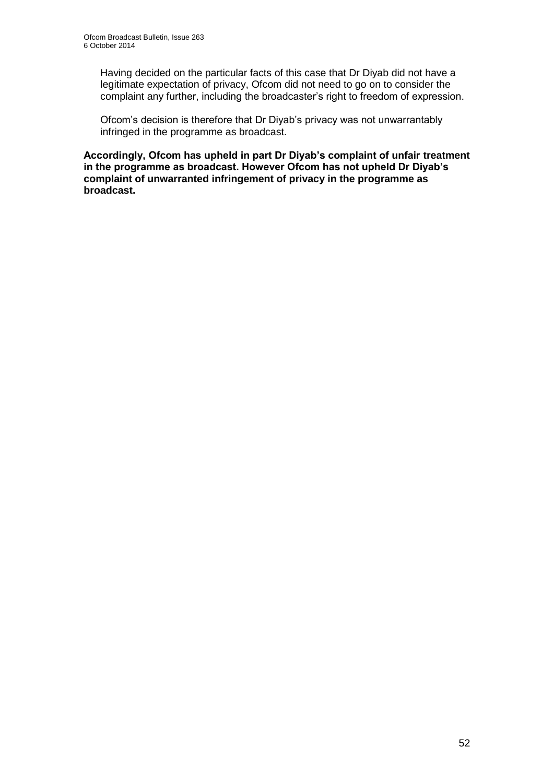Having decided on the particular facts of this case that Dr Diyab did not have a legitimate expectation of privacy, Ofcom did not need to go on to consider the complaint any further, including the broadcaster's right to freedom of expression.

Ofcom's decision is therefore that Dr Diyab's privacy was not unwarrantably infringed in the programme as broadcast.

**Accordingly, Ofcom has upheld in part Dr Diyab's complaint of unfair treatment in the programme as broadcast. However Ofcom has not upheld Dr Diyab's complaint of unwarranted infringement of privacy in the programme as broadcast.**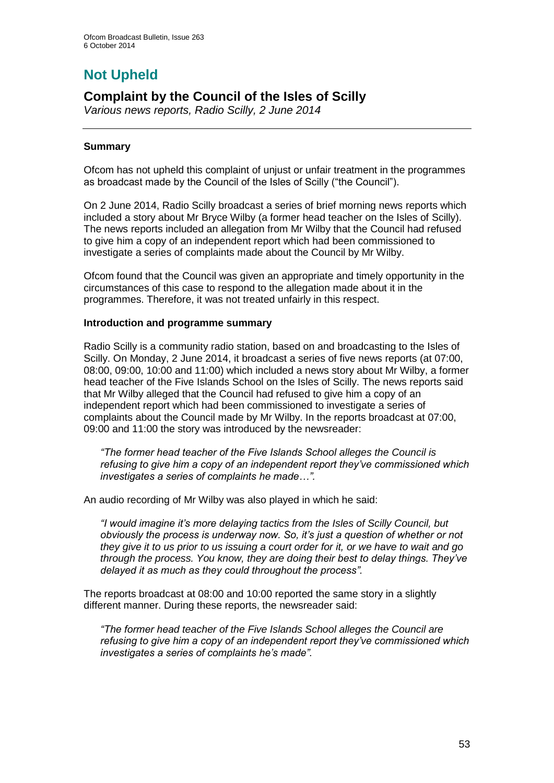# **Not Upheld**

# **Complaint by the Council of the Isles of Scilly**

*Various news reports, Radio Scilly, 2 June 2014*

# **Summary**

Ofcom has not upheld this complaint of unjust or unfair treatment in the programmes as broadcast made by the Council of the Isles of Scilly ("the Council").

On 2 June 2014, Radio Scilly broadcast a series of brief morning news reports which included a story about Mr Bryce Wilby (a former head teacher on the Isles of Scilly). The news reports included an allegation from Mr Wilby that the Council had refused to give him a copy of an independent report which had been commissioned to investigate a series of complaints made about the Council by Mr Wilby.

Ofcom found that the Council was given an appropriate and timely opportunity in the circumstances of this case to respond to the allegation made about it in the programmes. Therefore, it was not treated unfairly in this respect.

#### **Introduction and programme summary**

Radio Scilly is a community radio station, based on and broadcasting to the Isles of Scilly. On Monday, 2 June 2014, it broadcast a series of five news reports (at 07:00, 08:00, 09:00, 10:00 and 11:00) which included a news story about Mr Wilby, a former head teacher of the Five Islands School on the Isles of Scilly. The news reports said that Mr Wilby alleged that the Council had refused to give him a copy of an independent report which had been commissioned to investigate a series of complaints about the Council made by Mr Wilby. In the reports broadcast at 07:00, 09:00 and 11:00 the story was introduced by the newsreader:

*"The former head teacher of the Five Islands School alleges the Council is refusing to give him a copy of an independent report they've commissioned which investigates a series of complaints he made…".*

An audio recording of Mr Wilby was also played in which he said:

*"I would imagine it's more delaying tactics from the Isles of Scilly Council, but obviously the process is underway now. So, it's just a question of whether or not they give it to us prior to us issuing a court order for it, or we have to wait and go through the process. You know, they are doing their best to delay things. They've delayed it as much as they could throughout the process".*

The reports broadcast at 08:00 and 10:00 reported the same story in a slightly different manner. During these reports, the newsreader said:

*"The former head teacher of the Five Islands School alleges the Council are refusing to give him a copy of an independent report they've commissioned which investigates a series of complaints he's made".*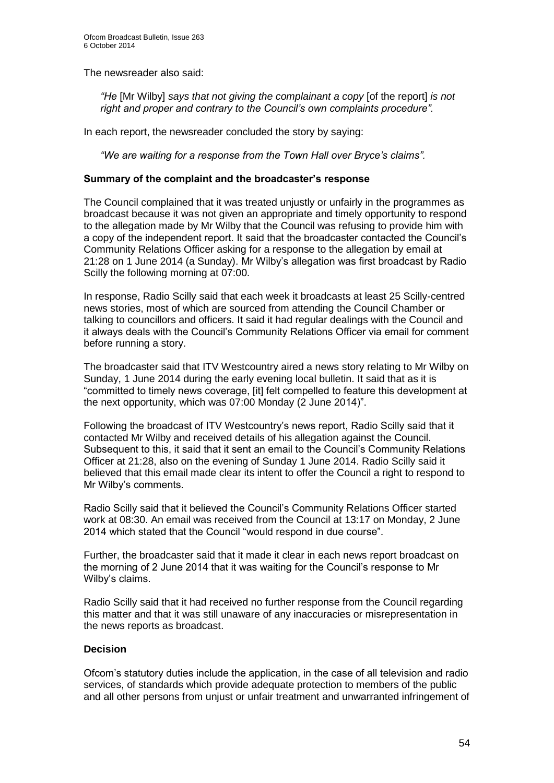The newsreader also said:

*"He* [Mr Wilby] *says that not giving the complainant a copy* [of the report] *is not right and proper and contrary to the Council's own complaints procedure".*

In each report, the newsreader concluded the story by saying:

*"We are waiting for a response from the Town Hall over Bryce's claims".*

#### **Summary of the complaint and the broadcaster's response**

The Council complained that it was treated unjustly or unfairly in the programmes as broadcast because it was not given an appropriate and timely opportunity to respond to the allegation made by Mr Wilby that the Council was refusing to provide him with a copy of the independent report. It said that the broadcaster contacted the Council's Community Relations Officer asking for a response to the allegation by email at 21:28 on 1 June 2014 (a Sunday). Mr Wilby's allegation was first broadcast by Radio Scilly the following morning at 07:00.

In response, Radio Scilly said that each week it broadcasts at least 25 Scilly-centred news stories, most of which are sourced from attending the Council Chamber or talking to councillors and officers. It said it had regular dealings with the Council and it always deals with the Council's Community Relations Officer via email for comment before running a story.

The broadcaster said that ITV Westcountry aired a news story relating to Mr Wilby on Sunday, 1 June 2014 during the early evening local bulletin. It said that as it is "committed to timely news coverage, [it] felt compelled to feature this development at the next opportunity, which was 07:00 Monday (2 June 2014)".

Following the broadcast of ITV Westcountry's news report, Radio Scilly said that it contacted Mr Wilby and received details of his allegation against the Council. Subsequent to this, it said that it sent an email to the Council's Community Relations Officer at 21:28, also on the evening of Sunday 1 June 2014. Radio Scilly said it believed that this email made clear its intent to offer the Council a right to respond to Mr Wilby's comments.

Radio Scilly said that it believed the Council's Community Relations Officer started work at 08:30. An email was received from the Council at 13:17 on Monday, 2 June 2014 which stated that the Council "would respond in due course".

Further, the broadcaster said that it made it clear in each news report broadcast on the morning of 2 June 2014 that it was waiting for the Council's response to Mr Wilby's claims.

Radio Scilly said that it had received no further response from the Council regarding this matter and that it was still unaware of any inaccuracies or misrepresentation in the news reports as broadcast.

# **Decision**

Ofcom's statutory duties include the application, in the case of all television and radio services, of standards which provide adequate protection to members of the public and all other persons from unjust or unfair treatment and unwarranted infringement of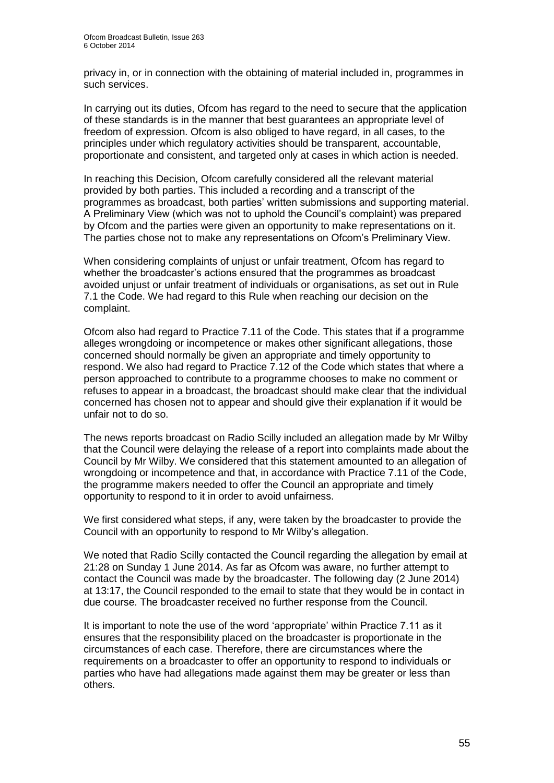privacy in, or in connection with the obtaining of material included in, programmes in such services.

In carrying out its duties, Ofcom has regard to the need to secure that the application of these standards is in the manner that best guarantees an appropriate level of freedom of expression. Ofcom is also obliged to have regard, in all cases, to the principles under which regulatory activities should be transparent, accountable, proportionate and consistent, and targeted only at cases in which action is needed.

In reaching this Decision, Ofcom carefully considered all the relevant material provided by both parties. This included a recording and a transcript of the programmes as broadcast, both parties' written submissions and supporting material. A Preliminary View (which was not to uphold the Council's complaint) was prepared by Ofcom and the parties were given an opportunity to make representations on it. The parties chose not to make any representations on Ofcom's Preliminary View.

When considering complaints of unjust or unfair treatment, Ofcom has regard to whether the broadcaster's actions ensured that the programmes as broadcast avoided unjust or unfair treatment of individuals or organisations, as set out in Rule 7.1 the Code. We had regard to this Rule when reaching our decision on the complaint.

Ofcom also had regard to Practice 7.11 of the Code. This states that if a programme alleges wrongdoing or incompetence or makes other significant allegations, those concerned should normally be given an appropriate and timely opportunity to respond. We also had regard to Practice 7.12 of the Code which states that where a person approached to contribute to a programme chooses to make no comment or refuses to appear in a broadcast, the broadcast should make clear that the individual concerned has chosen not to appear and should give their explanation if it would be unfair not to do so.

The news reports broadcast on Radio Scilly included an allegation made by Mr Wilby that the Council were delaying the release of a report into complaints made about the Council by Mr Wilby. We considered that this statement amounted to an allegation of wrongdoing or incompetence and that, in accordance with Practice 7.11 of the Code, the programme makers needed to offer the Council an appropriate and timely opportunity to respond to it in order to avoid unfairness.

We first considered what steps, if any, were taken by the broadcaster to provide the Council with an opportunity to respond to Mr Wilby's allegation.

We noted that Radio Scilly contacted the Council regarding the allegation by email at 21:28 on Sunday 1 June 2014. As far as Ofcom was aware, no further attempt to contact the Council was made by the broadcaster. The following day (2 June 2014) at 13:17, the Council responded to the email to state that they would be in contact in due course. The broadcaster received no further response from the Council.

It is important to note the use of the word 'appropriate' within Practice 7.11 as it ensures that the responsibility placed on the broadcaster is proportionate in the circumstances of each case. Therefore, there are circumstances where the requirements on a broadcaster to offer an opportunity to respond to individuals or parties who have had allegations made against them may be greater or less than others.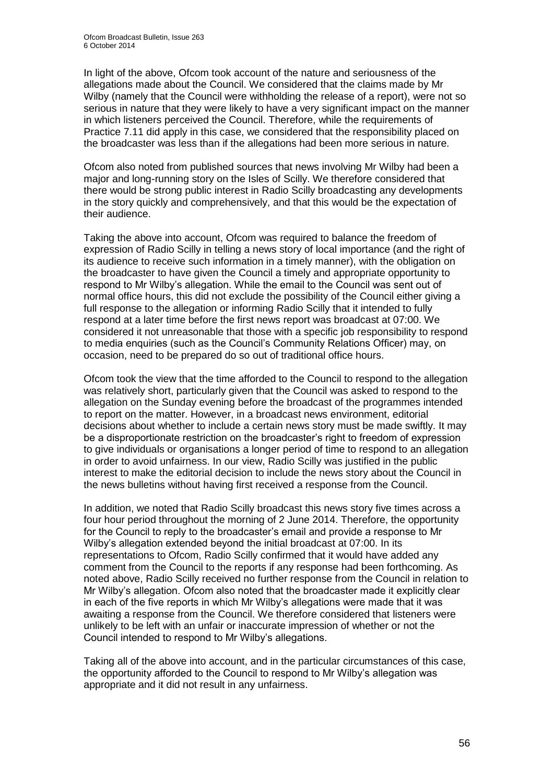In light of the above, Ofcom took account of the nature and seriousness of the allegations made about the Council. We considered that the claims made by Mr Wilby (namely that the Council were withholding the release of a report), were not so serious in nature that they were likely to have a very significant impact on the manner in which listeners perceived the Council. Therefore, while the requirements of Practice 7.11 did apply in this case, we considered that the responsibility placed on the broadcaster was less than if the allegations had been more serious in nature.

Ofcom also noted from published sources that news involving Mr Wilby had been a major and long-running story on the Isles of Scilly. We therefore considered that there would be strong public interest in Radio Scilly broadcasting any developments in the story quickly and comprehensively, and that this would be the expectation of their audience.

Taking the above into account, Ofcom was required to balance the freedom of expression of Radio Scilly in telling a news story of local importance (and the right of its audience to receive such information in a timely manner), with the obligation on the broadcaster to have given the Council a timely and appropriate opportunity to respond to Mr Wilby's allegation. While the email to the Council was sent out of normal office hours, this did not exclude the possibility of the Council either giving a full response to the allegation or informing Radio Scilly that it intended to fully respond at a later time before the first news report was broadcast at 07:00. We considered it not unreasonable that those with a specific job responsibility to respond to media enquiries (such as the Council's Community Relations Officer) may, on occasion, need to be prepared do so out of traditional office hours.

Ofcom took the view that the time afforded to the Council to respond to the allegation was relatively short, particularly given that the Council was asked to respond to the allegation on the Sunday evening before the broadcast of the programmes intended to report on the matter. However, in a broadcast news environment, editorial decisions about whether to include a certain news story must be made swiftly. It may be a disproportionate restriction on the broadcaster's right to freedom of expression to give individuals or organisations a longer period of time to respond to an allegation in order to avoid unfairness. In our view, Radio Scilly was justified in the public interest to make the editorial decision to include the news story about the Council in the news bulletins without having first received a response from the Council.

In addition, we noted that Radio Scilly broadcast this news story five times across a four hour period throughout the morning of 2 June 2014. Therefore, the opportunity for the Council to reply to the broadcaster's email and provide a response to Mr Wilby's allegation extended beyond the initial broadcast at 07:00. In its representations to Ofcom, Radio Scilly confirmed that it would have added any comment from the Council to the reports if any response had been forthcoming. As noted above, Radio Scilly received no further response from the Council in relation to Mr Wilby's allegation. Ofcom also noted that the broadcaster made it explicitly clear in each of the five reports in which Mr Wilby's allegations were made that it was awaiting a response from the Council. We therefore considered that listeners were unlikely to be left with an unfair or inaccurate impression of whether or not the Council intended to respond to Mr Wilby's allegations.

Taking all of the above into account, and in the particular circumstances of this case, the opportunity afforded to the Council to respond to Mr Wilby's allegation was appropriate and it did not result in any unfairness.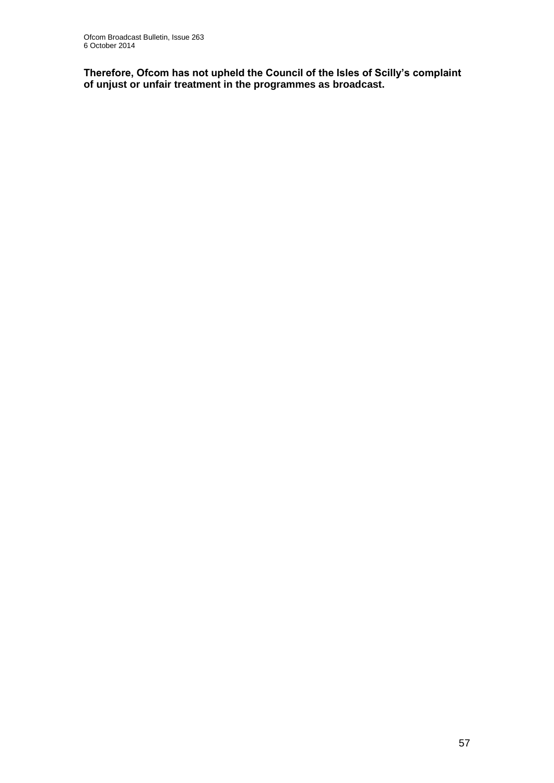**Therefore, Ofcom has not upheld the Council of the Isles of Scilly's complaint of unjust or unfair treatment in the programmes as broadcast.**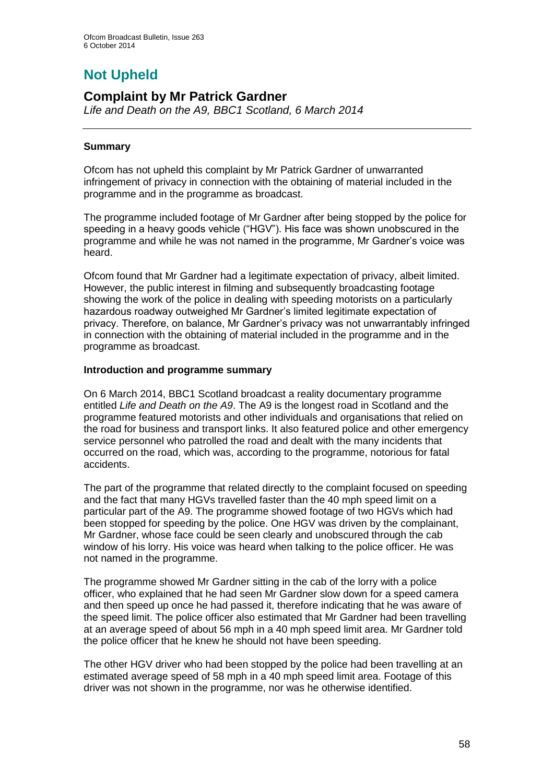# **Not Upheld**

# **Complaint by Mr Patrick Gardner**

*Life and Death on the A9, BBC1 Scotland, 6 March 2014*

# **Summary**

Ofcom has not upheld this complaint by Mr Patrick Gardner of unwarranted infringement of privacy in connection with the obtaining of material included in the programme and in the programme as broadcast.

The programme included footage of Mr Gardner after being stopped by the police for speeding in a heavy goods vehicle ("HGV"). His face was shown unobscured in the programme and while he was not named in the programme, Mr Gardner's voice was heard.

Ofcom found that Mr Gardner had a legitimate expectation of privacy, albeit limited. However, the public interest in filming and subsequently broadcasting footage showing the work of the police in dealing with speeding motorists on a particularly hazardous roadway outweighed Mr Gardner's limited legitimate expectation of privacy. Therefore, on balance, Mr Gardner's privacy was not unwarrantably infringed in connection with the obtaining of material included in the programme and in the programme as broadcast.

# **Introduction and programme summary**

On 6 March 2014, BBC1 Scotland broadcast a reality documentary programme entitled *Life and Death on the A9*. The A9 is the longest road in Scotland and the programme featured motorists and other individuals and organisations that relied on the road for business and transport links. It also featured police and other emergency service personnel who patrolled the road and dealt with the many incidents that occurred on the road, which was, according to the programme, notorious for fatal accidents.

The part of the programme that related directly to the complaint focused on speeding and the fact that many HGVs travelled faster than the 40 mph speed limit on a particular part of the A9. The programme showed footage of two HGVs which had been stopped for speeding by the police. One HGV was driven by the complainant, Mr Gardner, whose face could be seen clearly and unobscured through the cab window of his lorry. His voice was heard when talking to the police officer. He was not named in the programme.

The programme showed Mr Gardner sitting in the cab of the lorry with a police officer, who explained that he had seen Mr Gardner slow down for a speed camera and then speed up once he had passed it, therefore indicating that he was aware of the speed limit. The police officer also estimated that Mr Gardner had been travelling at an average speed of about 56 mph in a 40 mph speed limit area. Mr Gardner told the police officer that he knew he should not have been speeding.

The other HGV driver who had been stopped by the police had been travelling at an estimated average speed of 58 mph in a 40 mph speed limit area. Footage of this driver was not shown in the programme, nor was he otherwise identified.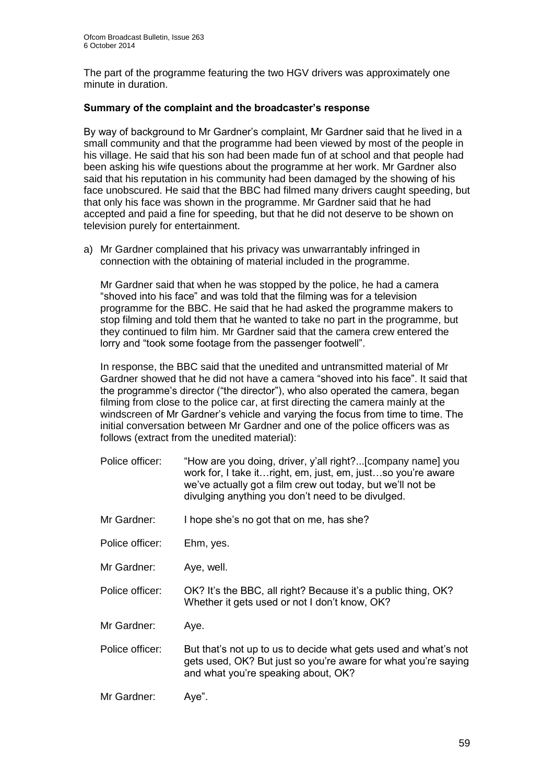The part of the programme featuring the two HGV drivers was approximately one minute in duration.

### **Summary of the complaint and the broadcaster's response**

By way of background to Mr Gardner's complaint, Mr Gardner said that he lived in a small community and that the programme had been viewed by most of the people in his village. He said that his son had been made fun of at school and that people had been asking his wife questions about the programme at her work. Mr Gardner also said that his reputation in his community had been damaged by the showing of his face unobscured. He said that the BBC had filmed many drivers caught speeding, but that only his face was shown in the programme. Mr Gardner said that he had accepted and paid a fine for speeding, but that he did not deserve to be shown on television purely for entertainment.

a) Mr Gardner complained that his privacy was unwarrantably infringed in connection with the obtaining of material included in the programme.

Mr Gardner said that when he was stopped by the police, he had a camera "shoved into his face" and was told that the filming was for a television programme for the BBC. He said that he had asked the programme makers to stop filming and told them that he wanted to take no part in the programme, but they continued to film him. Mr Gardner said that the camera crew entered the lorry and "took some footage from the passenger footwell".

In response, the BBC said that the unedited and untransmitted material of Mr Gardner showed that he did not have a camera "shoved into his face". It said that the programme's director ("the director"), who also operated the camera, began filming from close to the police car, at first directing the camera mainly at the windscreen of Mr Gardner's vehicle and varying the focus from time to time. The initial conversation between Mr Gardner and one of the police officers was as follows (extract from the unedited material):

- Police officer: "How are you doing, driver, y'all right?...[company name] you work for, I take it…right, em, just, em, just…so you're aware we've actually got a film crew out today, but we'll not be divulging anything you don't need to be divulged.
- Mr Gardner: I hope she's no got that on me, has she?
- Police officer: Ehm, yes.
- Mr Gardner: Aye, well.
- Police officer: OK? It's the BBC, all right? Because it's a public thing, OK? Whether it gets used or not I don't know, OK?
- Mr Gardner: Aye.
- Police officer: But that's not up to us to decide what gets used and what's not gets used, OK? But just so you're aware for what you're saying and what you're speaking about, OK?
- Mr Gardner: Aye".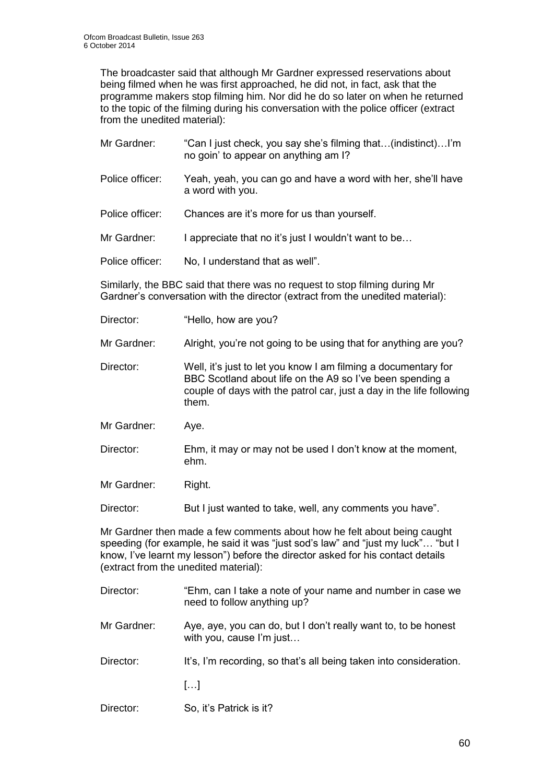The broadcaster said that although Mr Gardner expressed reservations about being filmed when he was first approached, he did not, in fact, ask that the programme makers stop filming him. Nor did he do so later on when he returned to the topic of the filming during his conversation with the police officer (extract from the unedited material):

- Mr Gardner: "Can I just check, you say she's filming that…(indistinct)…I'm no goin' to appear on anything am I?
- Police officer: Yeah, yeah, you can go and have a word with her, she'll have a word with you.
- Police officer: Chances are it's more for us than yourself.
- Mr Gardner: I appreciate that no it's just I wouldn't want to be...
- Police officer: No, I understand that as well".

Similarly, the BBC said that there was no request to stop filming during Mr Gardner's conversation with the director (extract from the unedited material):

- Director: "Hello, how are you?
- Mr Gardner: Alright, you're not going to be using that for anything are you?
- Director: Well, it's just to let you know I am filming a documentary for BBC Scotland about life on the A9 so I've been spending a couple of days with the patrol car, just a day in the life following them.
- Mr Gardner: Aye.
- Director: Ehm, it may or may not be used I don't know at the moment, ehm.
- Mr Gardner: Right.

Director: But I just wanted to take, well, any comments you have".

Mr Gardner then made a few comments about how he felt about being caught speeding (for example, he said it was "just sod's law" and "just my luck"… "but I know, I've learnt my lesson") before the director asked for his contact details (extract from the unedited material):

- Director: "Ehm, can I take a note of your name and number in case we need to follow anything up?
- Mr Gardner: Aye, aye, you can do, but I don't really want to, to be honest with you, cause I'm just…
- Director: It's, I'm recording, so that's all being taken into consideration.
	- […]
- Director: So, it's Patrick is it?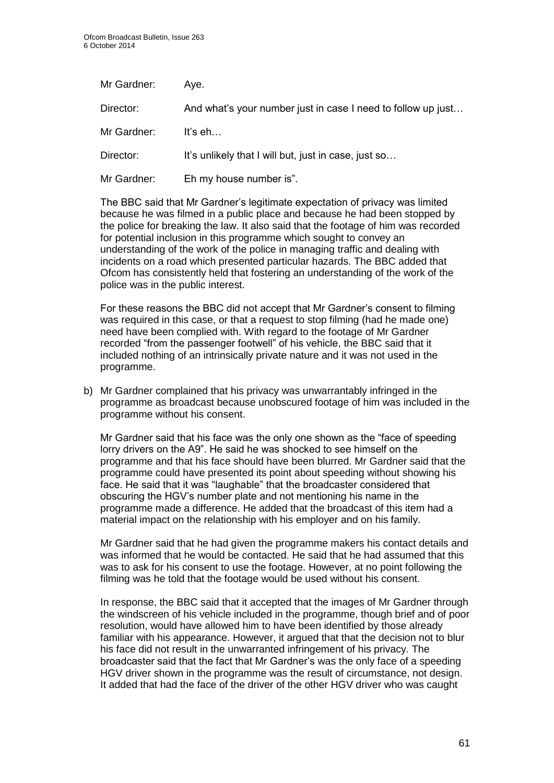| Mr Gardner: | Ave.                                                         |
|-------------|--------------------------------------------------------------|
| Director:   | And what's your number just in case I need to follow up just |
| Mr Gardner: | It's $eh$                                                    |
| Director:   | It's unlikely that I will but, just in case, just so         |
| Mr Gardner: | Eh my house number is".                                      |

The BBC said that Mr Gardner's legitimate expectation of privacy was limited because he was filmed in a public place and because he had been stopped by the police for breaking the law. It also said that the footage of him was recorded for potential inclusion in this programme which sought to convey an understanding of the work of the police in managing traffic and dealing with incidents on a road which presented particular hazards. The BBC added that Ofcom has consistently held that fostering an understanding of the work of the police was in the public interest.

For these reasons the BBC did not accept that Mr Gardner's consent to filming was required in this case, or that a request to stop filming (had he made one) need have been complied with. With regard to the footage of Mr Gardner recorded "from the passenger footwell" of his vehicle, the BBC said that it included nothing of an intrinsically private nature and it was not used in the programme.

b) Mr Gardner complained that his privacy was unwarrantably infringed in the programme as broadcast because unobscured footage of him was included in the programme without his consent.

Mr Gardner said that his face was the only one shown as the "face of speeding lorry drivers on the A9". He said he was shocked to see himself on the programme and that his face should have been blurred. Mr Gardner said that the programme could have presented its point about speeding without showing his face. He said that it was "laughable" that the broadcaster considered that obscuring the HGV's number plate and not mentioning his name in the programme made a difference. He added that the broadcast of this item had a material impact on the relationship with his employer and on his family.

Mr Gardner said that he had given the programme makers his contact details and was informed that he would be contacted. He said that he had assumed that this was to ask for his consent to use the footage. However, at no point following the filming was he told that the footage would be used without his consent.

In response, the BBC said that it accepted that the images of Mr Gardner through the windscreen of his vehicle included in the programme, though brief and of poor resolution, would have allowed him to have been identified by those already familiar with his appearance. However, it argued that that the decision not to blur his face did not result in the unwarranted infringement of his privacy. The broadcaster said that the fact that Mr Gardner's was the only face of a speeding HGV driver shown in the programme was the result of circumstance, not design. It added that had the face of the driver of the other HGV driver who was caught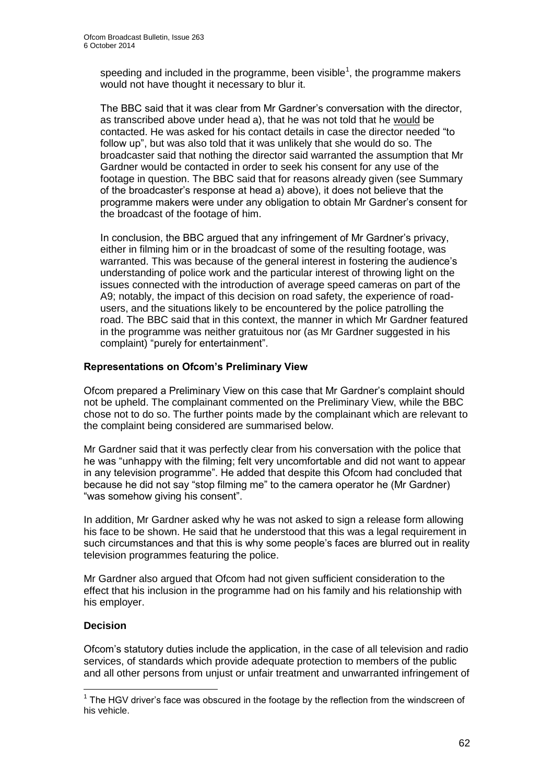speeding and included in the programme, been visible<sup>1</sup>, the programme makers would not have thought it necessary to blur it.

The BBC said that it was clear from Mr Gardner's conversation with the director, as transcribed above under head a), that he was not told that he would be contacted. He was asked for his contact details in case the director needed "to follow up", but was also told that it was unlikely that she would do so. The broadcaster said that nothing the director said warranted the assumption that Mr Gardner would be contacted in order to seek his consent for any use of the footage in question. The BBC said that for reasons already given (see Summary of the broadcaster's response at head a) above), it does not believe that the programme makers were under any obligation to obtain Mr Gardner's consent for the broadcast of the footage of him.

In conclusion, the BBC argued that any infringement of Mr Gardner's privacy, either in filming him or in the broadcast of some of the resulting footage, was warranted. This was because of the general interest in fostering the audience's understanding of police work and the particular interest of throwing light on the issues connected with the introduction of average speed cameras on part of the A9; notably, the impact of this decision on road safety, the experience of roadusers, and the situations likely to be encountered by the police patrolling the road. The BBC said that in this context, the manner in which Mr Gardner featured in the programme was neither gratuitous nor (as Mr Gardner suggested in his complaint) "purely for entertainment".

# **Representations on Ofcom's Preliminary View**

Ofcom prepared a Preliminary View on this case that Mr Gardner's complaint should not be upheld. The complainant commented on the Preliminary View, while the BBC chose not to do so. The further points made by the complainant which are relevant to the complaint being considered are summarised below.

Mr Gardner said that it was perfectly clear from his conversation with the police that he was "unhappy with the filming; felt very uncomfortable and did not want to appear in any television programme". He added that despite this Ofcom had concluded that because he did not say "stop filming me" to the camera operator he (Mr Gardner) "was somehow giving his consent".

In addition, Mr Gardner asked why he was not asked to sign a release form allowing his face to be shown. He said that he understood that this was a legal requirement in such circumstances and that this is why some people's faces are blurred out in reality television programmes featuring the police.

Mr Gardner also argued that Ofcom had not given sufficient consideration to the effect that his inclusion in the programme had on his family and his relationship with his employer.

# **Decision**

1

Ofcom's statutory duties include the application, in the case of all television and radio services, of standards which provide adequate protection to members of the public and all other persons from unjust or unfair treatment and unwarranted infringement of

 $1$  The HGV driver's face was obscured in the footage by the reflection from the windscreen of his vehicle.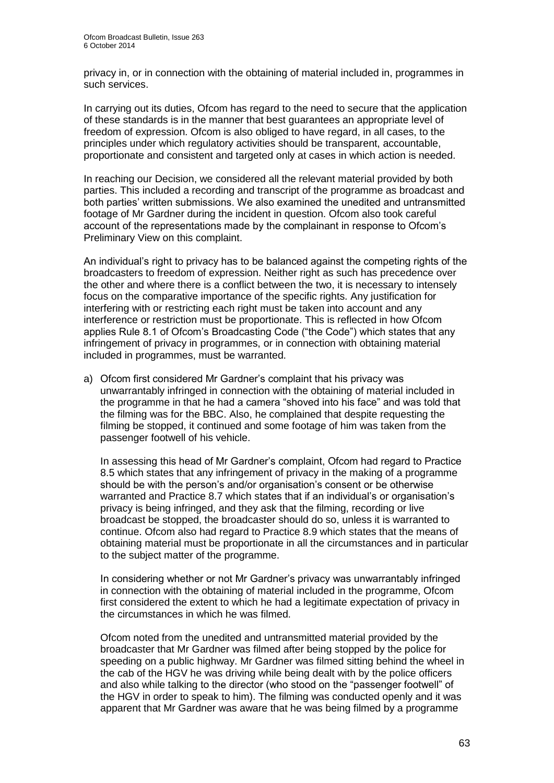privacy in, or in connection with the obtaining of material included in, programmes in such services.

In carrying out its duties, Ofcom has regard to the need to secure that the application of these standards is in the manner that best guarantees an appropriate level of freedom of expression. Ofcom is also obliged to have regard, in all cases, to the principles under which regulatory activities should be transparent, accountable, proportionate and consistent and targeted only at cases in which action is needed.

In reaching our Decision, we considered all the relevant material provided by both parties. This included a recording and transcript of the programme as broadcast and both parties' written submissions. We also examined the unedited and untransmitted footage of Mr Gardner during the incident in question. Ofcom also took careful account of the representations made by the complainant in response to Ofcom's Preliminary View on this complaint.

An individual's right to privacy has to be balanced against the competing rights of the broadcasters to freedom of expression. Neither right as such has precedence over the other and where there is a conflict between the two, it is necessary to intensely focus on the comparative importance of the specific rights. Any justification for interfering with or restricting each right must be taken into account and any interference or restriction must be proportionate. This is reflected in how Ofcom applies Rule 8.1 of Ofcom's Broadcasting Code ("the Code") which states that any infringement of privacy in programmes, or in connection with obtaining material included in programmes, must be warranted.

a) Ofcom first considered Mr Gardner's complaint that his privacy was unwarrantably infringed in connection with the obtaining of material included in the programme in that he had a camera "shoved into his face" and was told that the filming was for the BBC. Also, he complained that despite requesting the filming be stopped, it continued and some footage of him was taken from the passenger footwell of his vehicle.

In assessing this head of Mr Gardner's complaint, Ofcom had regard to Practice 8.5 which states that any infringement of privacy in the making of a programme should be with the person's and/or organisation's consent or be otherwise warranted and Practice 8.7 which states that if an individual's or organisation's privacy is being infringed, and they ask that the filming, recording or live broadcast be stopped, the broadcaster should do so, unless it is warranted to continue. Ofcom also had regard to Practice 8.9 which states that the means of obtaining material must be proportionate in all the circumstances and in particular to the subject matter of the programme.

In considering whether or not Mr Gardner's privacy was unwarrantably infringed in connection with the obtaining of material included in the programme, Ofcom first considered the extent to which he had a legitimate expectation of privacy in the circumstances in which he was filmed.

Ofcom noted from the unedited and untransmitted material provided by the broadcaster that Mr Gardner was filmed after being stopped by the police for speeding on a public highway. Mr Gardner was filmed sitting behind the wheel in the cab of the HGV he was driving while being dealt with by the police officers and also while talking to the director (who stood on the "passenger footwell" of the HGV in order to speak to him). The filming was conducted openly and it was apparent that Mr Gardner was aware that he was being filmed by a programme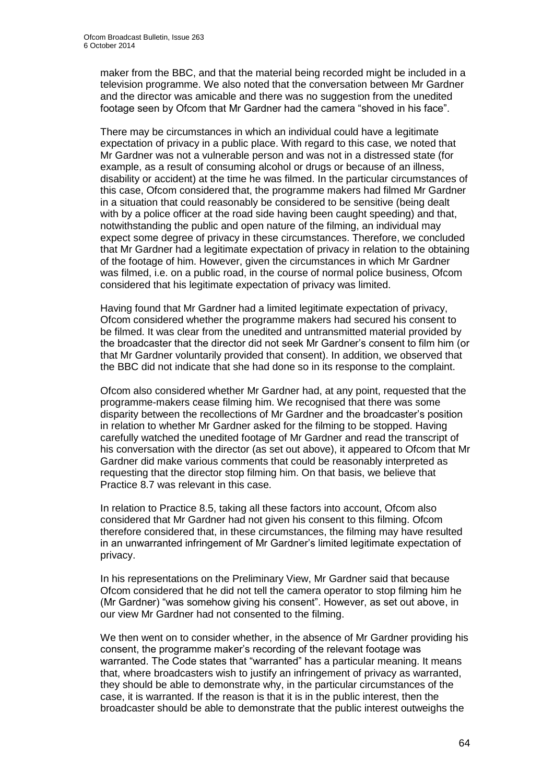maker from the BBC, and that the material being recorded might be included in a television programme. We also noted that the conversation between Mr Gardner and the director was amicable and there was no suggestion from the unedited footage seen by Ofcom that Mr Gardner had the camera "shoved in his face".

There may be circumstances in which an individual could have a legitimate expectation of privacy in a public place. With regard to this case, we noted that Mr Gardner was not a vulnerable person and was not in a distressed state (for example, as a result of consuming alcohol or drugs or because of an illness, disability or accident) at the time he was filmed. In the particular circumstances of this case, Ofcom considered that, the programme makers had filmed Mr Gardner in a situation that could reasonably be considered to be sensitive (being dealt with by a police officer at the road side having been caught speeding) and that, notwithstanding the public and open nature of the filming, an individual may expect some degree of privacy in these circumstances. Therefore, we concluded that Mr Gardner had a legitimate expectation of privacy in relation to the obtaining of the footage of him. However, given the circumstances in which Mr Gardner was filmed, i.e. on a public road, in the course of normal police business, Ofcom considered that his legitimate expectation of privacy was limited.

Having found that Mr Gardner had a limited legitimate expectation of privacy, Ofcom considered whether the programme makers had secured his consent to be filmed. It was clear from the unedited and untransmitted material provided by the broadcaster that the director did not seek Mr Gardner's consent to film him (or that Mr Gardner voluntarily provided that consent). In addition, we observed that the BBC did not indicate that she had done so in its response to the complaint.

Ofcom also considered whether Mr Gardner had, at any point, requested that the programme-makers cease filming him. We recognised that there was some disparity between the recollections of Mr Gardner and the broadcaster's position in relation to whether Mr Gardner asked for the filming to be stopped. Having carefully watched the unedited footage of Mr Gardner and read the transcript of his conversation with the director (as set out above), it appeared to Ofcom that Mr Gardner did make various comments that could be reasonably interpreted as requesting that the director stop filming him. On that basis, we believe that Practice 8.7 was relevant in this case.

In relation to Practice 8.5, taking all these factors into account, Ofcom also considered that Mr Gardner had not given his consent to this filming. Ofcom therefore considered that, in these circumstances, the filming may have resulted in an unwarranted infringement of Mr Gardner's limited legitimate expectation of privacy.

In his representations on the Preliminary View, Mr Gardner said that because Ofcom considered that he did not tell the camera operator to stop filming him he (Mr Gardner) "was somehow giving his consent". However, as set out above, in our view Mr Gardner had not consented to the filming.

We then went on to consider whether, in the absence of Mr Gardner providing his consent, the programme maker's recording of the relevant footage was warranted. The Code states that "warranted" has a particular meaning. It means that, where broadcasters wish to justify an infringement of privacy as warranted, they should be able to demonstrate why, in the particular circumstances of the case, it is warranted. If the reason is that it is in the public interest, then the broadcaster should be able to demonstrate that the public interest outweighs the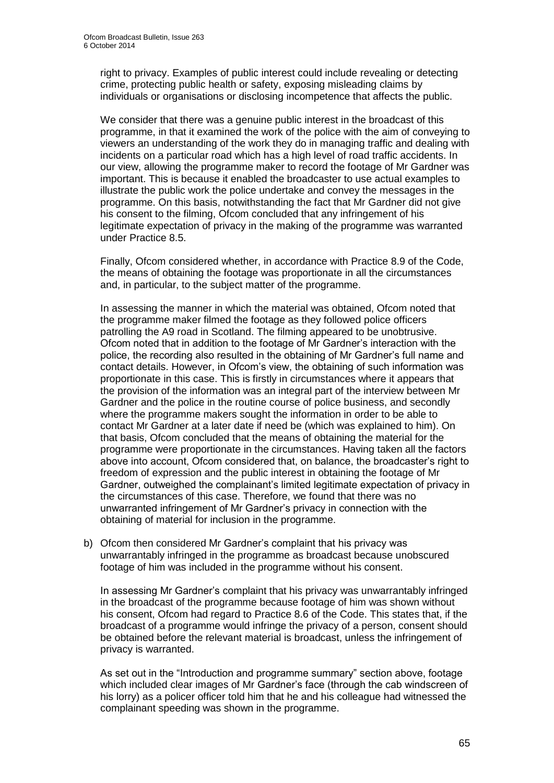right to privacy. Examples of public interest could include revealing or detecting crime, protecting public health or safety, exposing misleading claims by individuals or organisations or disclosing incompetence that affects the public.

We consider that there was a genuine public interest in the broadcast of this programme, in that it examined the work of the police with the aim of conveying to viewers an understanding of the work they do in managing traffic and dealing with incidents on a particular road which has a high level of road traffic accidents. In our view, allowing the programme maker to record the footage of Mr Gardner was important. This is because it enabled the broadcaster to use actual examples to illustrate the public work the police undertake and convey the messages in the programme. On this basis, notwithstanding the fact that Mr Gardner did not give his consent to the filming, Ofcom concluded that any infringement of his legitimate expectation of privacy in the making of the programme was warranted under Practice 8.5.

Finally, Ofcom considered whether, in accordance with Practice 8.9 of the Code, the means of obtaining the footage was proportionate in all the circumstances and, in particular, to the subject matter of the programme.

In assessing the manner in which the material was obtained, Ofcom noted that the programme maker filmed the footage as they followed police officers patrolling the A9 road in Scotland. The filming appeared to be unobtrusive. Ofcom noted that in addition to the footage of Mr Gardner's interaction with the police, the recording also resulted in the obtaining of Mr Gardner's full name and contact details. However, in Ofcom's view, the obtaining of such information was proportionate in this case. This is firstly in circumstances where it appears that the provision of the information was an integral part of the interview between Mr Gardner and the police in the routine course of police business, and secondly where the programme makers sought the information in order to be able to contact Mr Gardner at a later date if need be (which was explained to him). On that basis, Ofcom concluded that the means of obtaining the material for the programme were proportionate in the circumstances. Having taken all the factors above into account, Ofcom considered that, on balance, the broadcaster's right to freedom of expression and the public interest in obtaining the footage of Mr Gardner, outweighed the complainant's limited legitimate expectation of privacy in the circumstances of this case. Therefore, we found that there was no unwarranted infringement of Mr Gardner's privacy in connection with the obtaining of material for inclusion in the programme.

b) Ofcom then considered Mr Gardner's complaint that his privacy was unwarrantably infringed in the programme as broadcast because unobscured footage of him was included in the programme without his consent.

In assessing Mr Gardner's complaint that his privacy was unwarrantably infringed in the broadcast of the programme because footage of him was shown without his consent, Ofcom had regard to Practice 8.6 of the Code. This states that, if the broadcast of a programme would infringe the privacy of a person, consent should be obtained before the relevant material is broadcast, unless the infringement of privacy is warranted.

As set out in the "Introduction and programme summary" section above, footage which included clear images of Mr Gardner's face (through the cab windscreen of his lorry) as a policer officer told him that he and his colleague had witnessed the complainant speeding was shown in the programme.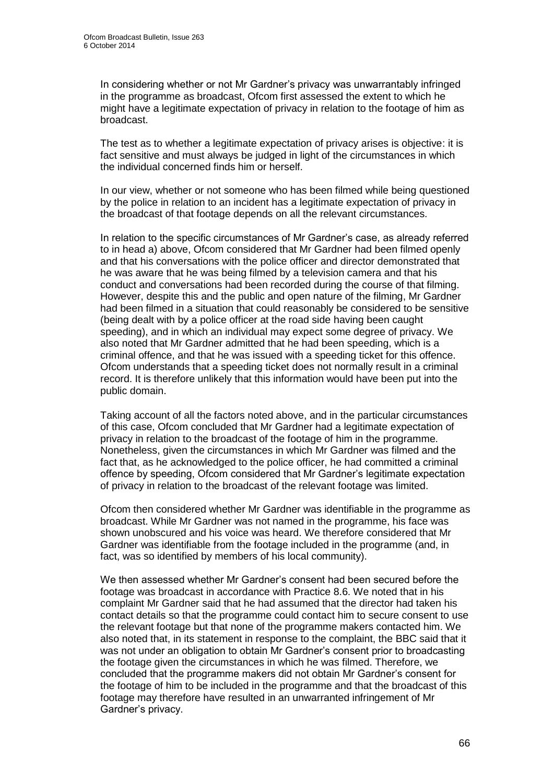In considering whether or not Mr Gardner's privacy was unwarrantably infringed in the programme as broadcast, Ofcom first assessed the extent to which he might have a legitimate expectation of privacy in relation to the footage of him as broadcast.

The test as to whether a legitimate expectation of privacy arises is objective: it is fact sensitive and must always be judged in light of the circumstances in which the individual concerned finds him or herself.

In our view, whether or not someone who has been filmed while being questioned by the police in relation to an incident has a legitimate expectation of privacy in the broadcast of that footage depends on all the relevant circumstances.

In relation to the specific circumstances of Mr Gardner's case, as already referred to in head a) above, Ofcom considered that Mr Gardner had been filmed openly and that his conversations with the police officer and director demonstrated that he was aware that he was being filmed by a television camera and that his conduct and conversations had been recorded during the course of that filming. However, despite this and the public and open nature of the filming, Mr Gardner had been filmed in a situation that could reasonably be considered to be sensitive (being dealt with by a police officer at the road side having been caught speeding), and in which an individual may expect some degree of privacy. We also noted that Mr Gardner admitted that he had been speeding, which is a criminal offence, and that he was issued with a speeding ticket for this offence. Ofcom understands that a speeding ticket does not normally result in a criminal record. It is therefore unlikely that this information would have been put into the public domain.

Taking account of all the factors noted above, and in the particular circumstances of this case, Ofcom concluded that Mr Gardner had a legitimate expectation of privacy in relation to the broadcast of the footage of him in the programme. Nonetheless, given the circumstances in which Mr Gardner was filmed and the fact that, as he acknowledged to the police officer, he had committed a criminal offence by speeding, Ofcom considered that Mr Gardner's legitimate expectation of privacy in relation to the broadcast of the relevant footage was limited.

Ofcom then considered whether Mr Gardner was identifiable in the programme as broadcast. While Mr Gardner was not named in the programme, his face was shown unobscured and his voice was heard. We therefore considered that Mr Gardner was identifiable from the footage included in the programme (and, in fact, was so identified by members of his local community).

We then assessed whether Mr Gardner's consent had been secured before the footage was broadcast in accordance with Practice 8.6. We noted that in his complaint Mr Gardner said that he had assumed that the director had taken his contact details so that the programme could contact him to secure consent to use the relevant footage but that none of the programme makers contacted him. We also noted that, in its statement in response to the complaint, the BBC said that it was not under an obligation to obtain Mr Gardner's consent prior to broadcasting the footage given the circumstances in which he was filmed. Therefore, we concluded that the programme makers did not obtain Mr Gardner's consent for the footage of him to be included in the programme and that the broadcast of this footage may therefore have resulted in an unwarranted infringement of Mr Gardner's privacy.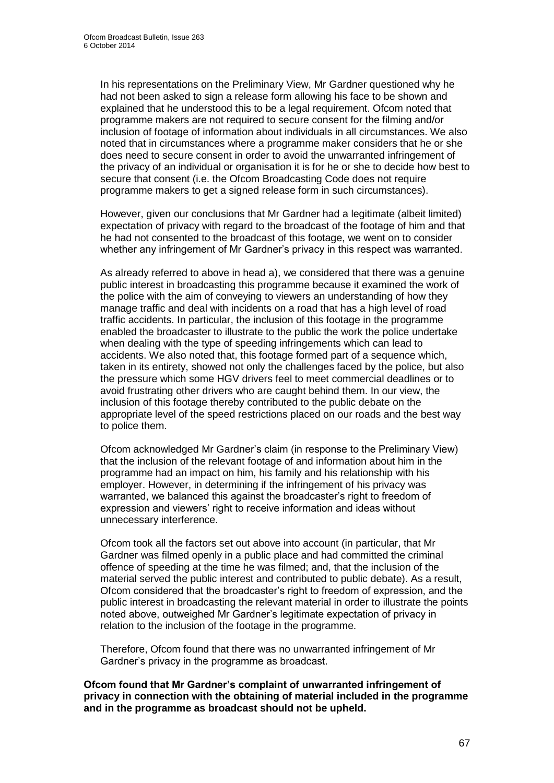In his representations on the Preliminary View, Mr Gardner questioned why he had not been asked to sign a release form allowing his face to be shown and explained that he understood this to be a legal requirement. Ofcom noted that programme makers are not required to secure consent for the filming and/or inclusion of footage of information about individuals in all circumstances. We also noted that in circumstances where a programme maker considers that he or she does need to secure consent in order to avoid the unwarranted infringement of the privacy of an individual or organisation it is for he or she to decide how best to secure that consent (i.e. the Ofcom Broadcasting Code does not require programme makers to get a signed release form in such circumstances).

However, given our conclusions that Mr Gardner had a legitimate (albeit limited) expectation of privacy with regard to the broadcast of the footage of him and that he had not consented to the broadcast of this footage, we went on to consider whether any infringement of Mr Gardner's privacy in this respect was warranted.

As already referred to above in head a), we considered that there was a genuine public interest in broadcasting this programme because it examined the work of the police with the aim of conveying to viewers an understanding of how they manage traffic and deal with incidents on a road that has a high level of road traffic accidents. In particular, the inclusion of this footage in the programme enabled the broadcaster to illustrate to the public the work the police undertake when dealing with the type of speeding infringements which can lead to accidents. We also noted that, this footage formed part of a sequence which, taken in its entirety, showed not only the challenges faced by the police, but also the pressure which some HGV drivers feel to meet commercial deadlines or to avoid frustrating other drivers who are caught behind them. In our view, the inclusion of this footage thereby contributed to the public debate on the appropriate level of the speed restrictions placed on our roads and the best way to police them.

Ofcom acknowledged Mr Gardner's claim (in response to the Preliminary View) that the inclusion of the relevant footage of and information about him in the programme had an impact on him, his family and his relationship with his employer. However, in determining if the infringement of his privacy was warranted, we balanced this against the broadcaster's right to freedom of expression and viewers' right to receive information and ideas without unnecessary interference.

Ofcom took all the factors set out above into account (in particular, that Mr Gardner was filmed openly in a public place and had committed the criminal offence of speeding at the time he was filmed; and, that the inclusion of the material served the public interest and contributed to public debate). As a result, Ofcom considered that the broadcaster's right to freedom of expression, and the public interest in broadcasting the relevant material in order to illustrate the points noted above, outweighed Mr Gardner's legitimate expectation of privacy in relation to the inclusion of the footage in the programme.

Therefore, Ofcom found that there was no unwarranted infringement of Mr Gardner's privacy in the programme as broadcast.

**Ofcom found that Mr Gardner's complaint of unwarranted infringement of privacy in connection with the obtaining of material included in the programme and in the programme as broadcast should not be upheld.**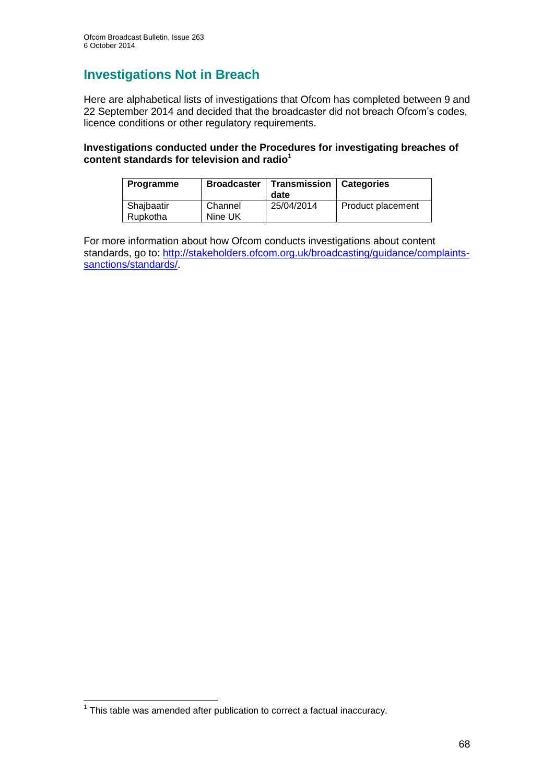# **Investigations Not in Breach**

Here are alphabetical lists of investigations that Ofcom has completed between 9 and 22 September 2014 and decided that the broadcaster did not breach Ofcom's codes, licence conditions or other regulatory requirements.

### **Investigations conducted under the Procedures for investigating breaches of content standards for television and radio<sup>1</sup>**

| <b>Programme</b>       | <b>Broadcaster</b> | Transmission<br>date | <b>Categories</b> |
|------------------------|--------------------|----------------------|-------------------|
| Shajbaatir<br>Rupkotha | Channel<br>Nine UK | 25/04/2014           | Product placement |

For more information about how Ofcom conducts investigations about content standards, go to: [http://stakeholders.ofcom.org.uk/broadcasting/guidance/complaints](http://stakeholders.ofcom.org.uk/broadcasting/guidance/complaints-sanctions/standards/)[sanctions/standards/.](http://stakeholders.ofcom.org.uk/broadcasting/guidance/complaints-sanctions/standards/)

 1 This table was amended after publication to correct a factual inaccuracy.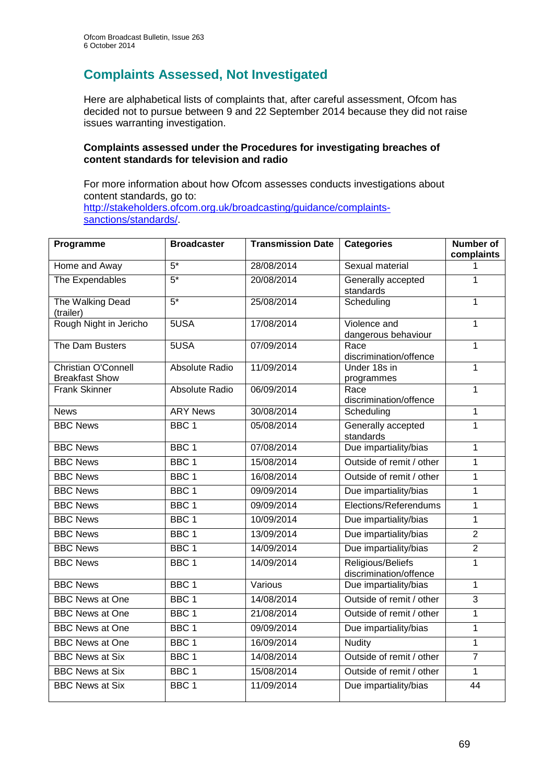# **Complaints Assessed, Not Investigated**

Here are alphabetical lists of complaints that, after careful assessment, Ofcom has decided not to pursue between 9 and 22 September 2014 because they did not raise issues warranting investigation.

### **Complaints assessed under the Procedures for investigating breaches of content standards for television and radio**

For more information about how Ofcom assesses conducts investigations about content standards, go to: [http://stakeholders.ofcom.org.uk/broadcasting/guidance/complaints](http://stakeholders.ofcom.org.uk/broadcasting/guidance/complaints-sanctions/standards/)[sanctions/standards/.](http://stakeholders.ofcom.org.uk/broadcasting/guidance/complaints-sanctions/standards/)

| Programme                                    | <b>Broadcaster</b> | <b>Transmission Date</b> | <b>Categories</b>                           | <b>Number of</b><br>complaints |
|----------------------------------------------|--------------------|--------------------------|---------------------------------------------|--------------------------------|
| Home and Away                                | $5*$               | 28/08/2014               | Sexual material                             |                                |
| The Expendables                              | $\overline{5^*}$   | 20/08/2014               | Generally accepted<br>standards             | 1                              |
| The Walking Dead<br>(trailer)                | $5*$               | 25/08/2014               | Scheduling                                  | 1                              |
| Rough Night in Jericho                       | 5USA               | 17/08/2014               | Violence and<br>dangerous behaviour         | 1                              |
| The Dam Busters                              | 5USA               | 07/09/2014               | Race<br>discrimination/offence              | 1                              |
| Christian O'Connell<br><b>Breakfast Show</b> | Absolute Radio     | 11/09/2014               | Under 18s in<br>programmes                  | 1                              |
| <b>Frank Skinner</b>                         | Absolute Radio     | 06/09/2014               | Race<br>discrimination/offence              | 1                              |
| <b>News</b>                                  | <b>ARY News</b>    | 30/08/2014               | Scheduling                                  | $\mathbf{1}$                   |
| <b>BBC News</b>                              | BBC <sub>1</sub>   | 05/08/2014               | Generally accepted<br>standards             | 1                              |
| <b>BBC News</b>                              | BBC <sub>1</sub>   | 07/08/2014               | Due impartiality/bias                       | 1                              |
| <b>BBC News</b>                              | BBC <sub>1</sub>   | 15/08/2014               | Outside of remit / other                    | 1                              |
| <b>BBC News</b>                              | BBC <sub>1</sub>   | 16/08/2014               | Outside of remit / other                    | $\mathbf{1}$                   |
| <b>BBC News</b>                              | BBC <sub>1</sub>   | 09/09/2014               | Due impartiality/bias                       | 1                              |
| <b>BBC News</b>                              | BBC <sub>1</sub>   | 09/09/2014               | Elections/Referendums                       | 1                              |
| <b>BBC News</b>                              | BBC <sub>1</sub>   | 10/09/2014               | Due impartiality/bias                       | 1                              |
| <b>BBC News</b>                              | BBC <sub>1</sub>   | 13/09/2014               | Due impartiality/bias                       | $\overline{2}$                 |
| <b>BBC News</b>                              | BBC <sub>1</sub>   | 14/09/2014               | Due impartiality/bias                       | $\overline{2}$                 |
| <b>BBC News</b>                              | BBC <sub>1</sub>   | 14/09/2014               | Religious/Beliefs<br>discrimination/offence | 1                              |
| <b>BBC News</b>                              | BBC <sub>1</sub>   | Various                  | Due impartiality/bias                       | 1                              |
| <b>BBC News at One</b>                       | BBC <sub>1</sub>   | 14/08/2014               | Outside of remit / other                    | 3                              |
| <b>BBC News at One</b>                       | BBC <sub>1</sub>   | 21/08/2014               | Outside of remit / other                    | 1                              |
| <b>BBC News at One</b>                       | BBC <sub>1</sub>   | 09/09/2014               | Due impartiality/bias                       | 1                              |
| <b>BBC News at One</b>                       | BBC <sub>1</sub>   | 16/09/2014               | <b>Nudity</b>                               | $\mathbf{1}$                   |
| <b>BBC News at Six</b>                       | BBC 1              | 14/08/2014               | Outside of remit / other                    | $\overline{7}$                 |
| <b>BBC News at Six</b>                       | BBC <sub>1</sub>   | 15/08/2014               | Outside of remit / other                    | 1                              |
| <b>BBC News at Six</b>                       | BBC <sub>1</sub>   | 11/09/2014               | Due impartiality/bias                       | $\overline{44}$                |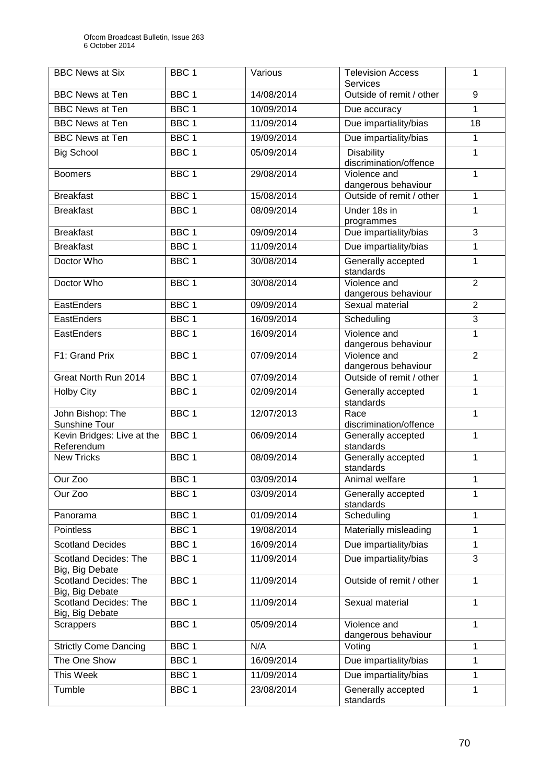| <b>BBC News at Six</b>                          | BBC <sub>1</sub> | Various    | <b>Television Access</b><br><b>Services</b> | 1              |
|-------------------------------------------------|------------------|------------|---------------------------------------------|----------------|
| <b>BBC News at Ten</b>                          | BBC <sub>1</sub> | 14/08/2014 | Outside of remit / other                    | 9              |
| <b>BBC News at Ten</b>                          | BBC <sub>1</sub> | 10/09/2014 | Due accuracy                                | $\mathbf{1}$   |
| <b>BBC News at Ten</b>                          | BBC <sub>1</sub> | 11/09/2014 | Due impartiality/bias                       | 18             |
| <b>BBC News at Ten</b>                          | BBC <sub>1</sub> | 19/09/2014 | Due impartiality/bias                       | $\mathbf{1}$   |
| <b>Big School</b>                               | BBC <sub>1</sub> | 05/09/2014 | <b>Disability</b><br>discrimination/offence | $\overline{1}$ |
| <b>Boomers</b>                                  | BBC <sub>1</sub> | 29/08/2014 | Violence and<br>dangerous behaviour         | $\mathbf{1}$   |
| <b>Breakfast</b>                                | BBC <sub>1</sub> | 15/08/2014 | Outside of remit / other                    | $\mathbf{1}$   |
| <b>Breakfast</b>                                | BBC <sub>1</sub> | 08/09/2014 | Under 18s in<br>programmes                  | 1              |
| <b>Breakfast</b>                                | BBC <sub>1</sub> | 09/09/2014 | Due impartiality/bias                       | 3              |
| <b>Breakfast</b>                                | BBC <sub>1</sub> | 11/09/2014 | Due impartiality/bias                       | 1              |
| Doctor Who                                      | BBC <sub>1</sub> | 30/08/2014 | Generally accepted<br>standards             | 1              |
| Doctor Who                                      | BBC <sub>1</sub> | 30/08/2014 | Violence and<br>dangerous behaviour         | $\overline{2}$ |
| EastEnders                                      | BBC <sub>1</sub> | 09/09/2014 | Sexual material                             | $\overline{2}$ |
| EastEnders                                      | BBC <sub>1</sub> | 16/09/2014 | Scheduling                                  | $\overline{3}$ |
| EastEnders                                      | BBC <sub>1</sub> | 16/09/2014 | Violence and<br>dangerous behaviour         | 1              |
| F1: Grand Prix                                  | BBC <sub>1</sub> | 07/09/2014 | Violence and<br>dangerous behaviour         | $\overline{2}$ |
| Great North Run 2014                            | BBC <sub>1</sub> | 07/09/2014 | Outside of remit / other                    | $\overline{1}$ |
| <b>Holby City</b>                               | BBC <sub>1</sub> | 02/09/2014 | Generally accepted<br>standards             | 1              |
| John Bishop: The<br>Sunshine Tour               | BBC <sub>1</sub> | 12/07/2013 | Race<br>discrimination/offence              | $\mathbf{1}$   |
| Kevin Bridges: Live at the<br>Referendum        | BBC <sub>1</sub> | 06/09/2014 | Generally accepted<br>standards             | $\mathbf{1}$   |
| <b>New Tricks</b>                               | BBC <sub>1</sub> | 08/09/2014 | Generally accepted<br>standards             | 1              |
| Our Zoo                                         | BBC 1            | 03/09/2014 | Animal welfare                              | 1              |
| Our Zoo                                         | BBC <sub>1</sub> | 03/09/2014 | Generally accepted<br>standards             | 1              |
| Panorama                                        | BBC <sub>1</sub> | 01/09/2014 | Scheduling                                  | $\mathbf{1}$   |
| Pointless                                       | BBC <sub>1</sub> | 19/08/2014 | Materially misleading                       | 1              |
| <b>Scotland Decides</b>                         | BBC <sub>1</sub> | 16/09/2014 | Due impartiality/bias                       | 1              |
| Scotland Decides: The<br>Big, Big Debate        | BBC <sub>1</sub> | 11/09/2014 | Due impartiality/bias                       | 3              |
| <b>Scotland Decides: The</b><br>Big, Big Debate | BBC <sub>1</sub> | 11/09/2014 | Outside of remit / other                    | 1              |
| Scotland Decides: The<br>Big, Big Debate        | BBC <sub>1</sub> | 11/09/2014 | Sexual material                             | $\mathbf{1}$   |
| <b>Scrappers</b>                                | BBC <sub>1</sub> | 05/09/2014 | Violence and<br>dangerous behaviour         | 1              |
| <b>Strictly Come Dancing</b>                    | BBC <sub>1</sub> | N/A        | Voting                                      | 1              |
| The One Show                                    | BBC <sub>1</sub> | 16/09/2014 | Due impartiality/bias                       | $\mathbf{1}$   |
| This Week                                       | BBC <sub>1</sub> | 11/09/2014 | Due impartiality/bias                       | 1              |
| Tumble                                          | BBC <sub>1</sub> | 23/08/2014 | Generally accepted<br>standards             | 1              |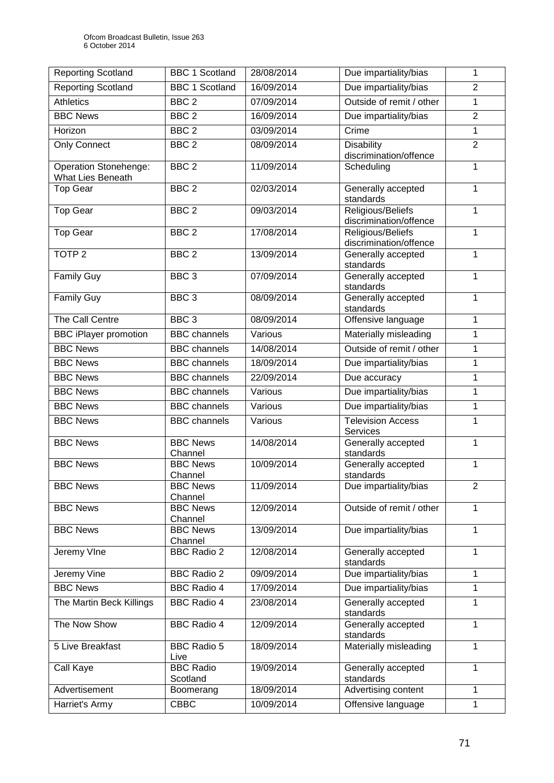| <b>Reporting Scotland</b>                                | <b>BBC 1 Scotland</b>        | 28/08/2014 | Due impartiality/bias                       | 1              |
|----------------------------------------------------------|------------------------------|------------|---------------------------------------------|----------------|
| <b>Reporting Scotland</b>                                | <b>BBC 1 Scotland</b>        | 16/09/2014 | Due impartiality/bias                       | $\overline{2}$ |
| <b>Athletics</b>                                         | $\overline{BBC}$ 2           | 07/09/2014 | Outside of remit / other                    | $\mathbf{1}$   |
| <b>BBC News</b>                                          | BBC <sub>2</sub>             | 16/09/2014 | Due impartiality/bias                       | $\overline{2}$ |
| Horizon                                                  | BBC <sub>2</sub>             | 03/09/2014 | Crime                                       | $\mathbf{1}$   |
| <b>Only Connect</b>                                      | BBC <sub>2</sub>             | 08/09/2014 | <b>Disability</b><br>discrimination/offence | $\overline{2}$ |
| <b>Operation Stonehenge:</b><br><b>What Lies Beneath</b> | BBC <sub>2</sub>             | 11/09/2014 | Scheduling                                  | 1              |
| <b>Top Gear</b>                                          | BBC <sub>2</sub>             | 02/03/2014 | Generally accepted<br>standards             | $\mathbf{1}$   |
| <b>Top Gear</b>                                          | BBC <sub>2</sub>             | 09/03/2014 | Religious/Beliefs<br>discrimination/offence | 1              |
| <b>Top Gear</b>                                          | BBC <sub>2</sub>             | 17/08/2014 | Religious/Beliefs<br>discrimination/offence | 1              |
| TOTP <sub>2</sub>                                        | BBC <sub>2</sub>             | 13/09/2014 | Generally accepted<br>standards             | 1              |
| <b>Family Guy</b>                                        | BBC <sub>3</sub>             | 07/09/2014 | Generally accepted<br>standards             | 1              |
| <b>Family Guy</b>                                        | BBC <sub>3</sub>             | 08/09/2014 | Generally accepted<br>standards             | $\mathbf{1}$   |
| The Call Centre                                          | BBC <sub>3</sub>             | 08/09/2014 | Offensive language                          | $\mathbf{1}$   |
| <b>BBC iPlayer promotion</b>                             | <b>BBC</b> channels          | Various    | Materially misleading                       | 1              |
| <b>BBC News</b>                                          | <b>BBC</b> channels          | 14/08/2014 | Outside of remit / other                    | 1              |
| <b>BBC News</b>                                          | <b>BBC</b> channels          | 18/09/2014 | Due impartiality/bias                       | 1              |
| <b>BBC News</b>                                          | <b>BBC</b> channels          | 22/09/2014 | Due accuracy                                | 1              |
| <b>BBC News</b>                                          | <b>BBC</b> channels          | Various    | Due impartiality/bias                       | 1              |
| <b>BBC News</b>                                          | <b>BBC</b> channels          | Various    | Due impartiality/bias                       | 1              |
| <b>BBC News</b>                                          | <b>BBC</b> channels          | Various    | <b>Television Access</b><br>Services        | $\mathbf{1}$   |
| <b>BBC News</b>                                          | <b>BBC News</b><br>Channel   | 14/08/2014 | Generally accepted<br>standards             | $\mathbf{1}$   |
| <b>BBC News</b>                                          | <b>BBC News</b><br>Channel   | 10/09/2014 | Generally accepted<br>standards             | $\mathbf 1$    |
| <b>BBC News</b>                                          | <b>BBC News</b><br>Channel   | 11/09/2014 | Due impartiality/bias                       | 2              |
| <b>BBC News</b>                                          | <b>BBC News</b><br>Channel   | 12/09/2014 | Outside of remit / other                    | 1              |
| <b>BBC News</b>                                          | <b>BBC News</b><br>Channel   | 13/09/2014 | Due impartiality/bias                       | 1              |
| Jeremy VIne                                              | <b>BBC Radio 2</b>           | 12/08/2014 | Generally accepted<br>standards             | 1              |
| Jeremy Vine                                              | <b>BBC Radio 2</b>           | 09/09/2014 | Due impartiality/bias                       | $\mathbf{1}$   |
| <b>BBC News</b>                                          | <b>BBC Radio 4</b>           | 17/09/2014 | Due impartiality/bias                       | 1              |
| The Martin Beck Killings                                 | <b>BBC Radio 4</b>           | 23/08/2014 | Generally accepted<br>standards             | 1              |
| The Now Show                                             | <b>BBC Radio 4</b>           | 12/09/2014 | Generally accepted<br>standards             | 1              |
| 5 Live Breakfast                                         | <b>BBC Radio 5</b><br>Live   | 18/09/2014 | Materially misleading                       | 1              |
| Call Kaye                                                | <b>BBC Radio</b><br>Scotland | 19/09/2014 | Generally accepted<br>standards             | 1              |
| Advertisement                                            | Boomerang                    | 18/09/2014 | Advertising content                         | 1              |
| Harriet's Army                                           | <b>CBBC</b>                  | 10/09/2014 | Offensive language                          | 1              |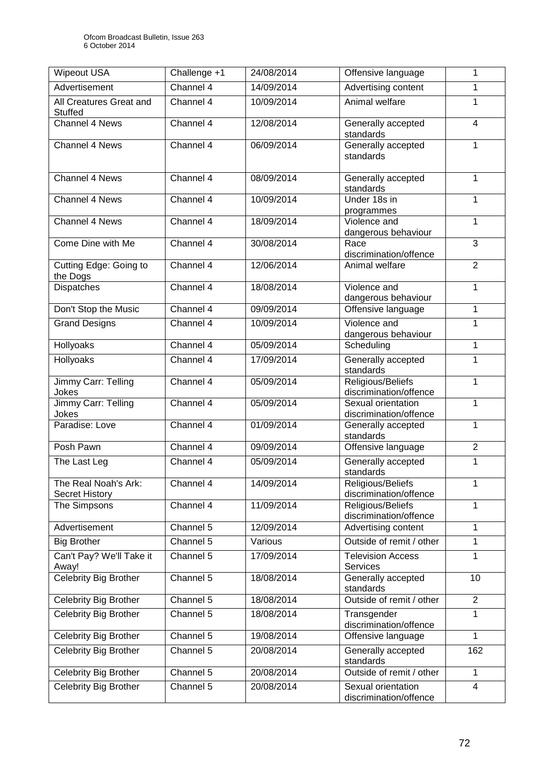| <b>Wipeout USA</b>                        | Challenge +1           | 24/08/2014 | Offensive language                           | 1              |
|-------------------------------------------|------------------------|------------|----------------------------------------------|----------------|
| Advertisement                             | Channel 4              | 14/09/2014 | Advertising content                          | 1              |
| All Creatures Great and<br><b>Stuffed</b> | Channel 4              | 10/09/2014 | Animal welfare                               | $\mathbf{1}$   |
| <b>Channel 4 News</b>                     | Channel 4              | 12/08/2014 | Generally accepted<br>standards              | 4              |
| Channel 4 News                            | Channel 4              | 06/09/2014 | Generally accepted<br>standards              | 1              |
| Channel 4 News                            | Channel 4              | 08/09/2014 | Generally accepted<br>standards              | 1              |
| Channel 4 News                            | Channel 4              | 10/09/2014 | Under 18s in<br>programmes                   | $\mathbf{1}$   |
| <b>Channel 4 News</b>                     | Channel 4              | 18/09/2014 | Violence and<br>dangerous behaviour          | $\mathbf{1}$   |
| Come Dine with Me                         | Channel 4              | 30/08/2014 | Race<br>discrimination/offence               | 3              |
| Cutting Edge: Going to<br>the Dogs        | Channel 4              | 12/06/2014 | Animal welfare                               | $\overline{2}$ |
| Dispatches                                | Channel 4              | 18/08/2014 | Violence and<br>dangerous behaviour          | 1              |
| Don't Stop the Music                      | Channel 4              | 09/09/2014 | Offensive language                           | $\mathbf{1}$   |
| <b>Grand Designs</b>                      | Channel 4              | 10/09/2014 | Violence and<br>dangerous behaviour          | 1              |
| Hollyoaks                                 | Channel 4              | 05/09/2014 | Scheduling                                   | 1              |
| Hollyoaks                                 | Channel 4              | 17/09/2014 | Generally accepted<br>standards              | 1              |
| Jimmy Carr: Telling<br>Jokes              | Channel $\overline{4}$ | 05/09/2014 | Religious/Beliefs<br>discrimination/offence  | 1              |
| Jimmy Carr: Telling<br>Jokes              | Channel 4              | 05/09/2014 | Sexual orientation<br>discrimination/offence | 1              |
| Paradise: Love                            | Channel 4              | 01/09/2014 | Generally accepted<br>standards              | 1              |
| Posh Pawn                                 | Channel 4              | 09/09/2014 | Offensive language                           | $\overline{2}$ |
| The Last Leg                              | Channel 4              | 05/09/2014 | Generally accepted<br>standards              | 1              |
| The Real Noah's Ark:<br>Secret History    | Channel 4              | 14/09/2014 | Religious/Beliefs<br>discrimination/offence  |                |
| The Simpsons                              | Channel 4              | 11/09/2014 | Religious/Beliefs<br>discrimination/offence  | 1              |
| Advertisement                             | Channel 5              | 12/09/2014 | Advertising content                          | 1              |
| <b>Big Brother</b>                        | Channel 5              | Various    | Outside of remit / other                     | 1              |
| Can't Pay? We'll Take it<br>Away!         | Channel 5              | 17/09/2014 | <b>Television Access</b><br>Services         | 1              |
| Celebrity Big Brother                     | Channel 5              | 18/08/2014 | Generally accepted<br>standards              | 10             |
| <b>Celebrity Big Brother</b>              | Channel 5              | 18/08/2014 | Outside of remit / other                     | $\overline{2}$ |
| <b>Celebrity Big Brother</b>              | Channel <sub>5</sub>   | 18/08/2014 | Transgender<br>discrimination/offence        | 1              |
| Celebrity Big Brother                     | Channel $5$            | 19/08/2014 | Offensive language                           | 1              |
| Celebrity Big Brother                     | Channel 5              | 20/08/2014 | Generally accepted<br>standards              | 162            |
| Celebrity Big Brother                     | Channel 5              | 20/08/2014 | Outside of remit / other                     | $\mathbf{1}$   |
| Celebrity Big Brother                     | Channel 5              | 20/08/2014 | Sexual orientation<br>discrimination/offence | 4              |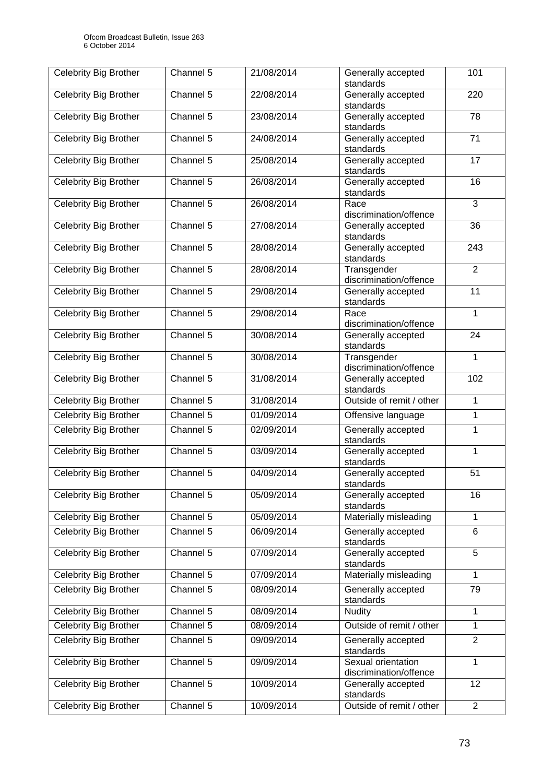| Celebrity Big Brother        | $\overline{\text{Channel}}$ 5 | 21/08/2014 | Generally accepted<br>101<br>standards       |                 |
|------------------------------|-------------------------------|------------|----------------------------------------------|-----------------|
| <b>Celebrity Big Brother</b> | Channel 5                     | 22/08/2014 | Generally accepted<br>standards              | 220             |
| <b>Celebrity Big Brother</b> | Channel 5                     | 23/08/2014 | Generally accepted<br>standards              | 78              |
| <b>Celebrity Big Brother</b> | Channel 5                     | 24/08/2014 | Generally accepted<br>standards              | $\overline{71}$ |
| Celebrity Big Brother        | Channel 5                     | 25/08/2014 | Generally accepted<br>standards              | 17              |
| Celebrity Big Brother        | Channel 5                     | 26/08/2014 | Generally accepted<br>standards              | 16              |
| Celebrity Big Brother        | Channel 5                     | 26/08/2014 | Race<br>discrimination/offence               | $\overline{3}$  |
| Celebrity Big Brother        | Channel 5                     | 27/08/2014 | Generally accepted<br>standards              | 36              |
| <b>Celebrity Big Brother</b> | Channel 5                     | 28/08/2014 | Generally accepted<br>standards              | 243             |
| Celebrity Big Brother        | Channel 5                     | 28/08/2014 | Transgender<br>discrimination/offence        | $\overline{2}$  |
| <b>Celebrity Big Brother</b> | Channel 5                     | 29/08/2014 | Generally accepted<br>standards              | $\overline{11}$ |
| Celebrity Big Brother        | Channel 5                     | 29/08/2014 | Race<br>discrimination/offence               | $\mathbf{1}$    |
| Celebrity Big Brother        | Channel 5                     | 30/08/2014 | Generally accepted<br>standards              | 24              |
| <b>Celebrity Big Brother</b> | Channel 5                     | 30/08/2014 | Transgender<br>discrimination/offence        | $\mathbf{1}$    |
| Celebrity Big Brother        | Channel 5                     | 31/08/2014 | Generally accepted<br>standards              | 102             |
| <b>Celebrity Big Brother</b> | Channel 5                     | 31/08/2014 | Outside of remit / other                     | $\mathbf{1}$    |
| Celebrity Big Brother        | Channel 5                     | 01/09/2014 | Offensive language                           | 1               |
| <b>Celebrity Big Brother</b> | Channel 5                     | 02/09/2014 | Generally accepted<br>standards              | 1               |
| Celebrity Big Brother        | Channel 5                     | 03/09/2014 | Generally accepted<br>standards              | 1               |
| <b>Celebrity Big Brother</b> | Channel 5                     | 04/09/2014 | Generally accepted<br>standards              | 51              |
| Celebrity Big Brother        | Channel 5                     | 05/09/2014 | Generally accepted<br>standards              | 16              |
| <b>Celebrity Big Brother</b> | Channel 5                     | 05/09/2014 | Materially misleading                        | $\mathbf{1}$    |
| Celebrity Big Brother        | Channel 5                     | 06/09/2014 | Generally accepted<br>standards              | 6               |
| Celebrity Big Brother        | Channel 5                     | 07/09/2014 | Generally accepted<br>standards              | 5               |
| Celebrity Big Brother        | Channel 5                     | 07/09/2014 | Materially misleading                        | $\mathbf{1}$    |
| Celebrity Big Brother        | Channel 5                     | 08/09/2014 | Generally accepted<br>standards              | 79              |
| <b>Celebrity Big Brother</b> | Channel 5                     | 08/09/2014 | <b>Nudity</b>                                | 1               |
| <b>Celebrity Big Brother</b> | Channel 5                     | 08/09/2014 | Outside of remit / other                     | $\mathbf{1}$    |
| Celebrity Big Brother        | Channel 5                     | 09/09/2014 | Generally accepted<br>standards              | $\overline{2}$  |
| Celebrity Big Brother        | Channel 5                     | 09/09/2014 | Sexual orientation<br>discrimination/offence | 1               |
| Celebrity Big Brother        | Channel 5                     | 10/09/2014 | Generally accepted<br>standards              | 12              |
| <b>Celebrity Big Brother</b> | Channel 5                     | 10/09/2014 | Outside of remit / other                     | 2               |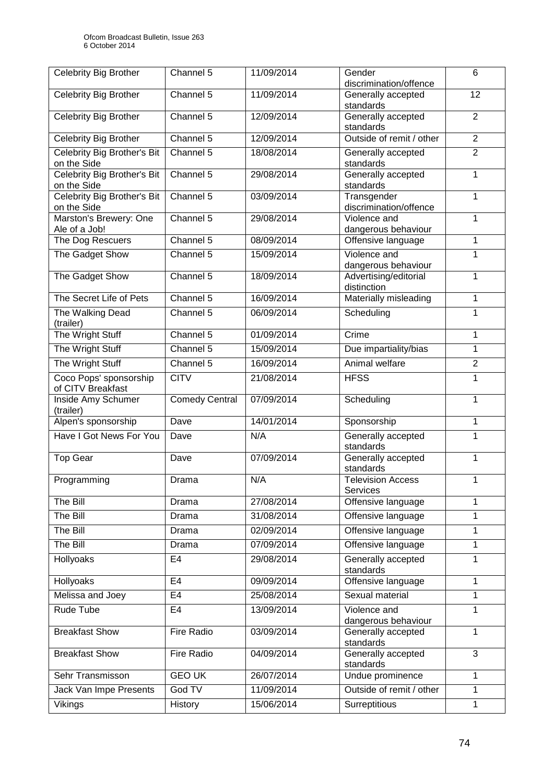| <b>Celebrity Big Brother</b>                | Channel 5             | 11/09/2014 | Gender                                | 6              |
|---------------------------------------------|-----------------------|------------|---------------------------------------|----------------|
|                                             |                       |            | discrimination/offence                |                |
| <b>Celebrity Big Brother</b>                | Channel 5             | 11/09/2014 | Generally accepted<br>12<br>standards |                |
| <b>Celebrity Big Brother</b>                | Channel 5             | 12/09/2014 | Generally accepted                    | $\overline{2}$ |
|                                             |                       |            | standards                             |                |
| <b>Celebrity Big Brother</b>                | Channel 5             | 12/09/2014 | Outside of remit / other              | $\overline{2}$ |
| Celebrity Big Brother's Bit<br>on the Side  | Channel 5             | 18/08/2014 | Generally accepted<br>standards       | $\overline{2}$ |
| Celebrity Big Brother's Bit<br>on the Side  | Channel 5             | 29/08/2014 | Generally accepted<br>standards       | $\mathbf{1}$   |
| Celebrity Big Brother's Bit<br>on the Side  | Channel 5             | 03/09/2014 | Transgender<br>discrimination/offence | $\mathbf{1}$   |
| Marston's Brewery: One<br>Ale of a Job!     | Channel 5             | 29/08/2014 | Violence and<br>dangerous behaviour   | 1              |
| The Dog Rescuers                            | Channel 5             | 08/09/2014 | Offensive language                    | $\mathbf{1}$   |
| The Gadget Show                             | Channel 5             | 15/09/2014 | Violence and<br>dangerous behaviour   | 1              |
| The Gadget Show                             | Channel 5             | 18/09/2014 | Advertising/editorial<br>distinction  | 1              |
| The Secret Life of Pets                     | Channel 5             | 16/09/2014 | Materially misleading                 | 1              |
| The Walking Dead<br>(trailer)               | Channel 5             | 06/09/2014 | Scheduling                            | 1              |
| The Wright Stuff                            | Channel 5             | 01/09/2014 | Crime                                 | 1              |
| The Wright Stuff                            | Channel 5             | 15/09/2014 | Due impartiality/bias                 | 1              |
| The Wright Stuff                            | Channel 5             | 16/09/2014 | Animal welfare                        | $\overline{2}$ |
| Coco Pops' sponsorship<br>of CITV Breakfast | <b>CITV</b>           | 21/08/2014 | <b>HFSS</b>                           | 1              |
| Inside Amy Schumer<br>(trailer)             | <b>Comedy Central</b> | 07/09/2014 | Scheduling                            | 1              |
| Alpen's sponsorship                         | Dave                  | 14/01/2014 | Sponsorship                           | $\mathbf{1}$   |
| Have I Got News For You                     | Dave                  | N/A        | Generally accepted<br>standards       | 1              |
| <b>Top Gear</b>                             | Dave                  | 07/09/2014 | Generally accepted<br>standards       | $\mathbf{1}$   |
| Programming                                 | Drama                 | N/A        | <b>Television Access</b><br>Services  | 1              |
| The Bill                                    | Drama                 | 27/08/2014 | Offensive language                    | 1              |
| The Bill                                    | Drama                 | 31/08/2014 | Offensive language                    | 1              |
| The Bill                                    | Drama                 | 02/09/2014 | Offensive language                    | 1              |
| The Bill                                    | Drama                 | 07/09/2014 | Offensive language                    | 1              |
| Hollyoaks                                   | E <sub>4</sub>        | 29/08/2014 | Generally accepted<br>standards       | 1              |
| Hollyoaks                                   | E <sub>4</sub>        | 09/09/2014 | Offensive language                    | 1              |
| Melissa and Joey                            | E4                    | 25/08/2014 | Sexual material                       | 1              |
| Rude Tube                                   | E <sub>4</sub>        | 13/09/2014 | Violence and<br>dangerous behaviour   | 1              |
| <b>Breakfast Show</b>                       | Fire Radio            | 03/09/2014 | Generally accepted<br>standards       | 1              |
| <b>Breakfast Show</b>                       | Fire Radio            | 04/09/2014 | Generally accepted<br>standards       | 3              |
| Sehr Transmisson                            | <b>GEO UK</b>         | 26/07/2014 | Undue prominence                      | 1              |
| Jack Van Impe Presents                      | God TV                | 11/09/2014 | Outside of remit / other              | 1              |
| Vikings                                     | History               | 15/06/2014 | Surreptitious                         | 1              |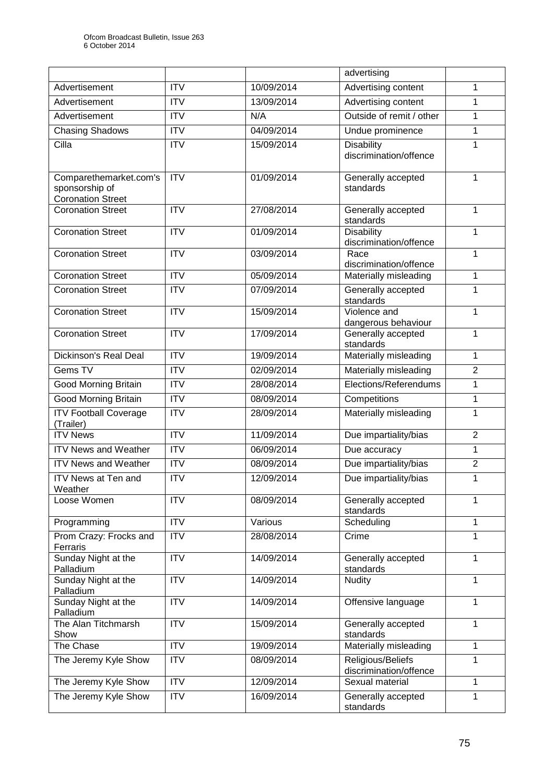|                                                                      |                        |            | advertising                                 |                |
|----------------------------------------------------------------------|------------------------|------------|---------------------------------------------|----------------|
| Advertisement                                                        | <b>ITV</b>             | 10/09/2014 | Advertising content                         | 1              |
| Advertisement                                                        | <b>ITV</b>             | 13/09/2014 | Advertising content                         | 1              |
| Advertisement                                                        | $\overline{\text{IV}}$ | N/A        | Outside of remit / other                    | 1              |
| <b>Chasing Shadows</b>                                               | <b>ITV</b>             | 04/09/2014 | Undue prominence                            | 1              |
| Cilla                                                                | <b>ITV</b>             | 15/09/2014 | <b>Disability</b><br>discrimination/offence | 1              |
| Comparethemarket.com's<br>sponsorship of<br><b>Coronation Street</b> | ITV                    | 01/09/2014 | Generally accepted<br>standards             | 1              |
| <b>Coronation Street</b>                                             | <b>ITV</b>             | 27/08/2014 | Generally accepted<br>standards             | 1              |
| <b>Coronation Street</b>                                             | <b>ITV</b>             | 01/09/2014 | <b>Disability</b><br>discrimination/offence | 1              |
| <b>Coronation Street</b>                                             | <b>ITV</b>             | 03/09/2014 | Race<br>discrimination/offence              | 1              |
| <b>Coronation Street</b>                                             | <b>ITV</b>             | 05/09/2014 | Materially misleading                       | 1              |
| <b>Coronation Street</b>                                             | <b>ITV</b>             | 07/09/2014 | Generally accepted<br>standards             | 1              |
| <b>Coronation Street</b>                                             | <b>ITV</b>             | 15/09/2014 | Violence and<br>dangerous behaviour         | 1              |
| <b>Coronation Street</b>                                             | <b>ITV</b>             | 17/09/2014 | Generally accepted<br>standards             | 1              |
| Dickinson's Real Deal                                                | ITV                    | 19/09/2014 | Materially misleading                       | 1              |
| Gems TV                                                              | <b>ITV</b>             | 02/09/2014 | Materially misleading                       | $\overline{2}$ |
| <b>Good Morning Britain</b>                                          | <b>ITV</b>             | 28/08/2014 | Elections/Referendums                       | 1              |
| <b>Good Morning Britain</b>                                          | <b>ITV</b>             | 08/09/2014 | Competitions                                | 1              |
| <b>ITV Football Coverage</b><br>(Trailer)                            | <b>ITV</b>             | 28/09/2014 | Materially misleading                       | 1              |
| <b>ITV News</b>                                                      | ITV                    | 11/09/2014 | Due impartiality/bias                       | $\overline{2}$ |
| <b>ITV News and Weather</b>                                          | <b>ITV</b>             | 06/09/2014 | Due accuracy                                | 1              |
| <b>ITV News and Weather</b>                                          | <b>ITV</b>             | 08/09/2014 | Due impartiality/bias                       | $\overline{c}$ |
| <b>ITV News at Ten and</b><br>Weather                                | ITV                    | 12/09/2014 | Due impartiality/bias                       | 1              |
| Loose Women                                                          | <b>ITV</b>             | 08/09/2014 | Generally accepted<br>standards             | 1              |
| Programming                                                          | <b>ITV</b>             | Various    | Scheduling                                  | 1              |
| Prom Crazy: Frocks and<br>Ferraris                                   | <b>ITV</b>             | 28/08/2014 | Crime                                       | 1              |
| Sunday Night at the<br>Palladium                                     | ITV                    | 14/09/2014 | Generally accepted<br>standards             | 1              |
| Sunday Night at the<br>Palladium                                     | <b>ITV</b>             | 14/09/2014 | Nudity                                      | 1              |
| Sunday Night at the<br>Palladium                                     | <b>ITV</b>             | 14/09/2014 | Offensive language                          | 1              |
| The Alan Titchmarsh<br>Show                                          | <b>ITV</b>             | 15/09/2014 | Generally accepted<br>standards             | 1              |
| The Chase                                                            | <b>ITV</b>             | 19/09/2014 | Materially misleading                       | $\mathbf{1}$   |
| The Jeremy Kyle Show                                                 | <b>ITV</b>             | 08/09/2014 | Religious/Beliefs<br>discrimination/offence | 1              |
| The Jeremy Kyle Show                                                 | <b>ITV</b>             | 12/09/2014 | Sexual material                             | 1              |
| The Jeremy Kyle Show                                                 | ITV                    | 16/09/2014 | Generally accepted<br>standards             | 1              |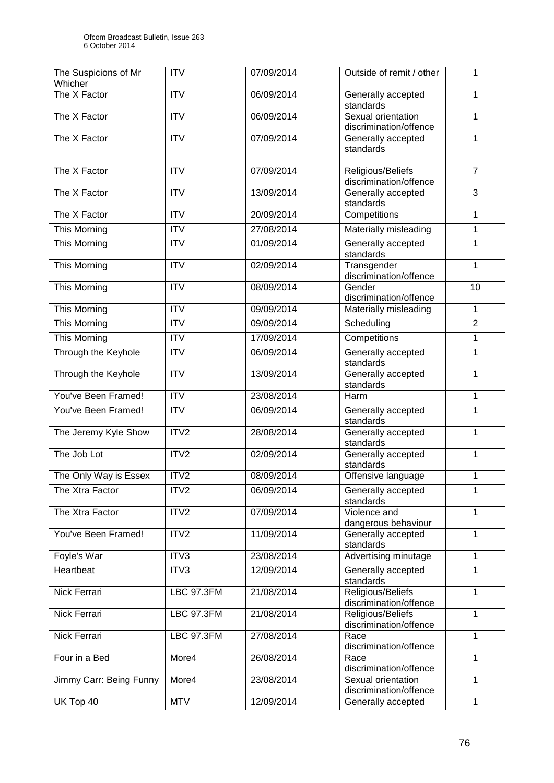| The Suspicions of Mr<br>Whicher | <b>ITV</b>                | 07/09/2014 | Outside of remit / other                     | 1               |
|---------------------------------|---------------------------|------------|----------------------------------------------|-----------------|
| The X Factor                    | $\overline{\mathsf{ITV}}$ | 06/09/2014 | Generally accepted<br>standards              | 1               |
| The X Factor                    | <b>ITV</b>                | 06/09/2014 | Sexual orientation<br>discrimination/offence | 1               |
| The X Factor                    | $\overline{\mathsf{ITV}}$ | 07/09/2014 | Generally accepted<br>standards              | 1               |
| The X Factor                    | $\overline{\mathsf{ITV}}$ | 07/09/2014 | Religious/Beliefs<br>discrimination/offence  | $\overline{7}$  |
| The X Factor                    | $\overline{ITV}$          | 13/09/2014 | Generally accepted<br>standards              | 3               |
| The X Factor                    | $\overline{ITV}$          | 20/09/2014 | Competitions                                 | 1               |
| This Morning                    | <b>ITV</b>                | 27/08/2014 | Materially misleading                        | $\mathbf{1}$    |
| This Morning                    | <b>ITV</b>                | 01/09/2014 | Generally accepted<br>standards              | 1               |
| This Morning                    | <b>ITV</b>                | 02/09/2014 | Transgender<br>discrimination/offence        | 1               |
| This Morning                    | $\overline{ITV}$          | 08/09/2014 | Gender<br>discrimination/offence             | $\overline{10}$ |
| <b>This Morning</b>             | $\overline{ITV}$          | 09/09/2014 | Materially misleading                        | 1               |
| This Morning                    | <b>ITV</b>                | 09/09/2014 | Scheduling                                   | $\overline{2}$  |
| <b>This Morning</b>             | $\overline{ITV}$          | 17/09/2014 | Competitions                                 | 1               |
| Through the Keyhole             | <b>ITV</b>                | 06/09/2014 | Generally accepted<br>standards              | $\mathbf{1}$    |
| Through the Keyhole             | <b>ITV</b>                | 13/09/2014 | Generally accepted<br>standards              | 1               |
| You've Been Framed!             | $\overline{IV}$           | 23/08/2014 | Harm                                         | 1               |
| You've Been Framed!             | <b>ITV</b>                | 06/09/2014 | Generally accepted<br>standards              | 1               |
| The Jeremy Kyle Show            | ITV2                      | 28/08/2014 | Generally accepted<br>standards              | $\mathbf{1}$    |
| The Job Lot                     | ITV2                      | 02/09/2014 | Generally accepted<br>standards              | $\mathbf{1}$    |
| The Only Way is Essex           | ITV2                      | 08/09/2014 | Offensive language                           | 1               |
| The Xtra Factor                 | ITV2                      | 06/09/2014 | Generally accepted<br>standards              | 1               |
| The Xtra Factor                 | ITV2                      | 07/09/2014 | Violence and<br>dangerous behaviour          | 1               |
| You've Been Framed!             | ITV2                      | 11/09/2014 | Generally accepted<br>standards              | 1               |
| Foyle's War                     | ITV3                      | 23/08/2014 | Advertising minutage                         | 1               |
| Heartbeat                       | ITV3                      | 12/09/2014 | Generally accepted<br>standards              | 1               |
| Nick Ferrari                    | <b>LBC 97.3FM</b>         | 21/08/2014 | Religious/Beliefs<br>discrimination/offence  | 1               |
| Nick Ferrari                    | <b>LBC 97.3FM</b>         | 21/08/2014 | Religious/Beliefs<br>discrimination/offence  | 1               |
| Nick Ferrari                    | <b>LBC 97.3FM</b>         | 27/08/2014 | Race<br>discrimination/offence               | 1               |
| Four in a Bed                   | More4                     | 26/08/2014 | Race<br>discrimination/offence               | 1               |
| Jimmy Carr: Being Funny         | More4                     | 23/08/2014 | Sexual orientation<br>discrimination/offence | 1               |
| UK Top 40                       | <b>MTV</b>                | 12/09/2014 | Generally accepted                           | 1               |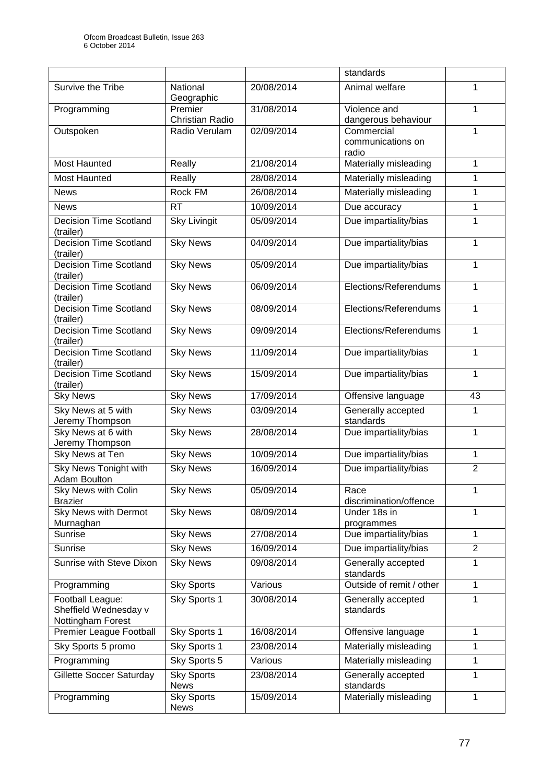|                                                                |                                   |            | standards                                |                |
|----------------------------------------------------------------|-----------------------------------|------------|------------------------------------------|----------------|
| Survive the Tribe                                              | National<br>Geographic            | 20/08/2014 | Animal welfare                           | 1              |
| Programming                                                    | Premier<br><b>Christian Radio</b> | 31/08/2014 | Violence and<br>dangerous behaviour      | 1              |
| Outspoken                                                      | Radio Verulam                     | 02/09/2014 | Commercial<br>communications on<br>radio | 1              |
| <b>Most Haunted</b>                                            | Really                            | 21/08/2014 | Materially misleading                    | 1              |
| <b>Most Haunted</b>                                            | Really                            | 28/08/2014 | Materially misleading                    | 1              |
| <b>News</b>                                                    | <b>Rock FM</b>                    | 26/08/2014 | Materially misleading                    | 1              |
| <b>News</b>                                                    | <b>RT</b>                         | 10/09/2014 | Due accuracy                             | 1              |
| <b>Decision Time Scotland</b><br>(trailer)                     | <b>Sky Livingit</b>               | 05/09/2014 | Due impartiality/bias                    | 1              |
| <b>Decision Time Scotland</b><br>(trailer)                     | <b>Sky News</b>                   | 04/09/2014 | Due impartiality/bias                    | 1              |
| <b>Decision Time Scotland</b><br>(trailer)                     | <b>Sky News</b>                   | 05/09/2014 | Due impartiality/bias                    | 1              |
| <b>Decision Time Scotland</b><br>(trailer)                     | <b>Sky News</b>                   | 06/09/2014 | Elections/Referendums                    | 1              |
| <b>Decision Time Scotland</b><br>(trailer)                     | <b>Sky News</b>                   | 08/09/2014 | Elections/Referendums                    | 1              |
| <b>Decision Time Scotland</b><br>(trailer)                     | <b>Sky News</b>                   | 09/09/2014 | Elections/Referendums                    | 1              |
| <b>Decision Time Scotland</b><br>(trailer)                     | <b>Sky News</b>                   | 11/09/2014 | Due impartiality/bias                    | $\mathbf{1}$   |
| <b>Decision Time Scotland</b><br>(trailer)                     | <b>Sky News</b>                   | 15/09/2014 | Due impartiality/bias                    | 1              |
| <b>Sky News</b>                                                | <b>Sky News</b>                   | 17/09/2014 | Offensive language                       | 43             |
| Sky News at 5 with<br>Jeremy Thompson                          | <b>Sky News</b>                   | 03/09/2014 | Generally accepted<br>standards          | 1              |
| Sky News at 6 with<br>Jeremy Thompson                          | <b>Sky News</b>                   | 28/08/2014 | Due impartiality/bias                    | $\mathbf{1}$   |
| Sky News at Ten                                                | <b>Sky News</b>                   | 10/09/2014 | Due impartiality/bias                    | $\mathbf{1}$   |
| Sky News Tonight with<br>Adam Boulton                          | <b>Sky News</b>                   | 16/09/2014 | Due impartiality/bias                    | $\overline{2}$ |
| Sky News with Colin<br><b>Brazier</b>                          | <b>Sky News</b>                   | 05/09/2014 | Race<br>discrimination/offence           | 1              |
| Sky News with Dermot<br>Murnaghan                              | <b>Sky News</b>                   | 08/09/2014 | Under 18s in<br>programmes               | 1              |
| Sunrise                                                        | <b>Sky News</b>                   | 27/08/2014 | Due impartiality/bias                    | 1              |
| Sunrise                                                        | <b>Sky News</b>                   | 16/09/2014 | Due impartiality/bias                    | $\overline{2}$ |
| Sunrise with Steve Dixon                                       | <b>Sky News</b>                   | 09/08/2014 | Generally accepted<br>standards          | 1              |
| Programming                                                    | <b>Sky Sports</b>                 | Various    | Outside of remit / other                 | 1              |
| Football League:<br>Sheffield Wednesday v<br>Nottingham Forest | Sky Sports 1                      | 30/08/2014 | Generally accepted<br>standards          | 1              |
| Premier League Football                                        | Sky Sports 1                      | 16/08/2014 | Offensive language                       | 1              |
| Sky Sports 5 promo                                             | Sky Sports 1                      | 23/08/2014 | Materially misleading                    | 1              |
| Programming                                                    | Sky Sports 5                      | Various    | Materially misleading                    | 1              |
| Gillette Soccer Saturday                                       | <b>Sky Sports</b><br><b>News</b>  | 23/08/2014 | Generally accepted<br>standards          | 1              |
| Programming                                                    | <b>Sky Sports</b><br><b>News</b>  | 15/09/2014 | Materially misleading                    | 1              |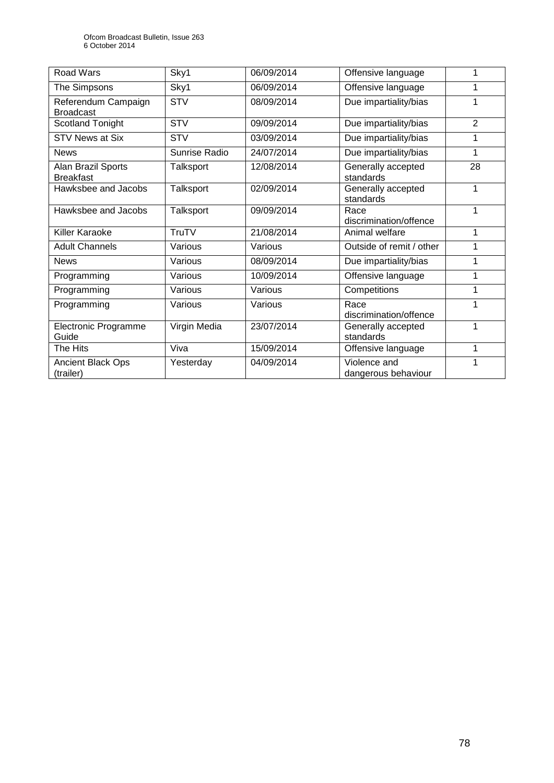| Road Wars                               | Sky1          | 06/09/2014 | Offensive language                  | 1              |
|-----------------------------------------|---------------|------------|-------------------------------------|----------------|
| The Simpsons                            | Sky1          | 06/09/2014 | Offensive language                  |                |
| Referendum Campaign<br><b>Broadcast</b> | <b>STV</b>    | 08/09/2014 | Due impartiality/bias               | 1              |
| <b>Scotland Tonight</b>                 | <b>STV</b>    | 09/09/2014 | Due impartiality/bias               | $\overline{2}$ |
| <b>STV News at Six</b>                  | <b>STV</b>    | 03/09/2014 | Due impartiality/bias               | 1              |
| <b>News</b>                             | Sunrise Radio | 24/07/2014 | Due impartiality/bias               | 1              |
| Alan Brazil Sports<br><b>Breakfast</b>  | Talksport     | 12/08/2014 | Generally accepted<br>standards     | 28             |
| Hawksbee and Jacobs                     | Talksport     | 02/09/2014 | Generally accepted<br>standards     | 1              |
| Hawksbee and Jacobs                     | Talksport     | 09/09/2014 | Race<br>discrimination/offence      | 1              |
| Killer Karaoke                          | TruTV         | 21/08/2014 | Animal welfare                      | 1              |
| <b>Adult Channels</b>                   | Various       | Various    | Outside of remit / other            | 1              |
| <b>News</b>                             | Various       | 08/09/2014 | Due impartiality/bias               | 1              |
| Programming                             | Various       | 10/09/2014 | Offensive language                  | 1              |
| Programming                             | Various       | Various    | Competitions                        | 1              |
| Programming                             | Various       | Various    | Race<br>discrimination/offence      |                |
| <b>Electronic Programme</b><br>Guide    | Virgin Media  | 23/07/2014 | Generally accepted<br>standards     | 1              |
| The Hits                                | Viva          | 15/09/2014 | Offensive language                  | 1              |
| <b>Ancient Black Ops</b><br>(trailer)   | Yesterday     | 04/09/2014 | Violence and<br>dangerous behaviour | 1              |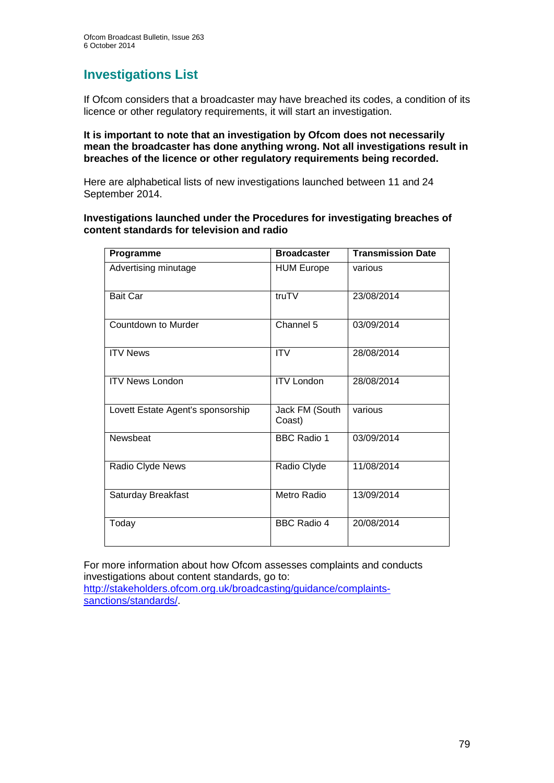## **Investigations List**

If Ofcom considers that a broadcaster may have breached its codes, a condition of its licence or other regulatory requirements, it will start an investigation.

## **It is important to note that an investigation by Ofcom does not necessarily mean the broadcaster has done anything wrong. Not all investigations result in breaches of the licence or other regulatory requirements being recorded.**

Here are alphabetical lists of new investigations launched between 11 and 24 September 2014.

## **Investigations launched under the Procedures for investigating breaches of content standards for television and radio**

| Programme                         | <b>Broadcaster</b>       | <b>Transmission Date</b> |
|-----------------------------------|--------------------------|--------------------------|
| Advertising minutage              | <b>HUM Europe</b>        | various                  |
| <b>Bait Car</b>                   | truTV                    | 23/08/2014               |
| Countdown to Murder               | Channel 5                | 03/09/2014               |
| <b>ITV News</b>                   | <b>ITV</b>               | 28/08/2014               |
| <b>ITV News London</b>            | <b>ITV London</b>        | 28/08/2014               |
| Lovett Estate Agent's sponsorship | Jack FM (South<br>Coast) | various                  |
| Newsbeat                          | <b>BBC Radio 1</b>       | 03/09/2014               |
| Radio Clyde News                  | Radio Clyde              | 11/08/2014               |
| Saturday Breakfast                | Metro Radio              | 13/09/2014               |
| Today                             | <b>BBC Radio 4</b>       | 20/08/2014               |

For more information about how Ofcom assesses complaints and conducts investigations about content standards, go to: [http://stakeholders.ofcom.org.uk/broadcasting/guidance/complaints-](http://stakeholders.ofcom.org.uk/broadcasting/guidance/complaints-sanctions/standards/)

[sanctions/standards/.](http://stakeholders.ofcom.org.uk/broadcasting/guidance/complaints-sanctions/standards/)